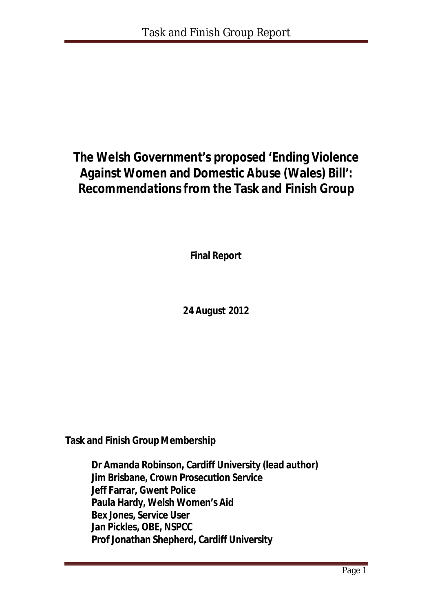# **The Welsh Government's proposed 'Ending Violence Against Women and Domestic Abuse (Wales) Bill': Recommendations from the Task and Finish Group**

**Final Report**

*24 August 2012*

**Task and Finish Group Membership**

**Dr Amanda Robinson, Cardiff University (lead author) Jim Brisbane, Crown Prosecution Service Jeff Farrar, Gwent Police Paula Hardy, Welsh Women's Aid Bex Jones, Service User Jan Pickles, OBE, NSPCC Prof Jonathan Shepherd, Cardiff University**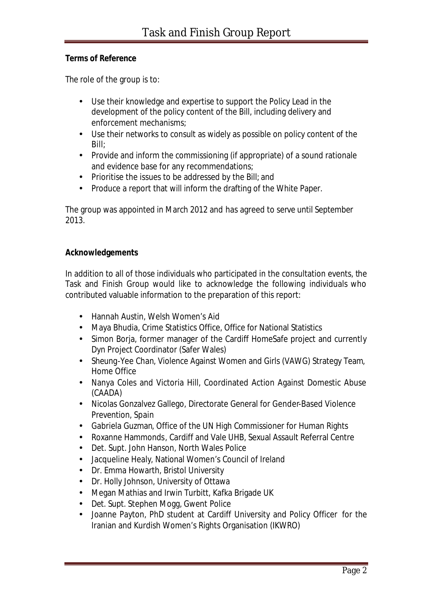#### **Terms of Reference**

The role of the group is to:

- Use their knowledge and expertise to support the Policy Lead in the development of the policy content of the Bill, including delivery and enforcement mechanisms;
- Use their networks to consult as widely as possible on policy content of the Bill;
- Provide and inform the commissioning (if appropriate) of a sound rationale and evidence base for any recommendations;
- Prioritise the issues to be addressed by the Bill; and
- Produce a report that will inform the drafting of the White Paper.

The group was appointed in March 2012 and has agreed to serve until September 2013.

#### **Acknowledgements**

In addition to all of those individuals who participated in the consultation events, the Task and Finish Group would like to acknowledge the following individuals who contributed valuable information to the preparation of this report:

- Hannah Austin, Welsh Women's Aid
- Maya Bhudia, Crime Statistics Office, Office for National Statistics
- Simon Borja, former manager of the Cardiff HomeSafe project and currently Dyn Project Coordinator (Safer Wales)
- Sheung-Yee Chan, Violence Against Women and Girls (VAWG) Strategy Team, Home Office
- Nanya Coles and Victoria Hill, Coordinated Action Against Domestic Abuse (CAADA)
- Nicolas Gonzalvez Gallego, Directorate General for Gender-Based Violence Prevention, Spain
- Gabriela Guzman, Office of the UN High Commissioner for Human Rights
- Roxanne Hammonds, Cardiff and Vale UHB, Sexual Assault Referral Centre
- Det. Supt. John Hanson, North Wales Police
- Jacqueline Healy, National Women's Council of Ireland
- Dr. Emma Howarth, Bristol University
- Dr. Holly Johnson, University of Ottawa
- Megan Mathias and Irwin Turbitt, Kafka Brigade UK
- Det. Supt. Stephen Mogg, Gwent Police
- Joanne Payton, PhD student at Cardiff University and Policy Officer for the Iranian and Kurdish Women's Rights Organisation (IKWRO)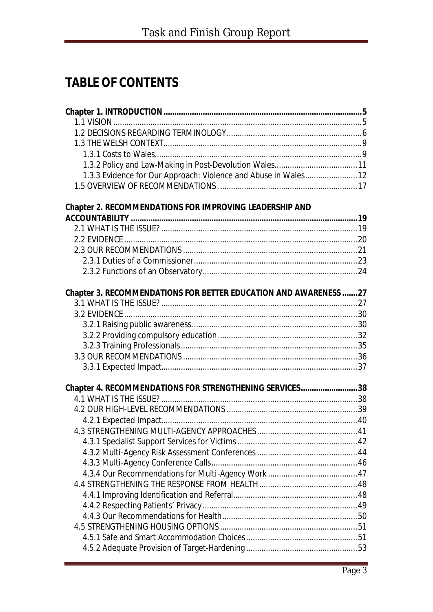# **TABLE OF CONTENTS**

| 1.3.3 Evidence for Our Approach: Violence and Abuse in Wales 12  |  |
|------------------------------------------------------------------|--|
|                                                                  |  |
| <b>Chapter 2. RECOMMENDATIONS FOR IMPROVING LEADERSHIP AND</b>   |  |
|                                                                  |  |
|                                                                  |  |
|                                                                  |  |
|                                                                  |  |
|                                                                  |  |
|                                                                  |  |
|                                                                  |  |
| Chapter 3. RECOMMENDATIONS FOR BETTER EDUCATION AND AWARENESS 27 |  |
|                                                                  |  |
|                                                                  |  |
|                                                                  |  |
|                                                                  |  |
|                                                                  |  |
|                                                                  |  |
|                                                                  |  |
| Chapter 4. RECOMMENDATIONS FOR STRENGTHENING SERVICES38          |  |
|                                                                  |  |
|                                                                  |  |
|                                                                  |  |
|                                                                  |  |
|                                                                  |  |
|                                                                  |  |
|                                                                  |  |
|                                                                  |  |
|                                                                  |  |
|                                                                  |  |
|                                                                  |  |
|                                                                  |  |
|                                                                  |  |
|                                                                  |  |
|                                                                  |  |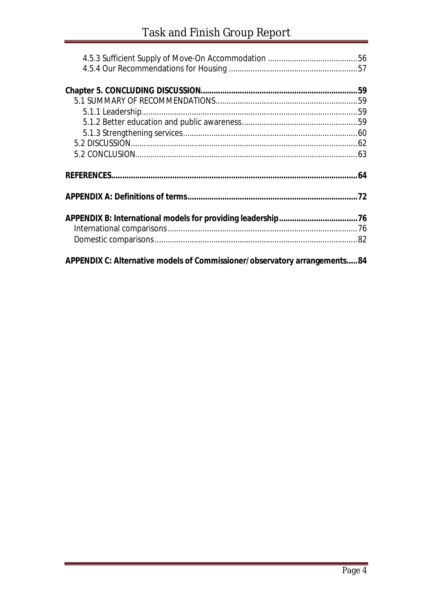| APPENDIX C: Alternative models of Commissioner/observatory arrangements84 |  |
|---------------------------------------------------------------------------|--|
|                                                                           |  |
|                                                                           |  |
|                                                                           |  |
|                                                                           |  |
|                                                                           |  |
|                                                                           |  |
|                                                                           |  |
|                                                                           |  |
|                                                                           |  |
|                                                                           |  |
|                                                                           |  |
|                                                                           |  |
|                                                                           |  |
|                                                                           |  |
|                                                                           |  |

۳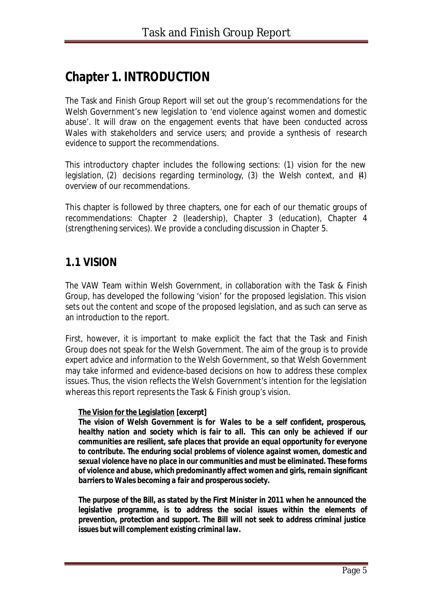# **Chapter 1. INTRODUCTION**

The Task and Finish Group Report will set out the group's recommendations for the Welsh Government's new legislation to 'end violence against women and domestic abuse'. It will draw on the engagement events that have been conducted across Wales with stakeholders and service users; and provide a synthesis of research evidence to support the recommendations.

This introductory chapter includes the following sections: (1) vision for the new legislation, (2) decisions regarding terminology, (3) the Welsh context, and (4) overview of our recommendations.

This chapter is followed by three chapters, one for each of our thematic groups of recommendations: Chapter 2 (leadership), Chapter 3 (education), Chapter 4 (strengthening services). We provide a concluding discussion in Chapter 5.

## **1.1 VISION**

The VAW Team within Welsh Government, in collaboration with the Task & Finish Group, has developed the following 'vision' for the proposed legislation. This vision sets out the content and scope of the proposed legislation, and as such can serve as an introduction to the report.

First, however, it is important to make explicit the fact that the Task and Finish Group does not speak for the Welsh Government. The aim of the group is to provide expert advice and information to the Welsh Government, so that Welsh Government may take informed and evidence-based decisions on how to address these complex issues. Thus, the vision reflects the Welsh Government's intention for the legislation whereas this report represents the Task & Finish group's vision.

#### *The Vision for the Legislation [excerpt]*

*The vision of Welsh Government is for Wales to be a self confident, prosperous, healthy nation and society which is fair to all. This can only be achieved if our communities are resilient, safe places that provide an equal opportunity for everyone to contribute. The enduring social problems of violence against women, domestic and sexual violence have no place in our communities and must be eliminated. These forms of violence and abuse, which predominantly affect women and girls, remain significant barriers to Wales becoming a fair and prosperous society.* 

*The purpose of the Bill, as stated by the First Minister in 2011 when he announced the legislative programme, is to address the social issues within the elements of prevention, protection and support. The Bill will not seek to address criminal justice issues but will complement existing criminal law.*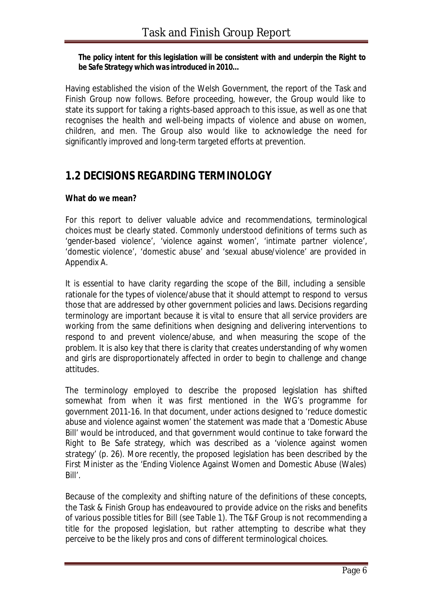#### *The policy intent for this legislation will be consistent with and underpin the Right to be Safe Strategy which was introduced in 2010…*

Having established the vision of the Welsh Government, the report of the Task and Finish Group now follows. Before proceeding, however, the Group would like to state its support for taking a rights-based approach to this issue, as well as one that recognises the health and well-being impacts of violence and abuse on women, children, and men. The Group also would like to acknowledge the need for significantly improved and long-term targeted efforts at prevention.

## **1.2 DECISIONS REGARDING TERMINOLOGY**

#### **What do we mean?**

For this report to deliver valuable advice and recommendations, terminological choices must be clearly stated. Commonly understood definitions of terms such as 'gender-based violence', 'violence against women', 'intimate partner violence', 'domestic violence', 'domestic abuse' and 'sexual abuse/violence' are provided in Appendix A.

It is essential to have clarity regarding the scope of the Bill, including a sensible rationale for the types of violence/abuse that it should attempt to respond to versus those that are addressed by other government policies and laws. Decisions regarding terminology are important because it is vital to ensure that all service providers are working from the same definitions when designing and delivering interventions to respond to and prevent violence/abuse, and when measuring the scope of the problem. It is also key that there is clarity that creates understanding of *why* women and girls are disproportionately affected in order to begin to challenge and change attitudes.

The terminology employed to describe the proposed legislation has shifted somewhat from when it was first mentioned in the WG's programme for government 2011-16. In that document, under actions designed to 'reduce domestic abuse and violence against women' the statement was made that a 'Domestic Abuse Bill' would be introduced, and that government would continue to take forward the *Right to Be Safe* strategy, which was described as a 'violence against women strategy' (p. 26). More recently, the proposed legislation has been described by the First Minister as the 'Ending Violence Against Women and Domestic Abuse (Wales) Bill'.

Because of the complexity and shifting nature of the definitions of these concepts, the Task & Finish Group has endeavoured to provide advice on the risks and benefits of various possible titles for Bill (see Table 1). The T&F Group is not recommending a title for the proposed legislation, but rather attempting to describe what they perceive to be the likely pros and cons of different terminological choices.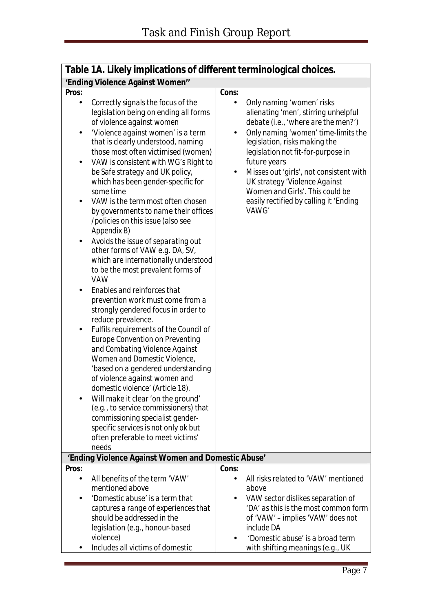| Table 1A. Likely implications of different terminological choices.                                                                                                                                                                                                                                                                                                                                                                                                                                                                                                                                                                                                                                                                                                                                                                                                                                                                                                                                                                                                                                                                                                                                                                                                                       |                                                                                                                                                                                                                                                                                                                                                                                                                   |  |  |  |  |
|------------------------------------------------------------------------------------------------------------------------------------------------------------------------------------------------------------------------------------------------------------------------------------------------------------------------------------------------------------------------------------------------------------------------------------------------------------------------------------------------------------------------------------------------------------------------------------------------------------------------------------------------------------------------------------------------------------------------------------------------------------------------------------------------------------------------------------------------------------------------------------------------------------------------------------------------------------------------------------------------------------------------------------------------------------------------------------------------------------------------------------------------------------------------------------------------------------------------------------------------------------------------------------------|-------------------------------------------------------------------------------------------------------------------------------------------------------------------------------------------------------------------------------------------------------------------------------------------------------------------------------------------------------------------------------------------------------------------|--|--|--|--|
| 'Ending Violence Against Women"                                                                                                                                                                                                                                                                                                                                                                                                                                                                                                                                                                                                                                                                                                                                                                                                                                                                                                                                                                                                                                                                                                                                                                                                                                                          |                                                                                                                                                                                                                                                                                                                                                                                                                   |  |  |  |  |
| Pros:<br>Correctly signals the focus of the<br>$\bullet$<br>legislation being on ending all forms<br>of violence against women<br>'Violence against women' is a term<br>that is clearly understood, naming<br>those most often victimised (women)<br>VAW is consistent with WG's Right to<br>٠<br>be Safe strategy and UK policy,<br>which has been gender-specific for<br>some time<br>VAW is the term most often chosen<br>by governments to name their offices<br>/policies on this issue (also see<br>Appendix B)<br>Avoids the issue of separating out<br>other forms of VAW e.g. DA, SV,<br>which are internationally understood<br>to be the most prevalent forms of<br>VAW<br>Enables and reinforces that<br>prevention work must come from a<br>strongly gendered focus in order to<br>reduce prevalence.<br>Fulfils requirements of the Council of<br>٠<br><b>Europe Convention on Preventing</b><br>and Combating Violence Against<br>Women and Domestic Violence,<br>'based on a gendered understanding<br>of violence against women and<br>domestic violence' (Article 18).<br>Will make it clear 'on the ground'<br>(e.g., to service commissioners) that<br>commissioning specialist gender-<br>specific services is not only ok but<br>often preferable to meet victims' | Cons:<br>Only naming 'women' risks<br>alienating 'men', stirring unhelpful<br>debate (i.e., 'where are the men?')<br>Only naming 'women' time-limits the<br>legislation, risks making the<br>legislation not fit-for-purpose in<br>future years<br>Misses out 'girls', not consistent with<br>UK strategy 'Violence Against<br>Women and Girls'. This could be<br>easily rectified by calling it 'Ending<br>VAWG' |  |  |  |  |
| needs                                                                                                                                                                                                                                                                                                                                                                                                                                                                                                                                                                                                                                                                                                                                                                                                                                                                                                                                                                                                                                                                                                                                                                                                                                                                                    |                                                                                                                                                                                                                                                                                                                                                                                                                   |  |  |  |  |
| 'Ending Violence Against Women and Domestic Abuse'                                                                                                                                                                                                                                                                                                                                                                                                                                                                                                                                                                                                                                                                                                                                                                                                                                                                                                                                                                                                                                                                                                                                                                                                                                       |                                                                                                                                                                                                                                                                                                                                                                                                                   |  |  |  |  |
| Pros:<br>All benefits of the term 'VAW'<br>$\bullet$<br>mentioned above<br>'Domestic abuse' is a term that<br>captures a range of experiences that<br>should be addressed in the<br>legislation (e.g., honour-based<br>violence)<br>Includes all victims of domestic                                                                                                                                                                                                                                                                                                                                                                                                                                                                                                                                                                                                                                                                                                                                                                                                                                                                                                                                                                                                                     | Cons:<br>All risks related to 'VAW' mentioned<br>above<br>VAW sector dislikes separation of<br>'DA' as this is the most common form<br>of 'VAW' - implies 'VAW' does not<br>include DA<br>'Domestic abuse' is a broad term<br>with shifting meanings (e.g., UK                                                                                                                                                    |  |  |  |  |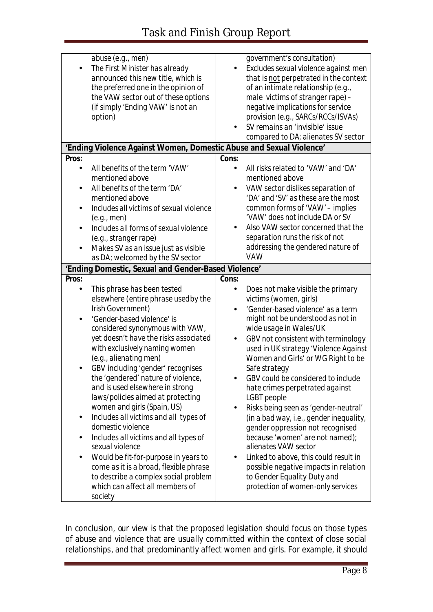| abuse (e.g., men)<br>$\bullet$<br>option)                                                                                                 | The First Minister has already<br>announced this new title, which is<br>the preferred one in the opinion of<br>the VAW sector out of these options<br>(if simply 'Ending VAW' is not an                                                                                                                                                                                                                                                                                                                                                                                                                          | $\bullet$              | government's consultation)<br>Excludes sexual violence against men<br>that is not perpetrated in the context<br>of an intimate relationship (e.g.,<br>male victims of stranger rape) -<br>negative implications for service<br>provision (e.g., SARCs/RCCs/ISVAs)<br>SV remains an 'invisible' issue<br>compared to DA; alienates SV sector                                                                                                                                                                                                                                                                                                                                                                                            |
|-------------------------------------------------------------------------------------------------------------------------------------------|------------------------------------------------------------------------------------------------------------------------------------------------------------------------------------------------------------------------------------------------------------------------------------------------------------------------------------------------------------------------------------------------------------------------------------------------------------------------------------------------------------------------------------------------------------------------------------------------------------------|------------------------|----------------------------------------------------------------------------------------------------------------------------------------------------------------------------------------------------------------------------------------------------------------------------------------------------------------------------------------------------------------------------------------------------------------------------------------------------------------------------------------------------------------------------------------------------------------------------------------------------------------------------------------------------------------------------------------------------------------------------------------|
|                                                                                                                                           | 'Ending Violence Against Women, Domestic Abuse and Sexual Violence'                                                                                                                                                                                                                                                                                                                                                                                                                                                                                                                                              |                        |                                                                                                                                                                                                                                                                                                                                                                                                                                                                                                                                                                                                                                                                                                                                        |
| Pros:<br>$\bullet$<br>mentioned above<br>$\bullet$<br>mentioned above<br>(e.g., men)<br>(e.g., stranger rape)                             | All benefits of the term 'VAW'<br>All benefits of the term 'DA'<br>Includes all victims of sexual violence<br>Includes all forms of sexual violence<br>Makes SV as an issue just as visible<br>as DA; welcomed by the SV sector                                                                                                                                                                                                                                                                                                                                                                                  | Cons:                  | All risks related to 'VAW' and 'DA'<br>mentioned above<br>VAW sector dislikes separation of<br>'DA' and 'SV' as these are the most<br>common forms of 'VAW' - implies<br>'VAW' does not include DA or SV<br>Also VAW sector concerned that the<br>separation runs the risk of not<br>addressing the gendered nature of<br>VAW                                                                                                                                                                                                                                                                                                                                                                                                          |
|                                                                                                                                           | 'Ending Domestic, Sexual and Gender-Based Violence'                                                                                                                                                                                                                                                                                                                                                                                                                                                                                                                                                              |                        |                                                                                                                                                                                                                                                                                                                                                                                                                                                                                                                                                                                                                                                                                                                                        |
| Pros:                                                                                                                                     |                                                                                                                                                                                                                                                                                                                                                                                                                                                                                                                                                                                                                  | Cons:                  |                                                                                                                                                                                                                                                                                                                                                                                                                                                                                                                                                                                                                                                                                                                                        |
| $\bullet$<br>Irish Government)<br>'Gender-based violence' is<br>(e.g., alienating men)<br>domestic violence<br>sexual violence<br>society | This phrase has been tested<br>elsewhere (entire phrase usedby the<br>considered synonymous with VAW,<br>yet doesn't have the risks associated<br>with exclusively naming women<br>GBV including 'gender' recognises<br>the 'gendered' nature of violence,<br>and is used elsewhere in strong<br>laws/policies aimed at protecting<br>women and girls (Spain, US)<br>Includes all victims and all types of<br>Includes all victims and all types of<br>Would be fit-for-purpose in years to<br>come as it is a broad, flexible phrase<br>to describe a complex social problem<br>which can affect all members of | $\bullet$<br>$\bullet$ | Does not make visible the primary<br>victims (women, girls)<br>'Gender-based violence' as a term<br>might not be understood as not in<br>wide usage in Wales/UK<br>GBV not consistent with terminology<br>used in UK strategy 'Violence Against<br>Women and Girls' or WG Right to be<br>Safe strategy<br>GBV could be considered to include<br>hate crimes perpetrated against<br>LGBT people<br>Risks being seen as 'gender-neutral'<br>(in a bad way, i.e., gender inequality,<br>gender oppression not recognised<br>because 'women' are not named);<br>alienates VAW sector<br>Linked to above, this could result in<br>possible negative impacts in relation<br>to Gender Equality Duty and<br>protection of women-only services |

In conclusion, our view is that the proposed legislation should focus on those types of abuse and violence that are *usually* committed within the context of close social relationships, and that *predominantly* affect women and girls. For example, it should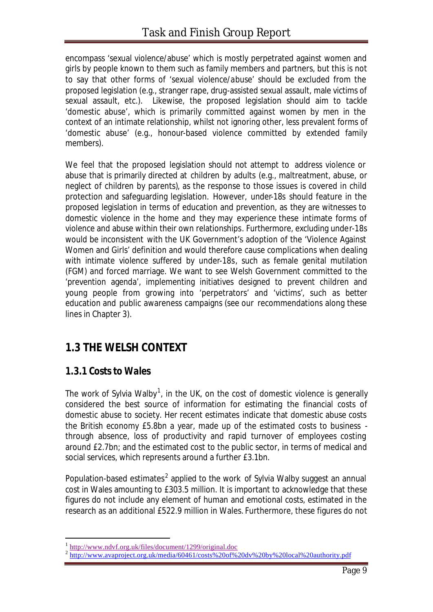encompass 'sexual violence/abuse' which is mostly perpetrated against women and girls by people known to them such as family members and partners, but this is not to say that other forms of 'sexual violence/abuse' should be excluded from the proposed legislation (e.g., stranger rape, drug-assisted sexual assault, male victims of sexual assault, etc.). Likewise, the proposed legislation should aim to tackle 'domestic abuse', which is primarily committed against women by men in the context of an intimate relationship, whilst not ignoring other, less prevalent forms of 'domestic abuse' (e.g., honour-based violence committed by extended family members).

We feel that the proposed legislation should not attempt to address violence or abuse that is primarily directed at children by adults (e.g., maltreatment, abuse, or neglect of children by parents), as the response to those issues is covered in child protection and safeguarding legislation. However, under-18s should feature in the proposed legislation in terms of education and prevention, as they are witnesses to domestic violence in the home and they may experience these intimate forms of violence and abuse within their own relationships. Furthermore, excluding under-18s would be inconsistent with the UK Government's adoption of the 'Violence Against Women and Girls' definition and would therefore cause complications when dealing with intimate violence suffered by under-18s, such as female genital mutilation (FGM) and forced marriage. We want to see Welsh Government committed to the 'prevention agenda', implementing initiatives designed to prevent children and young people from growing into 'perpetrators' and 'victims', such as better education and public awareness campaigns (see our recommendations along these lines in Chapter 3).

## **1.3 THE WELSH CONTEXT**

### *1.3.1 Costs to Wales*

l

The work of Sylvia Walby<sup>1</sup>, in the UK, on the cost of domestic violence is generally considered the best source of information for estimating the financial costs of domestic abuse to society. Her recent estimates indicate that domestic abuse costs the British economy £5.8bn a year, made up of the estimated costs to business through absence, loss of productivity and rapid turnover of employees costing around £2.7bn; and the estimated cost to the public sector, in terms of medical and social services, which represents around a further £3.1bn.

Population-based estimates<sup>2</sup> applied to the work of Sylvia Walby suggest an annual cost in Wales amounting to £303.5 million. It is important to acknowledge that these figures do not include any element of human and emotional costs, estimated in the research as an additional £522.9 million in Wales. Furthermore, these figures do not

<sup>1</sup> http://www.ndvf.org.uk/files/document/1299/original.doc

<sup>&</sup>lt;sup>2</sup> http://www.avaproject.org.uk/media/60461/costs%20of%20dv%20by%20local%20authority.pdf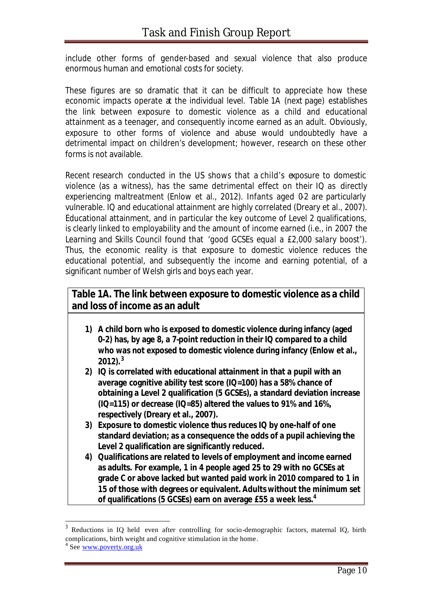include other forms of gender-based and sexual violence that also produce enormous human and emotional costs for society.

These figures are so dramatic that it can be difficult to appreciate how these economic impacts operate at the individual level. Table 1A (next page) establishes the link between exposure to domestic violence as a child and educational attainment as a teenager, and consequently income earned as an adult. Obviously, exposure to other forms of violence and abuse would undoubtedly have a detrimental impact on children's development; however, research on these other forms is not available.

Recent research conducted in the US shows that a child's exposure to domestic violence (as a witness), has the same detrimental effect on their IQ as directly experiencing maltreatment (Enlow et al., 2012). Infants aged 0-2 are particularly vulnerable. IQ and educational attainment are highly correlated (Dreary et al., 2007). Educational attainment, and in particular the key outcome of Level 2 qualifications, is clearly linked to employability and the amount of income earned (i.e., in 2007 the Learning and Skills Council found that '*good GCSEs equal a £2,000 salary boost*'). Thus, the economic reality is that exposure to domestic violence reduces the educational potential, and subsequently the income and earning potential, of a significant number of Welsh girls and boys each year.

| Table 1A. The link between exposure to domestic violence as a child<br>and loss of income as an adult |                                                                                                                                                                                                                                                      |  |  |
|-------------------------------------------------------------------------------------------------------|------------------------------------------------------------------------------------------------------------------------------------------------------------------------------------------------------------------------------------------------------|--|--|
| 1)                                                                                                    | A child born who is exposed to domestic violence during infancy (aged<br>0-2) has, by age 8, a 7-point reduction in their IQ compared to a child<br>who was not exposed to domestic violence during infancy (Enlow et al.,<br>$2012$ ). <sup>3</sup> |  |  |
| 2)                                                                                                    | IQ is correlated with educational attainment in that a pupil with an<br>average cognitive ability test score (IQ=100) has a 58% chance of                                                                                                            |  |  |

- **obtaining a Level 2 qualification (5 GCSEs), a standard deviation increase (IQ=115) or decrease (IQ=85) altered the values to 91% and 16%, respectively (Dreary et al., 2007).**
- **3) Exposure to domestic violence thus reduces IQ by one-half of one standard deviation; as a consequence the odds of a pupil achieving the Level 2 qualification are significantly reduced.**
- **4) Qualifications are related to levels of employment and income earned as adults. For example, 1 in 4 people aged 25 to 29 with no GCSEs at grade C or above lacked but wanted paid work in 2010 compared to 1 in 15 of those with degrees or equivalent. Adults without the minimum set of qualifications (5 GCSEs) earn on average £55 a week less.<sup>4</sup>**

<sup>3</sup> Reductions in IQ held even after controlling for socio-demographic factors, maternal IQ, birth complications, birth weight and cognitive stimulation in the home.

<sup>4</sup> See www.poverty.org.uk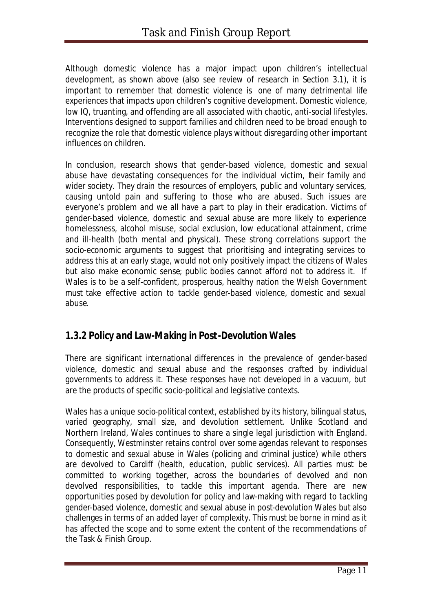Although domestic violence has a major impact upon children's intellectual development, as shown above (also see review of research in Section 3.1), it is important to remember that domestic violence is *one of many* detrimental life experiences that impacts upon children's cognitive development. Domestic violence, low IQ, truanting, and offending are *all* associated with chaotic, anti-social lifestyles. Interventions designed to support families and children need to be broad enough to recognize the role that domestic violence plays without disregarding other important influences on children.

In conclusion, research shows that gender-based violence, domestic and sexual abuse have devastating consequences for the individual victim, their family and wider society. They drain the resources of employers, public and voluntary services, causing untold pain and suffering to those who are abused. Such issues are everyone's problem and we all have a part to play in their eradication. Victims of gender-based violence, domestic and sexual abuse are more likely to experience homelessness, alcohol misuse, social exclusion, low educational attainment, crime and ill-health (both mental and physical). These strong correlations support the socio-economic arguments to suggest that prioritising and integrating services to address this at an early stage, would not only positively impact the citizens of Wales but also make economic sense; public bodies cannot afford not to address it. If Wales is to be a self-confident, prosperous, healthy nation the Welsh Government must take effective action to tackle gender-based violence, domestic and sexual abuse.

### *1.3.2 Policy and Law-Making in Post-Devolution Wales*

There are significant international differences in the prevalence of gender-based violence, domestic and sexual abuse and the responses crafted by individual governments to address it. These responses have not developed in a vacuum, but are the products of specific socio-political and legislative contexts.

Wales has a unique socio-political context, established by its history, bilingual status, varied geography, small size, and devolution settlement. Unlike Scotland and Northern Ireland, Wales continues to share a single legal jurisdiction with England. Consequently, Westminster retains control over some agendas relevant to responses to domestic and sexual abuse in Wales (policing and criminal justice) while others are devolved to Cardiff (health, education, public services). All parties must be committed to working together, across the boundaries of devolved and non devolved responsibilities, to tackle this important agenda. There are new opportunities posed by devolution for policy and law-making with regard to tackling gender-based violence, domestic and sexual abuse in post-devolution Wales but also challenges in terms of an added layer of complexity. This must be borne in mind as it has affected the scope and to some extent the content of the recommendations of the Task & Finish Group.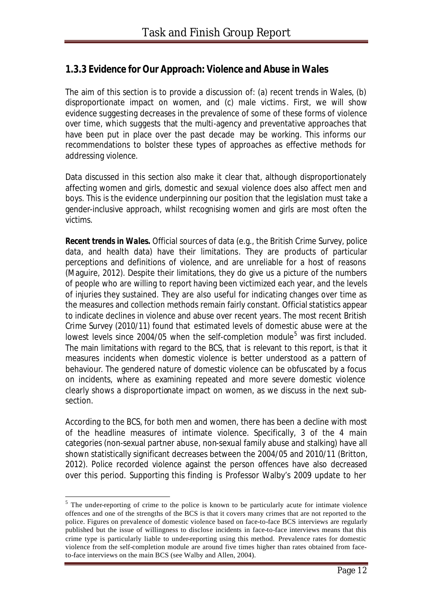### *1.3.3 Evidence for Our Approach: Violence and Abuse in Wales*

The aim of this section is to provide a discussion of: (a) recent trends in Wales, (b) disproportionate impact on women, and (c) male victims. First, we will show evidence suggesting decreases in the prevalence of *some* of these forms of violence over time, which suggests that the multi-agency and preventative approaches that have been put in place over the past decade may be working. This informs our recommendations to bolster these types of approaches as effective methods for addressing violence.

Data discussed in this section also make it clear that, although disproportionately affecting women and girls, domestic and sexual violence does also affect men and boys. This is the evidence underpinning our position that the legislation must take a gender-inclusive approach, whilst recognising women and girls are most often the victims.

*Recent trends in Wales.* Official sources of data (e.g., the British Crime Survey, police data, and health data) have their limitations. They are products of particular perceptions and definitions of violence, and are unreliable for a host of reasons (Maguire, 2012). Despite their limitations, they do give us a picture of the numbers of people who are willing to report having been victimized each year, and the levels of injuries they sustained. They are also useful for indicating changes over time as the measures and collection methods remain fairly constant. Official statistics appear to indicate declines in violence and abuse over recent years. The most recent British Crime Survey (2010/11) found that estimated levels of domestic abuse were at the lowest levels since 2004/05 when the self-completion module<sup>5</sup> was first included. The main limitations with regard to the BCS, that is relevant to this report, is that it measures *incidents* when domestic violence is better understood as a *pattern* of behaviour. The gendered nature of domestic violence can be obfuscated by a focus on incidents, where as examining repeated and more severe domestic violence clearly shows a disproportionate impact on women, as we discuss in the next subsection.

According to the BCS, for both men and women, there has been a decline with most of the headline measures of intimate violence. Specifically, 3 of the 4 main categories (non-sexual partner abuse, non-sexual family abuse and stalking) have all shown statistically significant decreases between the 2004/05 and 2010/11 (Britton, 2012). Police recorded violence against the person offences have also decreased over this period. Supporting this finding is Professor Walby's 2009 update to her

 $<sup>5</sup>$  The under-reporting of crime to the police is known to be particularly acute for intimate violence</sup> offences and one of the strengths of the BCS is that it covers many crimes that are not reported to the police. Figures on prevalence of domestic violence based on face-to-face BCS interviews are regularly published but the issue of willingness to disclose incidents in face-to-face interviews means that this crime type is particularly liable to under-reporting using this method. Prevalence rates for domestic violence from the self-completion module are around five times higher than rates obtained from faceto-face interviews on the main BCS (see Walby and Allen, 2004).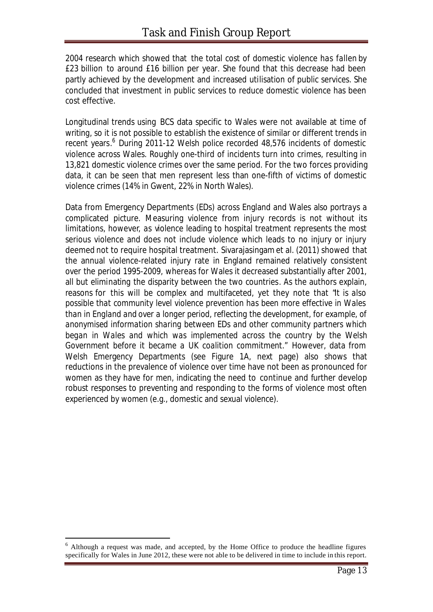2004 research which showed that the total cost of domestic violence has *fallen* by £23 billion to around £16 billion per year. She found that this decrease had been partly achieved by the development and increased utilisation of public services. She concluded that investment in public services to reduce domestic violence has been cost effective.

Longitudinal trends using BCS data specific to Wales were not available at time of writing, so it is not possible to establish the existence of similar or different trends in recent years.<sup>6</sup> During 2011-12 Welsh police recorded 48,576 incidents of domestic violence across Wales. Roughly one-third of incidents turn into crimes, resulting in 13,821 domestic violence crimes over the same period. For the two forces providing data, it can be seen that men represent less than one-fifth of victims of domestic violence crimes (14% in Gwent, 22% in North Wales).

Data from Emergency Departments (EDs) across England and Wales also portrays a complicated picture. Measuring violence from injury records is not without its limitations, however, as violence leading to hospital treatment represents the most serious violence and does not include violence which leads to no injury or injury deemed not to require hospital treatment. Sivarajasingam et al. (2011) showed that the annual violence-related injury rate in England remained relatively consistent over the period 1995-2009, whereas for Wales it decreased substantially after 2001, all but eliminating the disparity between the two countries. As the authors explain, reasons for this will be complex and multifaceted, yet they note that "*It is also possible that community level violence prevention has been more effective in Wales than in England and over a longer period, reflecting the development, for example, of anonymised information sharing between EDs and other community partners which began in Wales and which was implemented across the country by the Welsh Government before it became a UK coalition commitment*." However, data from Welsh Emergency Departments (see Figure 1A, next page) also shows that reductions in the prevalence of violence over time have not been as pronounced for women as they have for men, indicating the need to continue and further develop robust responses to preventing and responding to the forms of violence most often experienced by women (e.g., domestic and sexual violence).

 $6$  Although a request was made, and accepted, by the Home Office to produce the headline figures specifically for Wales in June 2012, these were not able to be delivered in time to include in this report.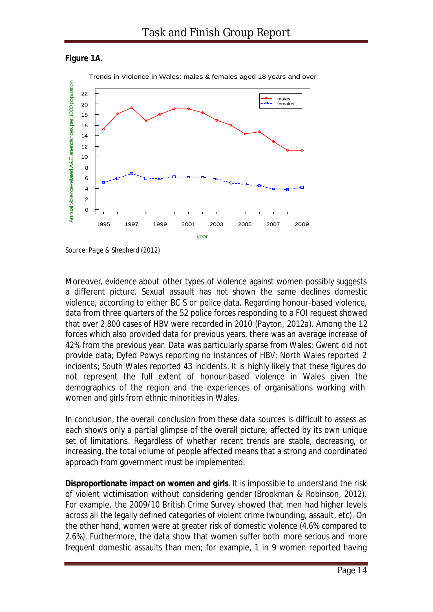



*Source: Page & Shepherd (2012)*

Moreover, evidence about other types of violence against women possibly suggests a different picture. Sexual assault has not shown the same declines domestic violence, according to either BC S or police data. Regarding honour-based violence, data from three quarters of the 52 police forces responding to a FOI request showed that over 2,800 cases of HBV were recorded in 2010 (Payton, 2012a). Among the 12 forces which also provided data for previous years, there was an average *increase* of 42% from the previous year. Data was particularly sparse from Wales: Gwent did not provide data; Dyfed Powys reporting no instances of HBV; North Wales reported 2 incidents; South Wales reported 43 incidents. It is highly likely that these figures do not represent the full extent of honour-based violence in Wales given the demographics of the region and the experiences of organisations working with women and girls from ethnic minorities in Wales.

In conclusion, the overall conclusion from these data sources is difficult to assess as each shows only a partial glimpse of the overall picture, affected by its own unique set of limitations. Regardless of whether recent trends are stable, decreasing, or increasing, the total volume of people affected means that a strong and coordinated approach from government must be implemented.

*Disproportionate impact on women and girls*. It is impossible to understand the risk of violent victimisation without considering gender (Brookman & Robinson, 2012). For example, the 2009/10 British Crime Survey showed that men had higher levels across all the legally defined categories of violent crime (wounding, assault, etc). On the other hand, women were at greater risk of domestic violence (4.6% compared to 2.6%). Furthermore, the data show that women suffer both *more serious* and *more frequent* domestic assaults than men; for example, 1 in 9 women reported having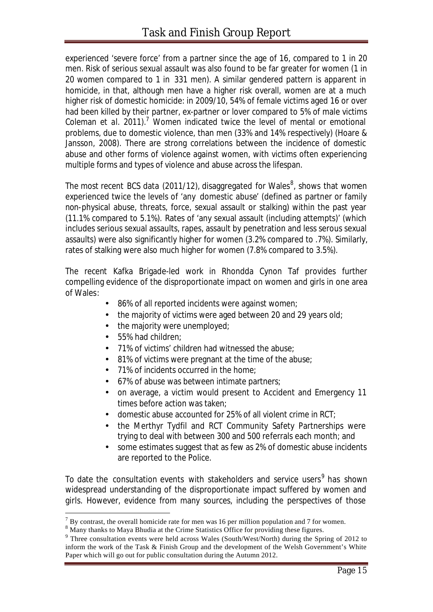experienced 'severe force' from a partner since the age of 16, compared to 1 in 20 men. Risk of serious sexual assault was also found to be far greater for women (1 in 20 women compared to 1 in 331 men). A similar gendered pattern is apparent in homicide, in that, although men have a higher risk overall, women are at a much higher risk of domestic homicide: in 2009/10, 54% of female victims aged 16 or over had been killed by their partner, ex-partner or lover compared to 5% of male victims Coleman *et al.* 2011).<sup>7</sup> Women indicated twice the level of mental or emotional problems, due to domestic violence, than men (33% and 14% respectively) (Hoare & Jansson, 2008). There are strong correlations between the incidence of domestic abuse and other forms of violence against women, with victims often experiencing multiple forms and types of violence and abuse across the lifespan.

The most recent BCS data (2011/12), disaggregated for Wales $^8$ , shows that women experienced twice the levels of 'any domestic abuse' (defined as partner or family non-physical abuse, threats, force, sexual assault or stalking) within the past year (11.1% compared to 5.1%). Rates of 'any sexual assault (including attempts)' (which includes serious sexual assaults, rapes, assault by penetration and less serous sexual assaults) were also significantly higher for women (3.2% compared to .7%). Similarly, rates of stalking were also much higher for women (7.8% compared to 3.5%).

The recent Kafka Brigade-led work in Rhondda Cynon Taf provides further compelling evidence of the disproportionate impact on women and girls in one area of Wales:

- 86% of all reported incidents were against women;
- the majority of victims were aged between 20 and 29 years old;
- the majority were unemployed;
- 55% had children:

l

- 71% of victims' children had witnessed the abuse;
- 81% of victims were pregnant at the time of the abuse;
- 71% of incidents occurred in the home;
- 67% of abuse was between intimate partners;
- on average, a victim would present to Accident and Emergency 11 times before action was taken;
- domestic abuse accounted for 25% of all violent crime in RCT;
- the Merthyr Tydfil and RCT Community Safety Partnerships were trying to deal with between 300 and 500 referrals each month; and
- some estimates suggest that as few as 2% of domestic abuse incidents are reported to the Police.

To date the consultation events with stakeholders and service users<sup>9</sup> has shown widespread understanding of the disproportionate impact suffered by women and girls. However, evidence from many sources, including the perspectives of those

 $<sup>7</sup>$  By contrast, the overall homicide rate for men was 16 per million population and 7 for women.</sup>

<sup>&</sup>lt;sup>8</sup> Many thanks to Maya Bhudia at the Crime Statistics Office for providing these figures.

<sup>&</sup>lt;sup>9</sup> Three consultation events were held across Wales (South/West/North) during the Spring of 2012 to inform the work of the Task & Finish Group and the development of the Welsh Government's White Paper which will go out for public consultation during the Autumn 2012.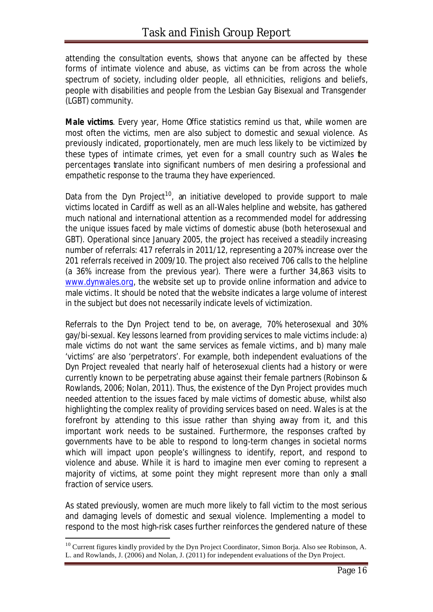attending the consultation events, shows that anyone can be affected by these forms of intimate violence and abuse, as victims can be from across the whole spectrum of society, including older people, all ethnicities, religions and beliefs, people with disabilities and people from the Lesbian Gay Bisexual and Transgender (LGBT) community.

*Male victims*. Every year, Home Office statistics remind us that, while women are most often the victims, men are also subject to domestic and sexual violence. As previously indicated, proportionately, men are much less likely to be victimized by these types of intimate crimes, yet even for a small country such as Wales the percentages translate into significant numbers of men desiring a professional and empathetic response to the trauma they have experienced.

Data from the Dyn Project<sup>10</sup>, an initiative developed to provide support to male victims located in Cardiff as well as an all-Wales helpline and website, has gathered much national and international attention as a recommended model for addressing the unique issues faced by male victims of domestic abuse (both heterosexual and GBT). Operational since January 2005, the project has received a steadily increasing number of referrals: 417 referrals in 2011/12, representing a 207% increase over the 201 referrals received in 2009/10. The project also received 706 calls to the helpline (a 36% increase from the previous year). There were a further 34,863 visits to www.dynwales.org, the website set up to provide online information and advice to male victims. It should be noted that the website indicates a large volume of interest in the subject but does not necessarily indicate levels of victimization.

Referrals to the Dyn Project tend to be, on average, 70% heterosexual and 30% gay/bi-sexual. Key lessons learned from providing services to male victims include: a) male victims do not want the same services as female victims, and b) many male 'victims' are also 'perpetrators'. For example, both independent evaluations of the Dyn Project revealed that nearly half of heterosexual clients had a history or were currently known to be perpetrating abuse against their female partners (Robinson & Rowlands, 2006; Nolan, 2011). Thus, the existence of the Dyn Project provides much needed attention to the issues faced by male victims of domestic abuse, whilst also highlighting the complex reality of providing services based on need. Wales is at the forefront by attending to this issue rather than shying away from it, and this important work needs to be sustained. Furthermore, the responses crafted by governments have to be able to respond to long-term changes in societal norms which will impact upon people's willingness to identify, report, and respond to violence and abuse. While it is hard to imagine men ever coming to represent a majority of victims, at some point they might represent more than only a small fraction of service users.

As stated previously, women are much more likely to fall victim to the most serious and damaging levels of domestic and sexual violence. Implementing a model to respond to the most high-risk cases further reinforces the gendered nature of these

<sup>&</sup>lt;sup>10</sup> Current figures kindly provided by the Dyn Project Coordinator, Simon Borja. Also see Robinson, A. L. and Rowlands, J. (2006) and Nolan, J. (2011) for independent evaluations of the Dyn Project.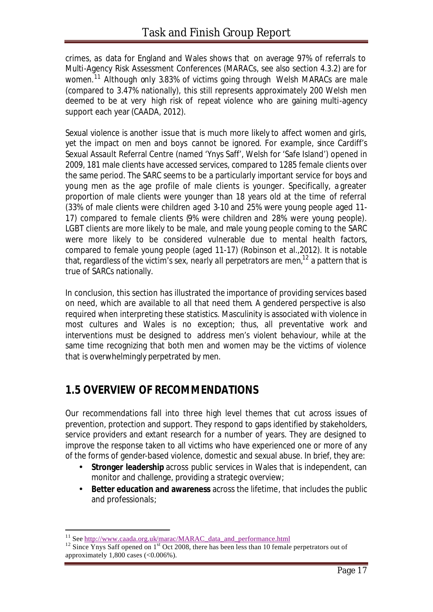crimes, as data for England and Wales shows that on average 97% of referrals to Multi-Agency Risk Assessment Conferences (MARACs, see also section 4.3.2) are for women.<sup>11</sup> Although only 3.83% of victims going through Welsh MARACs are male (compared to 3.47% nationally), this still represents approximately 200 Welsh men deemed to be at very high risk of repeat violence who are gaining multi-agency support each year (CAADA, 2012).

Sexual violence is another issue that is much more likely to affect women and girls, yet the impact on men and boys cannot be ignored. For example, since Cardiff's Sexual Assault Referral Centre (named 'Ynys Saff', Welsh for 'Safe Island') opened in 2009, 181 male clients have accessed services, compared to 1285 female clients over the same period. The SARC seems to be a particularly important service for boys and young men as the age profile of male clients is younger. Specifically, a greater proportion of male clients were younger than 18 years old at the time of referral (33% of male clients were children aged 3-10 and 25% were young people aged 11- 17) compared to female clients (9% were children and 28% were young people). LGBT clients are more likely to be male, and male young people coming to the SARC were more likely to be considered vulnerable due to mental health factors, compared to female young people (aged 11-17) (Robinson et al.,2012). It is notable that, regardless of the victim's sex, *nearly all perpetrators are men,* <sup>12</sup> a pattern that is true of SARCs nationally.

In conclusion, this section has illustrated the importance of providing services based on need, which are available to all that need them. A gendered perspective is also required when interpreting these statistics. Masculinity is associated with violence in most cultures and Wales is no exception; thus, all preventative work and interventions must be designed to address *men's violent behaviour*, while at the same time recognizing that both men and women may be the victims of violence that is overwhelmingly perpetrated by men.

## **1.5 OVERVIEW OF RECOMMENDATIONS**

Our recommendations fall into three high level themes that cut across issues of prevention, protection and support. They respond to gaps identified by stakeholders, service providers and extant research for a number of years. They are designed to improve the response taken to all victims who have experienced one or more of any of the forms of gender-based violence, domestic and sexual abuse. In brief, they are:

- **Stronger leadership** across public services in Wales that is independent, can monitor and challenge, providing a strategic overview;
- **Better education and awareness** across the lifetime, that includes the public and professionals;

<sup>&</sup>lt;sup>11</sup> See http://www.caada.org.uk/marac/MARAC\_data\_and\_performance.html

 $12$  Since Ynys Saff opened on  $1<sup>st</sup>$  Oct 2008, there has been less than 10 female perpetrators out of approximately  $1,800$  cases  $( $0.006\%$ ).$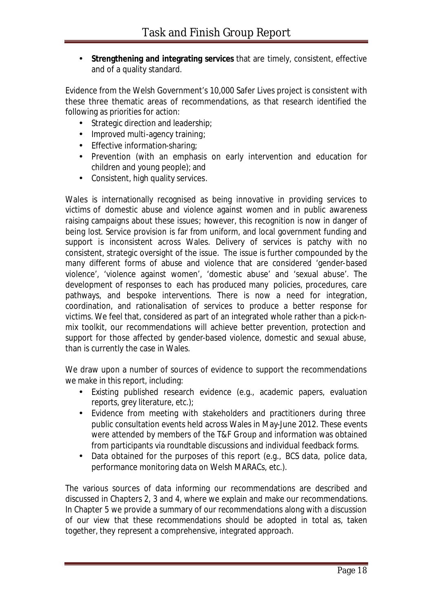• **Strengthening and integrating services** that are timely, consistent, effective and of a quality standard.

Evidence from the Welsh Government's 10,000 Safer Lives project is consistent with these three thematic areas of recommendations, as that research identified the following as priorities for action:

- Strategic direction and leadership;
- Improved multi-agency training;
- Effective information-sharing;
- Prevention (with an emphasis on early intervention and education for children and young people); and
- Consistent, high quality services.

Wales is internationally recognised as being innovative in providing services to victims of domestic abuse and violence against women and in public awareness raising campaigns about these issues; however, this recognition is now in danger of being lost. Service provision is far from uniform, and local government funding and support is inconsistent across Wales. Delivery of services is patchy with no consistent, strategic oversight of the issue. The issue is further compounded by the many different forms of abuse and violence that are considered 'gender-based violence', 'violence against women', 'domestic abuse' and 'sexual abuse'. The development of responses to each has produced many policies, procedures, care pathways, and bespoke interventions. There is now a need for integration, coordination, and rationalisation of services to produce a better response for victims. We feel that, considered as part of an integrated whole rather than a pick-nmix toolkit, our recommendations will achieve better prevention, protection and support for those affected by gender-based violence, domestic and sexual abuse, than is currently the case in Wales.

We draw upon a number of sources of evidence to support the recommendations we make in this report, including:

- Existing published research evidence (e.g., academic papers, evaluation reports, grey literature, etc.);
- Evidence from meeting with stakeholders and practitioners during three public consultation events held across Wales in May-June 2012. These events were attended by members of the T&F Group and information was obtained from participants via roundtable discussions and individual feedback forms.
- Data obtained for the purposes of this report (e.g., BCS data, police data, performance monitoring data on Welsh MARACs, etc.).

The various sources of data informing our recommendations are described and discussed in Chapters 2, 3 and 4, where we explain and make our recommendations. In Chapter 5 we provide a summary of our recommendations along with a discussion of our view that these recommendations should be adopted in total as, taken together, they represent a comprehensive, integrated approach.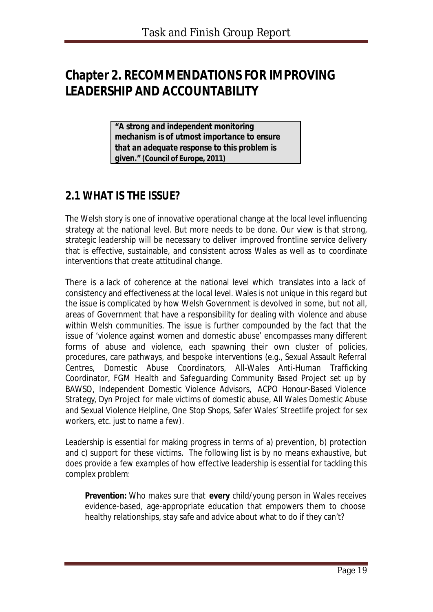# **Chapter 2. RECOMMENDATIONS FOR IMPROVING LEADERSHIP AND ACCOUNTABILITY**

*"A strong and independent monitoring mechanism is of utmost importance to ensure that an adequate response to this problem is given.***" (Council of Europe, 2011)** 

## **2.1 WHAT IS THE ISSUE?**

The Welsh story is one of innovative operational change at the local level influencing strategy at the national level. But more needs to be done. Our view is that strong, strategic leadership will be necessary to deliver improved frontline service delivery that is effective, sustainable, and consistent across Wales as well as to coordinate interventions that create attitudinal change.

There is a lack of coherence at the national level which translates into a lack of consistency and effectiveness at the local level. Wales is not unique in this regard but the issue is complicated by how Welsh Government is devolved in some, but not all, areas of Government that have a responsibility for dealing with violence and abuse within Welsh communities. The issue is further compounded by the fact that the issue of 'violence against women and domestic abuse' encompasses many different forms of abuse and violence, each spawning their own cluster of policies, procedures, care pathways, and bespoke interventions (e.g., Sexual Assault Referral Centres, Domestic Abuse Coordinators, All-Wales Anti-Human Trafficking Coordinator, FGM Health and Safeguarding Community Based Project set up by BAWSO, Independent Domestic Violence Advisors, ACPO Honour-Based Violence Strategy, Dyn Project for male victims of domestic abuse, All Wales Domestic Abuse and Sexual Violence Helpline, One Stop Shops, Safer Wales' Streetlife project for sex workers, etc. just to name a few).

Leadership is essential for making progress in terms of a) prevention, b) protection and c) support for these victims. The following list is by no means exhaustive, but does provide *a few examples* of how effective leadership is essential for tackling this complex problem:

**Prevention:** Who makes sure that **every** child/young person in Wales receives evidence-based, age-appropriate education that empowers them to choose healthy relationships, stay safe and advice about what to do if they can't?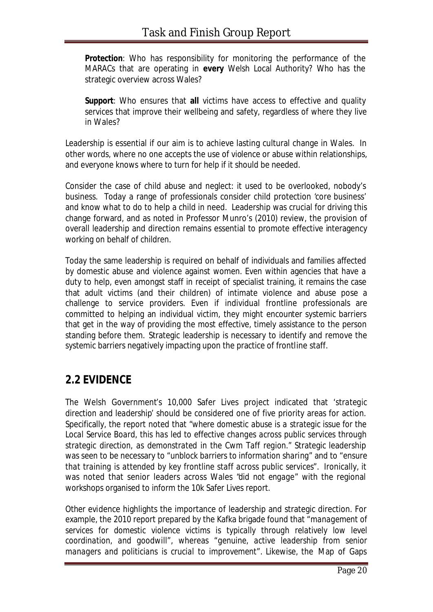*Protection*: Who has responsibility for monitoring the performance of the MARACs that are operating in **every** Welsh Local Authority? Who has the strategic overview across Wales?

**Support:** Who ensures that all victims have access to effective and quality services that improve their wellbeing and safety, regardless of where they live in Wales?

Leadership is essential if our aim is to achieve lasting cultural change in Wales. In other words, where no one accepts the use of violence or abuse within relationships, and everyone knows where to turn for help if it should be needed.

Consider the case of child abuse and neglect: it used to be overlooked, nobody's business. Today a range of professionals consider child protection 'core business' and know what to do to help a child in need. Leadership was crucial for driving this change forward, and as noted in Professor Munro's (2010) review, the provision of overall leadership and direction remains essential to promote effective interagency working on behalf of children.

Today the same leadership is required on behalf of individuals and families affected by domestic abuse and violence against women. Even within agencies that have a duty to help, even amongst staff in receipt of specialist training, it remains the case that adult victims (and their children) of intimate violence and abuse pose a challenge to service providers. Even if individual frontline professionals are committed to helping an individual victim, they might encounter systemic barriers that get in the way of providing the most effective, timely assistance to the person standing before them. Strategic leadership is necessary to identify and remove the systemic barriers negatively impacting upon the practice of frontline staff.

## **2.2 EVIDENCE**

The Welsh Government's 10,000 Safer Lives project indicated that '*strategic direction and leadership*' should be considered one of five priority areas for action. Specifically, the report noted that "*where domestic abuse is a strategic issue for the Local Service Board, this has led to effective changes across public services through strategic direction, as demonstrated in the Cwm Taff region*." Strategic leadership was seen to be necessary to "*unblock barriers to information sharing*" and to "*ensure that training is attended by key frontline staff across public services*". Ironically, it was noted that senior leaders across Wales "*did not engage*" with the regional workshops organised to inform the 10k Safer Lives report.

Other evidence highlights the importance of leadership and strategic direction. For example, the 2010 report prepared by the Kafka brigade found that "*management of services for domestic violence victims is typically through relatively low level coordination, and goodwill*", whereas "*genuine, active leadership from senior managers and politicians is crucial to improvement*". Likewise, the Map of Gaps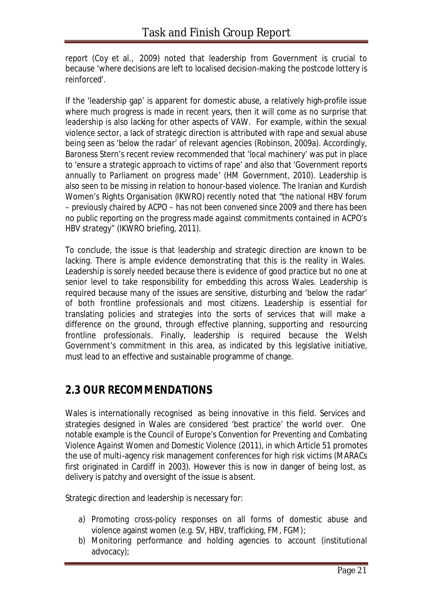report (Coy et al., 2009) noted that leadership from Government is crucial to because '*where decisions are left to localised decision-making the postcode lottery is reinforced*'.

If the 'leadership gap' is apparent for domestic abuse, a relatively high-profile issue where much progress is made in recent years, then it will come as no surprise that leadership is also lacking for other aspects of VAW. For example, within the sexual violence sector, a lack of strategic direction is attributed with rape and sexual abuse being seen as '*below the radar*' of relevant agencies (Robinson, 2009a). Accordingly, Baroness Stern's recent review recommended that 'local machinery' was put in place to '*ensure a strategic approach to victims of rape'* and also that *'Government reports annually to Parliament on progress made*' (HM Government, 2010). Leadership is also seen to be missing in relation to honour-based violence. The Iranian and Kurdish Women's Rights Organisation (IKWRO) recently noted that "*the national HBV forum – previously chaired by ACPO – has not been convened since 2009 and there has been no public reporting on the progress made against commitments contained in ACPO's HBV strategy*" (IKWRO briefing, 2011).

To conclude, the issue is that leadership and strategic direction are known to be lacking. There is ample evidence demonstrating that this is the reality in Wales. Leadership is sorely needed because there is evidence of good practice but no one at senior level to take responsibility for embedding this across Wales. Leadership is required because many of the issues are sensitive, disturbing and 'below the radar' of both frontline professionals and most citizens. Leadership is essential for translating policies and strategies into the sorts of services that will make a difference on the ground, through effective planning, supporting and resourcing frontline professionals. Finally, leadership is required because the Welsh Government's commitment in this area, as indicated by this legislative initiative, *must* lead to an effective and sustainable programme of change.

## **2.3 OUR RECOMMENDATIONS**

Wales is internationally recognised as being innovative in this field. Services and strategies designed in Wales are considered 'best practice' the world over. One notable example is the Council of Europe's *Convention for Preventing and Combating Violence Against Women and Domestic Violence (2011)*, in which Article 51 promotes the use of multi-agency risk management conferences for high risk victims (MARACs first originated in Cardiff in 2003). However this is now in danger of being lost, as delivery is patchy and oversight of the issue is absent.

Strategic direction and leadership is necessary for:

- a) Promoting cross-policy responses on all forms of domestic abuse and violence against women (e.g. SV, HBV, trafficking, FM, FGM);
- b) Monitoring performance and holding agencies to account (institutional advocacy);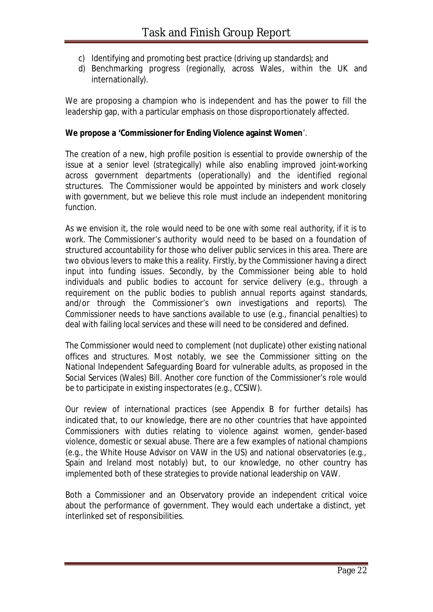- c) Identifying and promoting best practice (driving up standards); and
- d) Benchmarking progress (regionally, across Wales, within the UK and internationally).

We are proposing a champion who is independent and has the power to fill the leadership gap, with a particular emphasis on those disproportionately affected.

#### **We propose a 'Commissioner for Ending Violence against Women**'.

The creation of a new, high profile position is essential to provide ownership of the issue at a senior level (strategically) while also enabling improved joint-working across government departments (operationally) and the identified regional structures. The Commissioner would be appointed by ministers and work closely with government, but we believe this role must include an *independent monitoring function*.

As we envision it, the role would need to be one with some *real authority*, if it is to work. The Commissioner's authority would need to be based on a foundation of structured accountability for those who deliver public services in this area. There are two obvious levers to make this a reality. Firstly, by the Commissioner having a direct input into funding issues. Secondly, by the Commissioner being able to hold individuals and public bodies to account for service delivery (e.g., through a requirement on the public bodies to publish annual reports against standards, and/or through the Commissioner's own investigations and reports). The Commissioner needs to have sanctions available to use (e.g., financial penalties) to deal with failing local services and these will need to be considered and defined.

The Commissioner would need to complement (not duplicate) other existing national offices and structures. Most notably, we see the Commissioner sitting on the National Independent Safeguarding Board for vulnerable adults, as proposed in the Social Services (Wales) Bill. Another core function of the Commissioner's role would be to participate in existing inspectorates (e.g., CCSIW).

Our review of international practices (see Appendix B for further details) has indicated that, to our knowledge, there are no other countries that have appointed Commissioners with duties relating to violence against women, gender-based violence, domestic or sexual abuse. There are a few examples of national champions (e.g., the White House Advisor on VAW in the US) and national observatories (e.g., Spain and Ireland most notably) but, to our knowledge, no other country has implemented both of these strategies to provide national leadership on VAW.

Both a Commissioner and an Observatory provide an independent critical voice about the performance of government. They would each undertake a distinct, yet interlinked set of responsibilities.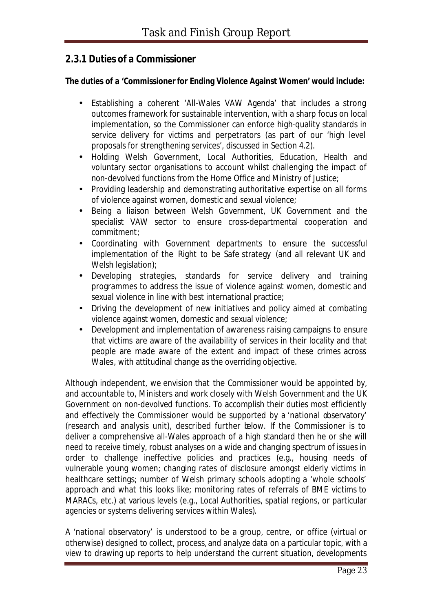### *2.3.1 Duties of a Commissioner*

#### **The duties of a 'Commissioner for Ending Violence Against Women' would include:**

- Establishing a coherent 'All-Wales VAW Agenda' that includes a strong outcomes framework for sustainable intervention, with a sharp focus on local implementation, so the Commissioner can enforce high-quality standards in service delivery for victims and perpetrators (as part of our 'high level proposals for strengthening services', discussed in Section 4.2).
- Holding Welsh Government, Local Authorities, Education, Health and voluntary sector organisations to account whilst challenging the impact of non-devolved functions from the Home Office and Ministry of Justice;
- Providing leadership and demonstrating authoritative expertise on all forms of violence against women, domestic and sexual violence;
- Being a liaison between Welsh Government, UK Government and the specialist VAW sector to ensure cross-departmental cooperation and commitment;
- Coordinating with Government departments to ensure the successful implementation of the *Right to be Safe* strategy (and all relevant UK and Welsh legislation);
- Developing strategies, standards for service delivery and training programmes to address the issue of violence against women, domestic and sexual violence in line with best international practice;
- Driving the development of new initiatives and policy aimed at combating violence against women, domestic and sexual violence;
- Development and implementation of awareness raising campaigns to ensure that victims are aware of the availability of services in their locality and that people are made aware of the extent and impact of these crimes across Wales, with attitudinal change as the overriding objective.

Although independent, we envision that the Commissioner would be appointed by, and accountable to, Ministers and work closely with Welsh Government and the UK Government on non-devolved functions. To accomplish their duties most efficiently and effectively the Commissioner would be supported by a 'national observatory' (research and analysis unit), described further below. If the Commissioner is to deliver a comprehensive all-Wales approach of a high standard then he or she will need to receive timely, robust analyses on a wide and changing spectrum of issues in order to challenge ineffective policies and practices (e.g., housing needs of vulnerable young women; changing rates of disclosure amongst elderly victims in healthcare settings; number of Welsh primary schools adopting a 'whole schools' approach and what this looks like; monitoring rates of referrals of BME victims to MARACs, etc.) at various levels (e.g., Local Authorities, spatial regions, or particular agencies or systems delivering services within Wales).

A 'national observatory' is understood to be a group, centre, or office (virtual or otherwise) designed to collect, process, and analyze data on a particular topic, with a view to drawing up reports to help understand the current situation, developments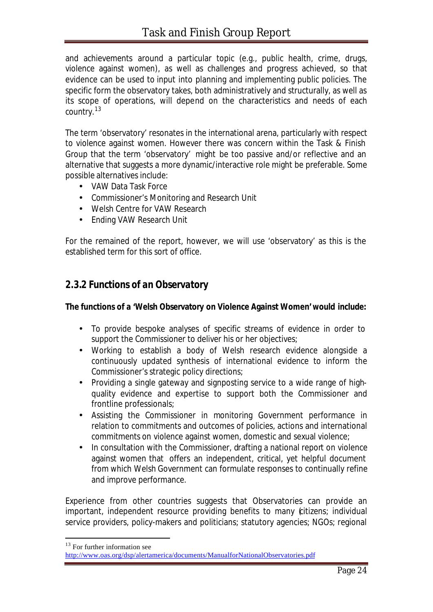and achievements around a particular topic (e.g., public health, crime, drugs, violence against women), as well as challenges and progress achieved, so that evidence can be used to input into planning and implementing public policies. The specific form the observatory takes, both administratively and structurally, as well as its scope of operations, will depend on the characteristics and needs of each country.<sup>13</sup>

The term 'observatory' resonates in the international arena, particularly with respect to violence against women. However there was concern within the Task & Finish Group that the term 'observatory' might be too passive and/or reflective and an alternative that suggests a more dynamic/interactive role might be preferable. Some possible alternatives include:

- VAW Data Task Force
- Commissioner's Monitoring and Research Unit
- Welsh Centre for VAW Research
- Ending VAW Research Unit

For the remained of the report, however, we will use 'observatory' as this is the established term for this sort of office.

#### *2.3.2 Functions of an Observatory*

#### **The functions of a 'Welsh Observatory on Violence Against Women' would include:**

- To provide bespoke analyses of specific streams of evidence in order to support the Commissioner to deliver his or her objectives;
- Working to establish a body of Welsh research evidence alongside a continuously updated synthesis of international evidence to inform the Commissioner's strategic policy directions;
- Providing a single gateway and signposting service to a wide range of highquality evidence and expertise to support both the Commissioner and frontline professionals;
- Assisting the Commissioner in monitoring Government performance in relation to commitments and outcomes of policies, actions and international commitments on violence against women, domestic and sexual violence;
- In consultation with the Commissioner, drafting a national report on violence against women that offers an independent, critical, yet helpful document from which Welsh Government can formulate responses to continually refine and improve performance.

Experience from other countries suggests that Observatories can provide an important, independent resource providing benefits to many (citizens; individual service providers, policy-makers and politicians; statutory agencies; NGOs; regional

<sup>13</sup> For further information see

http://www.oas.org/dsp/alertamerica/documents/ManualforNationalObservatories.pdf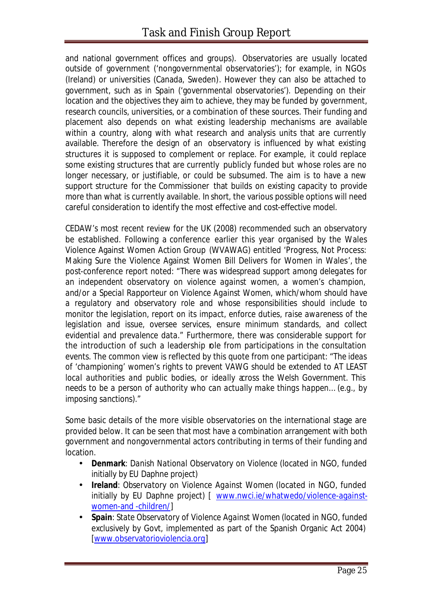and national government offices and groups). Observatories are usually located outside of government ('nongovernmental observatories'); for example, in NGOs (Ireland) or universities (Canada, Sweden). However they can also be attached to government, such as in Spain ('governmental observatories'). Depending on their location and the objectives they aim to achieve, they may be funded by government, research councils, universities, or a combination of these sources. Their funding and placement also depends on what existing leadership mechanisms are available within a country, along with what research and analysis units that are currently available. Therefore the design of an observatory is influenced by what existing structures it is supposed to complement or replace. For example, it could replace some existing structures that are currently publicly funded but whose roles are no longer necessary, or justifiable, or could be subsumed. The aim is to have a new support structure for the Commissioner that builds on existing capacity to provide more than what is currently available. In short, the various possible options will need careful consideration to identify the most effective and cost-effective model.

CEDAW's most recent review for the UK (2008) recommended such an observatory be established. Following a conference earlier this year organised by the Wales Violence Against Women Action Group (WVAWAG) entitled 'Progress, Not Process: Making Sure the Violence Against Women Bill Delivers for Women in Wales', the post-conference report noted: "*There was widespread support among delegates for an independent observatory on violence against women, a women's champion, and/or a Special Rapporteur on Violence Against Women, which/whom should have a regulatory and observatory role and whose responsibilities should include to monitor the legislation, report on its impact, enforce duties, raise awareness of the legislation and issue, oversee services, ensure minimum standards, and collect evidential and prevalence data*." Furthermore, there was considerable support for the introduction of such a leadership role from participations in the consultation events. The common view is reflected by this quote from one participant: "*The ideas of 'championing' women's rights to prevent VAWG should be extended to AT LEAST local authorities and public bodies, or ideally aross the Welsh Government. This needs to be a person of authority who can actually make things happen… (e.g., by imposing sanctions)."*

Some basic details of the more visible observatories on the international stage are provided below. It can be seen that most have a combination arrangement with both government and nongovernmental actors contributing in terms of their funding and location.

- **Denmark**: *Danish National Observatory on Violence* (located in NGO, funded initially by EU Daphne project)
- **Ireland**: *Observatory on Violence Against Women* (located in NGO, funded initially by EU Daphne project) [ www.nwci.ie/whatwedo/violence-againstwomen-and -children/]
- **Spain**: *State Observatory of Violence Against Women* (located in NGO, funded exclusively by Govt, implemented as part of the Spanish Organic Act 2004) [www.observatorioviolencia.org]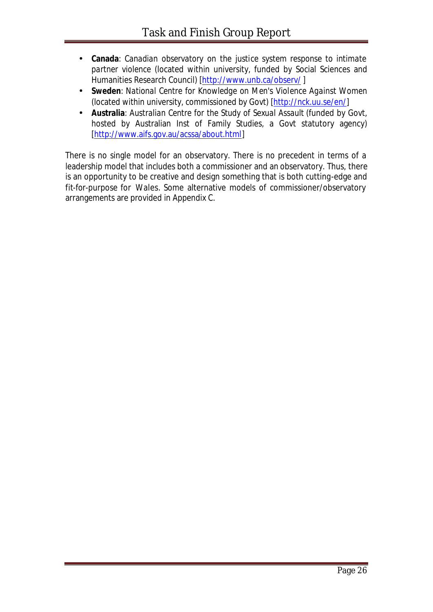- **Canada**: *Canadian observatory on the justice system response to intimate partner violence* (located within university, funded by Social Sciences and Humanities Research Council) [http://www.unb.ca/observ/ ]
- **Sweden**: *National Centre for Knowledge on Men's Violence Against Women* (located within university, commissioned by Govt) [http://nck.uu.se/en/]
- **Australia**: *Australian Centre for the Study of Sexual Assault* (funded by Govt, hosted by Australian Inst of Family Studies, a Govt statutory agency) [http://www.aifs.gov.au/acssa/about.html]

There is no single model for an observatory. There is no precedent in terms of a leadership model that includes both a commissioner and an observatory. Thus, there is an opportunity to be creative and design something that is both cutting-edge and fit-for-purpose for Wales. Some alternative models of commissioner/observatory arrangements are provided in Appendix C.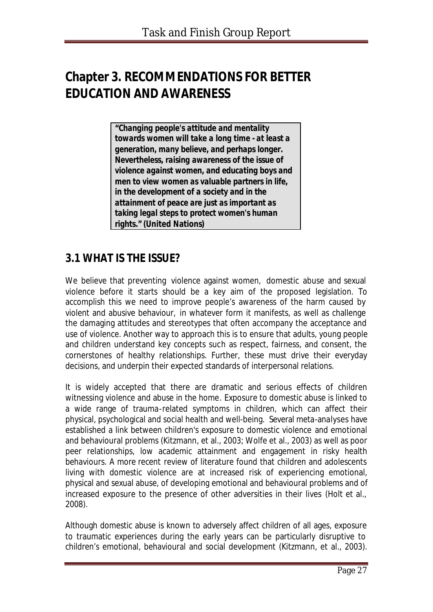# **Chapter 3. RECOMMENDATIONS FOR BETTER EDUCATION AND AWARENESS**

*"Changing people's attitude and mentality towards women will take a long time - at least a generation, many believe, and perhaps longer. Nevertheless, raising awareness of the issue of violence against women, and educating boys and men to view women as valuable partners in life, in the development of a society and in the attainment of peace are just as important as taking legal steps to protect women's human rights."* **(United Nations)**

## **3.1 WHAT IS THE ISSUE?**

We believe that preventing violence against women, domestic abuse and sexual violence before it starts should be a key aim of the proposed legislation. To accomplish this we need to improve people's awareness of the harm caused by violent and abusive behaviour, in whatever form it manifests, as well as challenge the damaging attitudes and stereotypes that often accompany the acceptance and use of violence. Another way to approach this is to ensure that adults, young people and children understand key concepts such as respect, fairness, and consent, the cornerstones of healthy relationships. Further, these must drive their everyday decisions, and underpin their expected standards of interpersonal relations.

It is widely accepted that there are dramatic and serious effects of children witnessing violence and abuse in the home. Exposure to domestic abuse is linked to a wide range of trauma-related symptoms in children, which can affect their physical, psychological and social health and well-being. Several meta-analyses have established a link between children's exposure to domestic violence and emotional and behavioural problems (Kitzmann, et al., 2003; Wolfe et al., 2003) as well as poor peer relationships, low academic attainment and engagement in risky health behaviours. A more recent review of literature found that children and adolescents living with domestic violence are at increased risk of experiencing emotional, physical and sexual abuse, of developing emotional and behavioural problems and of increased exposure to the presence of other adversities in their lives (Holt et al., 2008).

Although domestic abuse is known to adversely affect children of all ages, exposure to traumatic experiences during the early years can be particularly disruptive to children's emotional, behavioural and social development (Kitzmann, et al., 2003).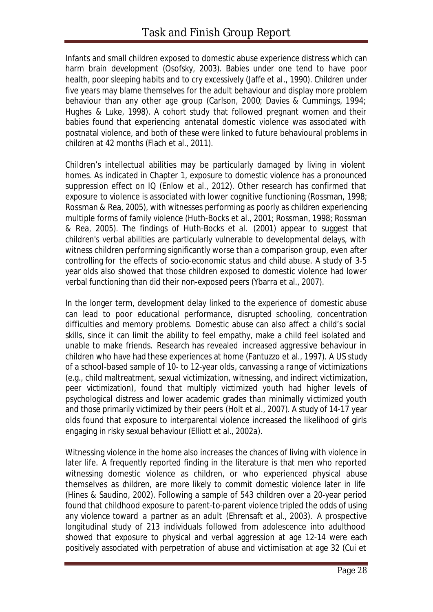Infants and small children exposed to domestic abuse experience distress which can harm brain development (Osofsky, 2003). Babies under one tend to have poor health, poor sleeping habits and to cry excessively (Jaffe et al., 1990). Children under five years may blame themselves for the adult behaviour and display more problem behaviour than any other age group (Carlson, 2000; Davies & Cummings, 1994; Hughes & Luke, 1998). A cohort study that followed pregnant women and their babies found that experiencing antenatal domestic violence was associated with postnatal violence, and both of these were linked to future behavioural problems in children at 42 months (Flach et al., 2011).

Children's intellectual abilities may be particularly damaged by living in violent homes. As indicated in Chapter 1, exposure to domestic violence has a pronounced suppression effect on IQ (Enlow et al., 2012). Other research has confirmed that exposure to violence is associated with lower cognitive functioning (Rossman, 1998; Rossman & Rea, 2005), with witnesses performing as poorly as children experiencing multiple forms of family violence (Huth-Bocks et al., 2001; Rossman, 1998; Rossman & Rea, 2005). The findings of Huth-Bocks et al. (2001) appear to suggest that children's verbal abilities are particularly vulnerable to developmental delays, with witness children performing significantly worse than a comparison group, even after controlling for the effects of socio-economic status and child abuse. A study of 3-5 year olds also showed that those children exposed to domestic violence had lower verbal functioning than did their non-exposed peers (Ybarra et al., 2007).

In the longer term, development delay linked to the experience of domestic abuse can lead to poor educational performance, disrupted schooling, concentration difficulties and memory problems. Domestic abuse can also affect a child's social skills, since it can limit the ability to feel empathy, make a child feel isolated and unable to make friends. Research has revealed increased aggressive behaviour in children who have had these experiences at home (Fantuzzo et al., 1997). A US study of a school-based sample of 10- to 12-year olds, canvassing a range of victimizations (e.g., child maltreatment, sexual victimization, witnessing, and indirect victimization, peer victimization), found that multiply victimized youth had higher levels of psychological distress and lower academic grades than minimally victimized youth and those primarily victimized by their peers (Holt et al., 2007). A study of 14-17 year olds found that exposure to interparental violence increased the likelihood of girls engaging in risky sexual behaviour (Elliott et al., 2002a).

Witnessing violence in the home also increases the chances of living with violence in later life. A frequently reported finding in the literature is that men who reported witnessing domestic violence as children, or who experienced physical abuse themselves as children, are more likely to commit domestic violence later in life (Hines & Saudino, 2002). Following a sample of 543 children over a 20-year period found that childhood exposure to parent-to-parent violence tripled the odds of using any violence toward a partner as an adult (Ehrensaft et al., 2003). A prospective longitudinal study of 213 individuals followed from adolescence into adulthood showed that exposure to physical and verbal aggression at age 12-14 were each positively associated with perpetration of abuse and victimisation at age 32 (Cui et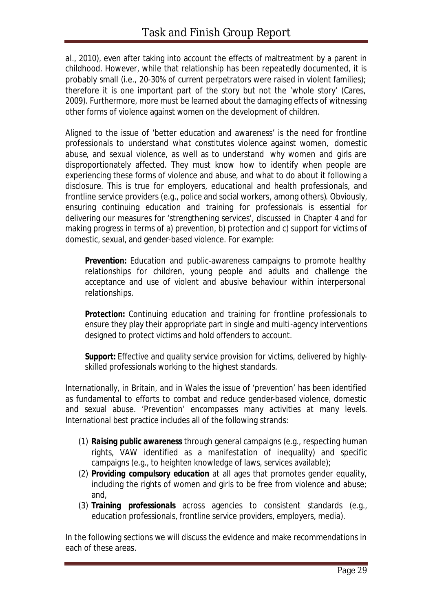al., 2010), even after taking into account the effects of maltreatment by a parent in childhood. However, while that relationship has been repeatedly documented, it is probably small (i.e., 20-30% of current perpetrators were raised in violent families); therefore it is one important part of the story but not the 'whole story' (Cares, 2009). Furthermore, more must be learned about the damaging effects of witnessing other forms of violence against women on the development of children.

Aligned to the issue of 'better education and awareness' is the need for frontline professionals to understand *what* constitutes violence against women, domestic abuse, and sexual violence, as well as to understand *why* women and girls are disproportionately affected. They must know how to identify when people are experiencing these forms of violence and abuse, and what to do about it following a disclosure. This is true for employers, educational and health professionals, and frontline service providers (e.g., police and social workers, among others). Obviously, ensuring continuing education and training for professionals is essential for delivering our measures for 'strengthening services', discussed in Chapter 4 and for making progress in terms of a) prevention, b) protection and c) support for victims of domestic, sexual, and gender-based violence. For example:

**Prevention:** Education and public-awareness campaigns to promote healthy relationships for children, young people and adults and challenge the acceptance and use of violent and abusive behaviour within interpersonal relationships.

**Protection:** Continuing education and training for frontline professionals to ensure they play their appropriate part in single and multi-agency interventions designed to protect victims and hold offenders to account.

*Support***:** Effective and quality service provision for victims, delivered by highlyskilled professionals working to the highest standards.

Internationally, in Britain, and in Wales the issue of 'prevention' has been identified as fundamental to efforts to combat and reduce gender-based violence, domestic and sexual abuse. 'Prevention' encompasses many activities at many levels. International best practice includes all of the following strands:

- (1) *Raising public awareness* through general campaigns (e.g., respecting human rights, VAW identified as a manifestation of inequality) and specific campaigns (e.g., to heighten knowledge of laws, services available);
- (2) *Providing compulsory education* at all ages that promotes gender equality, including the rights of women and girls to be free from violence and abuse; and,
- (3) *Training professionals* across agencies to consistent standards (e.g., education professionals, frontline service providers, employers, media).

In the following sections we will discuss the evidence and make recommendations in each of these areas.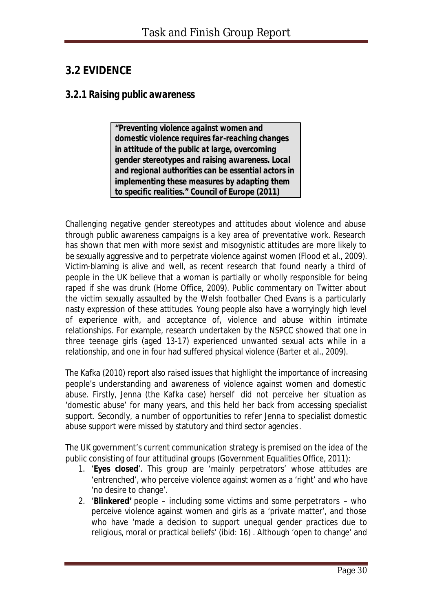## **3.2 EVIDENCE**

#### *3.2.1 Raising public awareness*

*"Preventing violence against women and domestic violence requires far-reaching changes in attitude of the public at large, overcoming gender stereotypes and raising awareness. Local and regional authorities can be essential actors in implementing these measures by adapting them to specific realities."* **Council of Europe (2011)**

Challenging negative gender stereotypes and attitudes about violence and abuse through public awareness campaigns is a key area of preventative work. Research has shown that men with more sexist and misogynistic attitudes are more likely to be sexually aggressive and to perpetrate violence against women (Flood et al., 2009). Victim-blaming is alive and well, as recent research that found nearly a third of people in the UK believe that a woman is partially or wholly responsible for being raped if she was drunk (Home Office, 2009). Public commentary on Twitter about the victim sexually assaulted by the Welsh footballer Ched Evans is a particularly nasty expression of these attitudes. Young people also have a worryingly high level of experience with, and acceptance of, violence and abuse within intimate relationships. For example, research undertaken by the NSPCC showed that one in three teenage girls (aged 13-17) experienced unwanted sexual acts while in a relationship, and one in four had suffered physical violence (Barter et al., 2009).

The Kafka (2010) report also raised issues that highlight the importance of increasing people's understanding and awareness of violence against women and domestic abuse. Firstly, Jenna (the Kafka case) herself did not perceive her situation as 'domestic abuse' for many years, and this held her back from accessing specialist support. Secondly, a number of opportunities to refer Jenna to specialist domestic abuse support were missed by statutory and third sector agencies.

The UK government's current communication strategy is premised on the idea of the public consisting of four attitudinal groups (Government Equalities Office, 2011):

- 1. '**Eyes closed**'. This group are 'mainly perpetrators' whose attitudes are 'entrenched', who perceive violence against women as a 'right' and who have 'no desire to change'.
- 2. '**Blinkered'** people including some victims and some perpetrators who perceive violence against women and girls as a 'private matter', and those who have 'made a decision to support unequal gender practices due to religious, moral or practical beliefs' (ibid: 16) . Although 'open to change' and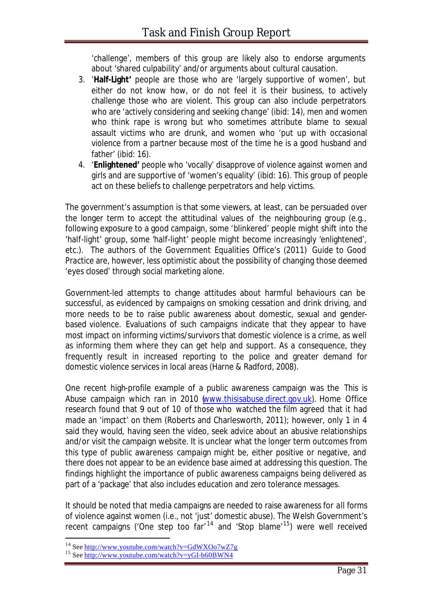'challenge', members of this group are likely also to endorse arguments about 'shared culpability' and/or arguments about cultural causation.

- 3. '**Half-Light'** people are those who are 'largely supportive of women', but either do not know how, or do not feel it is their business, to actively challenge those who are violent. This group can also include perpetrators who are 'actively considering and seeking change' (ibid: 14), men and women who think rape is wrong but who sometimes attribute blame to sexual assault victims who are drunk, and women who 'put up with occasional violence from a partner because most of the time he is a good husband and father' (ibid: 16).
- 4. '**Enlightened'** people who 'vocally' disapprove of violence against women and girls and are supportive of 'women's equality' (ibid: 16). This group of people act on these beliefs to challenge perpetrators and help victims.

The government's assumption is that some viewers, at least, can be persuaded over the longer term to accept the attitudinal values of the neighbouring group (e.g., following exposure to a good campaign, some 'blinkered' people might shift into the 'half-light' group, some 'half-light' people might become increasingly 'enlightened', etc.). The authors of the Government Equalities Office's (2011) *Guide to Good Practice* are, however, less optimistic about the possibility of changing those deemed 'eyes closed' through social marketing alone.

Government-led attempts to change attitudes about harmful behaviours can be successful, as evidenced by campaigns on smoking cessation and drink driving, and more needs to be to raise public awareness about domestic, sexual and genderbased violence. Evaluations of such campaigns indicate that they appear to have most impact on informing victims/survivors that domestic violence is a crime, as well as informing them where they can get help and support. As a consequence, they frequently result in increased reporting to the police and greater demand for domestic violence services in local areas (Harne & Radford, 2008).

One recent high-profile example of a public awareness campaign was the *This is Abuse* campaign which ran in 2010 (www.thisisabuse.direct.gov.uk). Home Office research found that 9 out of 10 of those who watched the film agreed that it had made an 'impact' on them (Roberts and Charlesworth, 2011); however, only 1 in 4 said they would, having seen the video, seek advice about an abusive relationships and/or visit the campaign website. It is unclear what the longer term outcomes from this type of public awareness campaign might be, either positive or negative, and there does not appear to be an evidence base aimed at addressing this question. The findings highlight the importance of public awareness campaigns being delivered as part of a 'package' that also includes education and zero tolerance messages.

It should be noted that media campaigns are needed to raise awareness for *all* forms of violence against women (i.e., not 'just' domestic abuse). The Welsh Government's recent campaigns ('One step too  $far'^{14}$  and 'Stop blame'<sup>15</sup>) were well received

<sup>14</sup> See http://www.youtube.com/watch?v=GdWXOo7wZ7g

<sup>15</sup> See http://www.youtube.com/watch?v=yGI-b60BWN4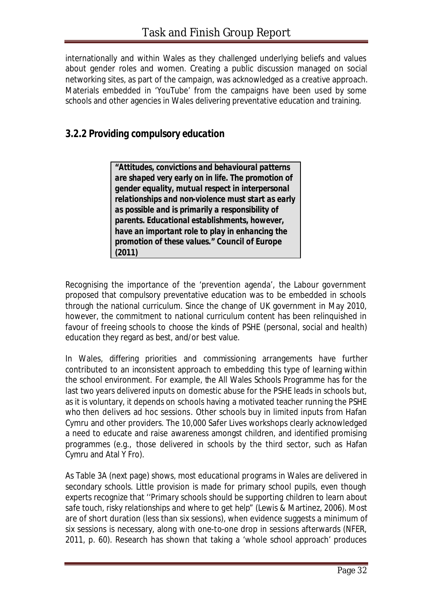internationally and within Wales as they challenged underlying beliefs and values about gender roles and women. Creating a public discussion managed on social networking sites, as part of the campaign, was acknowledged as a creative approach. Materials embedded in 'YouTube' from the campaigns have been used by some schools and other agencies in Wales delivering preventative education and training.

### *3.2.2 Providing compulsory education*

*"Attitudes, convictions and behavioural patterns are shaped very early on in life. The promotion of gender equality, mutual respect in interpersonal relationships and non-violence must start as early as possible and is primarily a responsibility of parents. Educational establishments, however, have an important role to play in enhancing the promotion of these values."* **Council of Europe (2011)**

Recognising the importance of the 'prevention agenda', the Labour government proposed that compulsory preventative education was to be embedded in schools through the national curriculum. Since the change of UK government in May 2010, however, the commitment to national curriculum content has been relinquished in favour of freeing schools to *choose* the kinds of PSHE (personal, social and health) education they regard as best, and/or best value.

In Wales, differing priorities and commissioning arrangements have further contributed to an inconsistent approach to embedding this type of learning within the school environment. For example, the All Wales Schools Programme has for the last two years delivered inputs on domestic abuse for the PSHE leads in schools but, as it is voluntary, it depends on schools having a motivated teacher running the PSHE who then delivers ad hoc sessions. Other schools buy in limited inputs from Hafan Cymru and other providers. The 10,000 Safer Lives workshops clearly acknowledged a need to educate and raise awareness amongst children, and identified promising programmes (e.g., those delivered in schools by the third sector, such as Hafan Cymru and Atal Y Fro).

As Table 3A (next page) shows, most educational programs in Wales are delivered in secondary schools. Little provision is made for primary school pupils, even though experts recognize that ''*Primary schools should be supporting children to learn about safe touch, risky relationships and where to get help*" (Lewis & Martinez, 2006). Most are of short duration (less than six sessions), when evidence suggests a minimum of six sessions is necessary, along with one-to-one drop in sessions afterwards (NFER, 2011, p. 60). Research has shown that taking a 'whole school approach' produces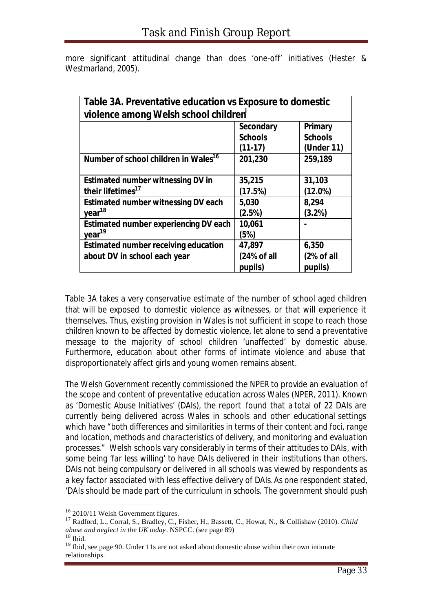| Table 3A. Preventative education vs Exposure to domestic<br>violence among Welsh school children |                                                 |                                         |  |
|--------------------------------------------------------------------------------------------------|-------------------------------------------------|-----------------------------------------|--|
|                                                                                                  | <b>Secondary</b><br><b>Schools</b><br>$(11-17)$ | Primary<br><b>Schools</b><br>(Under 11) |  |
| Number of school children in Wales <sup>16</sup>                                                 | 201,230                                         | 259,189                                 |  |
| <b>Estimated number witnessing DV in</b>                                                         | 35,215                                          | 31,103                                  |  |
| their lifetimes <sup>17</sup>                                                                    | (17.5%)                                         | $(12.0\%)$                              |  |
| <b>Estimated number witnessing DV each</b>                                                       | 5,030                                           | 8,294                                   |  |
| year <sup>18</sup>                                                                               | (2.5%)                                          | (3.2%)                                  |  |
| Estimated number experiencing DV each<br>year <sup>19</sup>                                      | 10,061<br>(5%)                                  |                                         |  |
| <b>Estimated number receiving education</b>                                                      | 47,897                                          | 6,350                                   |  |
| about DV in school each year                                                                     | (24% of all<br>pupils)                          | (2% of all<br>pupils)                   |  |

more significant attitudinal change than does 'one-off' initiatives (Hester & Westmarland, 2005).

Table 3A takes a very conservative estimate of the number of school aged children that will be exposed to domestic violence as witnesses, or that will experience it themselves. Thus, existing provision in Wales is not sufficient in scope to reach those children *known* to be affected by domestic violence, let alone to send a preventative message to the majority of school children 'unaffected' by domestic abuse. Furthermore, education about other forms of intimate violence and abuse that disproportionately affect girls and young women remains absent.

The Welsh Government recently commissioned the NPER to provide an evaluation of the scope and content of preventative education across Wales (NPER, 2011). Known as 'Domestic Abuse Initiatives' (DAIs), the report found that a total of 22 DAIs are currently being delivered across Wales in schools and other educational settings which have "*both differences and similarities in terms of their content and foci, range and location, methods and characteristics of delivery, and monitoring and evaluation processes*." Welsh schools vary considerably in terms of their attitudes to DAIs, with some being '*far less willing*' to have DAIs delivered in their institutions than others. DAIs not being *compulsory* or delivered in all schools was viewed by respondents as a key factor associated with less effective delivery of DAIs.As one respondent stated, '*DAIs should be made part of the curriculum in schools. The government should push* 

<sup>&</sup>lt;sup>16</sup> 2010/11 Welsh Government figures.

<sup>17</sup> Radford, L., Corral, S., Bradley, C., Fisher, H., Bassett, C., Howat, N., & Collishaw (2010). *Child abuse and neglect in the UK today*. NSPCC. (see page 89)

 $18$  Ibid.

<sup>&</sup>lt;sup>19</sup> Ibid, see page 90. Under 11s are not asked about domestic abuse within their own intimate relationships.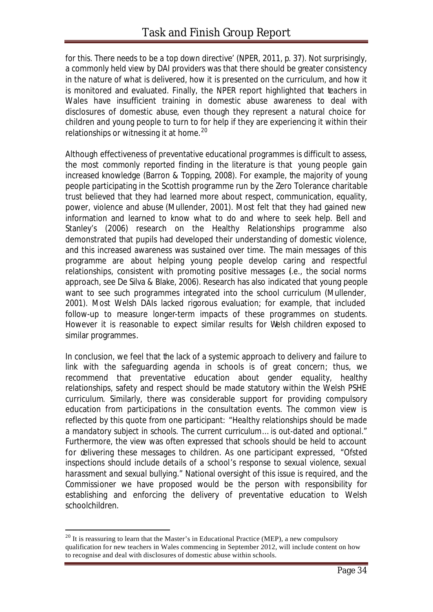*for this. There needs to be a top down directive*' (NPER, 2011, p. 37). Not surprisingly, a commonly held view by DAI providers was that there should be greater consistency in the nature of what is delivered, how it is presented on the curriculum, and how it is monitored and evaluated. Finally, the NPER report highlighted that teachers in Wales have insufficient training in domestic abuse awareness to deal with disclosures of domestic abuse, even though they represent a natural choice for children and young people to turn to for help if they are experiencing it within their relationships or witnessing it at home.<sup>20</sup>

Although effectiveness of preventative educational programmes is difficult to assess, the most commonly reported finding in the literature is that young people gain increased knowledge (Barron & Topping, 2008). For example, the majority of young people participating in the Scottish programme run by the Zero Tolerance charitable trust believed that they had learned more about respect, communication, equality, power, violence and abuse (Mullender, 2001). Most felt that they had gained new information and learned to know what to do and where to seek help. Bell and Stanley's (2006) research on the Healthy Relationships programme also demonstrated that pupils had developed their understanding of domestic violence, and this increased awareness was sustained over time. The main messages of this programme are about helping young people develop caring and respectful relationships, consistent with promoting positive messages (.e., the social norms approach, see De Silva & Blake, 2006). Research has also indicated that young people want to see such programmes integrated into the school curriculum (Mullender, 2001). Most Welsh DAIs lacked rigorous evaluation; for example, that included follow-up to measure longer-term impacts of these programmes on students. However it is reasonable to expect similar results for Welsh children exposed to similar programmes.

In conclusion, we feel that the lack of a systemic approach to delivery and failure to link with the safeguarding agenda in schools is of great concern; thus, we recommend that preventative education about gender equality, healthy relationships, safety and respect should be made statutory within the Welsh PSHE curriculum. Similarly, there was considerable support for providing compulsory education from participations in the consultation events. The common view is reflected by this quote from one participant: *"Healthy relationships should be made a mandatory subject in schools. The current curriculum… is out-dated and optional."* Furthermore, the view was often expressed that schools should be held to account for delivering these messages to children. As one participant expressed, *"Ofsted inspections should include details of a school's response to sexual violence, sexual harassment and sexual bullying."* National oversight of this issue is required, and the Commissioner we have proposed would be the person with responsibility for establishing and enforcing the delivery of preventative education to Welsh schoolchildren.

 $20$  It is reassuring to learn that the Master's in Educational Practice (MEP), a new compulsory qualification for new teachers in Wales commencing in September 2012, will include content on how to recognise and deal with disclosures of domestic abuse within schools.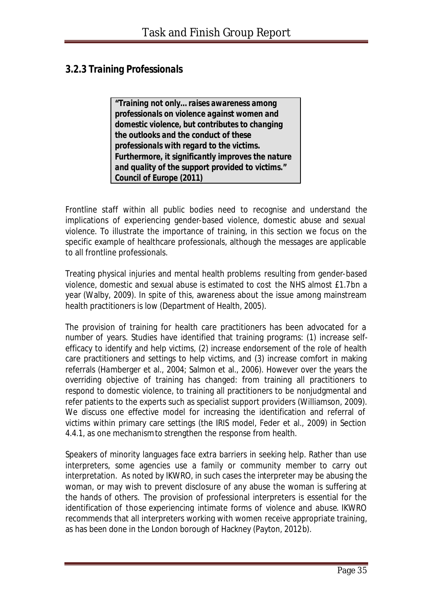### *3.2.3 Training Professionals*

*"Training not only… raises awareness among professionals on violence against women and domestic violence, but contributes to changing the outlooks and the conduct of these professionals with regard to the victims. Furthermore, it significantly improves the nature and quality of the support provided to victims." Council of Europe (2011)*

Frontline staff within all public bodies need to recognise and understand the implications of experiencing gender-based violence, domestic abuse and sexual violence. To illustrate the importance of training, in this section we focus on the specific example of healthcare professionals, although the messages are applicable to all frontline professionals.

Treating physical injuries and mental health problems resulting from gender-based violence, domestic and sexual abuse is estimated to cost the NHS almost £1.7bn a year (Walby, 2009). In spite of this, awareness about the issue among mainstream health practitioners is low (Department of Health, 2005).

The provision of training for health care practitioners has been advocated for a number of years. Studies have identified that training programs: (1) increase selfefficacy to identify and help victims, (2) increase endorsement of the role of health care practitioners and settings to help victims, and (3) increase comfort in making referrals (Hamberger et al., 2004; Salmon et al., 2006). However over the years the overriding objective of training has changed: from training all practitioners to respond to domestic violence, to training all practitioners to be nonjudgmental and refer patients to the experts such as specialist support providers (Williamson, 2009). We discuss one effective model for increasing the identification and referral of victims within primary care settings (the IRIS model, Feder et al., 2009) in Section 4.4.1, as one mechanism to strengthen the response from health.

Speakers of minority languages face extra barriers in seeking help. Rather than use interpreters, some agencies use a family or community member to carry out interpretation. As noted by IKWRO, in such cases the interpreter may be abusing the woman, or may wish to prevent disclosure of any abuse the woman is suffering at the hands of others. The provision of professional interpreters is essential for the identification of those experiencing intimate forms of violence and abuse. IKWRO recommends that all interpreters working with women receive appropriate training, as has been done in the London borough of Hackney (Payton, 2012b).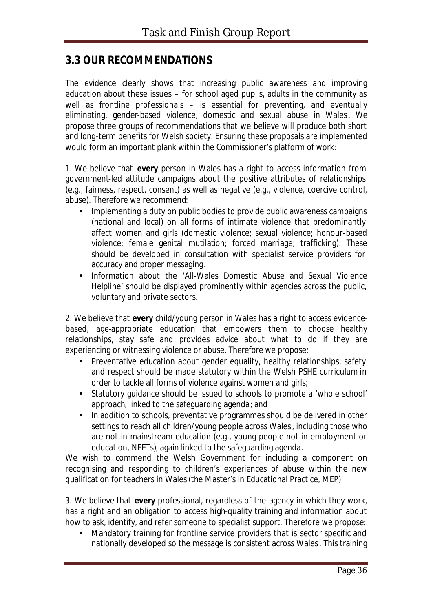### **3.3 OUR RECOMMENDATIONS**

The evidence clearly shows that increasing public awareness and improving education about these issues – for school aged pupils, adults in the community as well as frontline professionals – is essential for preventing, and eventually eliminating, gender-based violence, domestic and sexual abuse in Wales. We propose three groups of recommendations that we believe will produce both short and long-term benefits for Welsh society. Ensuring these proposals are implemented would form an important plank within the Commissioner's platform of work:

1. We believe that **every** person in Wales has a right to access information from government-led attitude campaigns about the positive attributes of relationships (e.g., fairness, respect, consent) as well as negative (e.g., violence, coercive control, abuse). Therefore we recommend:

- Implementing a duty on public bodies to provide public awareness campaigns (national and local) on all forms of intimate violence that predominantly affect women and girls (domestic violence; sexual violence; honour-based violence; female genital mutilation; forced marriage; trafficking). These should be developed in consultation with specialist service providers for accuracy and proper messaging.
- Information about the 'All-Wales Domestic Abuse and Sexual Violence Helpline' should be displayed prominently within agencies across the public, voluntary and private sectors.

2. We believe that **every** child/young person in Wales has a right to access evidencebased, age-appropriate education that empowers them to choose healthy relationships, stay safe and provides advice about what to do if they are experiencing or witnessing violence or abuse. Therefore we propose:

- Preventative education about gender equality, healthy relationships, safety and respect should be made statutory within the Welsh PSHE curriculum in order to tackle all forms of violence against women and girls;
- Statutory guidance should be issued to schools to promote a 'whole school' approach, linked to the safeguarding agenda; and
- In addition to schools, preventative programmes should be delivered in other settings to reach all children/young people across Wales, including those who are not in mainstream education (e.g., young people not in employment or education, NEETs), again linked to the safeguarding agenda.

We wish to commend the Welsh Government for including a component on recognising and responding to children's experiences of abuse within the new qualification for teachers in Wales (the Master's in Educational Practice, MEP).

3. We believe that **every** professional, regardless of the agency in which they work, has a right and an obligation to access high-quality training and information about how to ask, identify, and refer someone to specialist support. Therefore we propose:

• Mandatory training for frontline service providers that is sector specific and nationally developed so the message is consistent across Wales. This training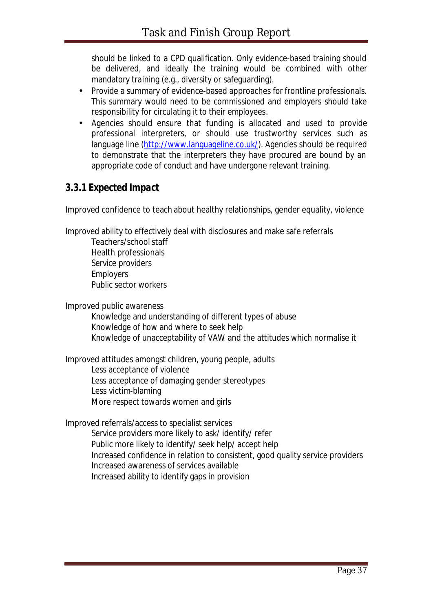should be linked to a CPD qualification. Only evidence-based training should be delivered, and ideally the training would be combined with other mandatory training (e.g., diversity or safeguarding).

- Provide a summary of evidence-based approaches for frontline professionals. This summary would need to be commissioned and employers should take responsibility for circulating it to their employees.
- Agencies should ensure that funding is allocated and used to provide professional interpreters, or should use trustworthy services such as language line (http://www.languageline.co.uk/). Agencies should be required to demonstrate that the interpreters they have procured are bound by an appropriate code of conduct and have undergone relevant training.

#### *3.3.1 Expected Impact*

Improved confidence to teach about healthy relationships, gender equality, violence

Improved ability to effectively deal with disclosures and make safe referrals

Teachers/school staff Health professionals Service providers **Employers** Public sector workers

Improved public awareness

Knowledge and understanding of different types of abuse Knowledge of how and where to seek help Knowledge of unacceptability of VAW and the attitudes which normalise it

Improved attitudes amongst children, young people, adults Less acceptance of violence Less acceptance of damaging gender stereotypes Less victim-blaming More respect towards women and girls

Improved referrals/access to specialist services Service providers more likely to ask/ identify/ refer Public more likely to identify/ seek help/ accept help Increased confidence in relation to consistent, good quality service providers Increased awareness of services available Increased ability to identify gaps in provision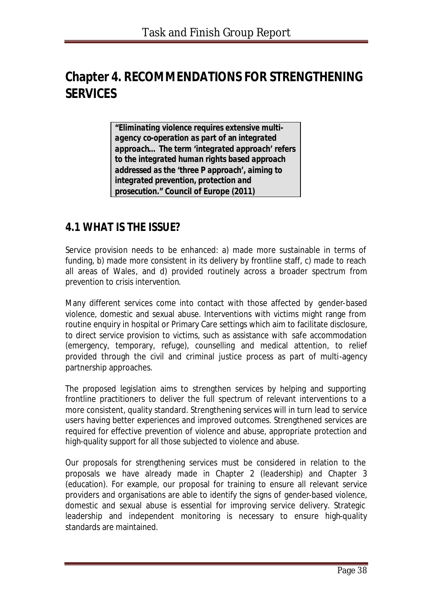# **Chapter 4. RECOMMENDATIONS FOR STRENGTHENING SERVICES**

*"Eliminating violence requires extensive multiagency co-operation as part of an integrated approach… The term 'integrated approach' refers to the integrated human rights based approach addressed as the 'three P approach', aiming to integrated prevention, protection and prosecution."* **Council of Europe (2011)**

## **4.1 WHAT IS THE ISSUE?**

Service provision needs to be enhanced: a) made more sustainable in terms of funding, b) made more consistent in its delivery by frontline staff, c) made to reach all areas of Wales, and d) provided routinely across a broader spectrum from prevention to crisis intervention.

Many different services come into contact with those affected by gender-based violence, domestic and sexual abuse. Interventions with victims might range from routine enquiry in hospital or Primary Care settings which aim to facilitate disclosure, to direct service provision to victims, such as assistance with safe accommodation (emergency, temporary, refuge), counselling and medical attention, to relief provided through the civil and criminal justice process as part of multi-agency partnership approaches.

The proposed legislation aims to strengthen services by helping and supporting frontline practitioners to deliver the full spectrum of relevant interventions to a more consistent, quality standard. Strengthening services will in turn lead to service users having better experiences and improved outcomes. Strengthened services are required for effective *prevention* of violence and abuse, appropriate *protection* and high-quality *support* for all those subjected to violence and abuse.

Our proposals for strengthening services must be considered in relation to the proposals we have already made in Chapter 2 (leadership) and Chapter 3 (education). For example, our proposal for training to ensure all relevant service providers and organisations are able to identify the signs of gender-based violence, domestic and sexual abuse is essential for improving service delivery. Strategic leadership and independent monitoring is necessary to ensure high-quality standards are maintained.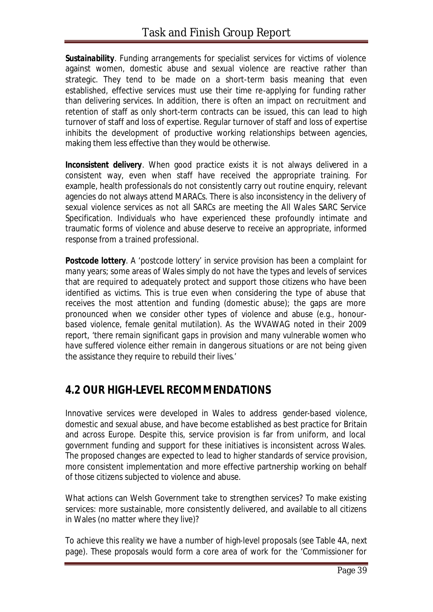**Sustainability**. Funding arrangements for specialist services for victims of violence against women, domestic abuse and sexual violence are reactive rather than strategic. They tend to be made on a short-term basis meaning that even established, effective services must use their time re-applying for funding rather than delivering services. In addition, there is often an impact on recruitment and retention of staff as only short-term contracts can be issued, this can lead to high turnover of staff and loss of expertise. Regular turnover of staff and loss of expertise inhibits the development of productive working relationships between agencies, making them less effective than they would be otherwise.

*Inconsistent delivery*. When good practice exists it is not always delivered in a consistent way, even when staff have received the appropriate training. For example, health professionals do not consistently carry out routine enquiry, relevant agencies do not always attend MARACs. There is also inconsistency in the delivery of sexual violence services as not all SARCs are meeting the All Wales SARC Service Specification. Individuals who have experienced these profoundly intimate and traumatic forms of violence and abuse deserve to receive an appropriate, informed response from a trained professional.

**Postcode lottery**. A 'postcode lottery' in service provision has been a complaint for many years; some areas of Wales simply do not have the types and levels of services that are required to adequately protect and support those citizens who have been identified as victims. This is true even when considering the type of abuse that receives the most attention and funding (domestic abuse); the gaps are more pronounced when we consider other types of violence and abuse (e.g., honourbased violence, female genital mutilation). As the WVAWAG noted in their 2009 report, '*there remain significant gaps in provision and many vulnerable women who have suffered violence either remain in dangerous situations or are not being given the assistance they require to rebuild their lives*.'

## **4.2 OUR HIGH-LEVEL RECOMMENDATIONS**

Innovative services were developed in Wales to address gender-based violence, domestic and sexual abuse, and have become established as best practice for Britain and across Europe. Despite this, service provision is far from uniform, and local government funding and support for these initiatives is inconsistent across Wales. The proposed changes are expected to lead to higher standards of service provision, more consistent implementation and more effective partnership working on behalf of those citizens subjected to violence and abuse.

What actions can Welsh Government take to strengthen services? To make existing services: more sustainable, more consistently delivered, and available to all citizens in Wales (no matter where they live)?

To achieve this reality we have a number of high-level proposals (see Table 4A, next page). These proposals would form a core area of work for the 'Commissioner for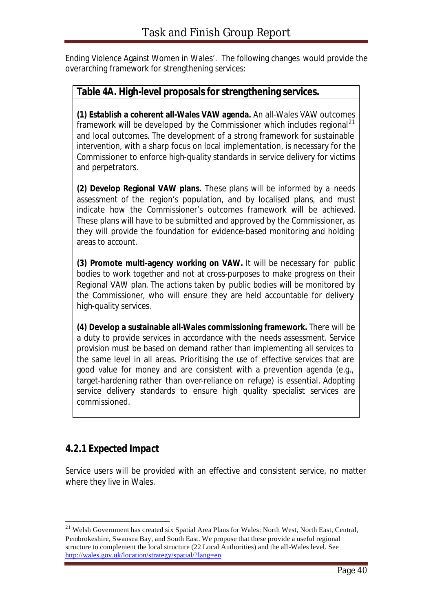Ending Violence Against Women in Wales'. The following changes would provide the overarching framework for strengthening services:

#### **Table 4A. High-level proposals for strengthening services.**

**(1) Establish a coherent all-Wales VAW agenda.** An all-Wales VAW outcomes framework will be developed by the Commissioner which includes regional<sup>21</sup> and local outcomes. The development of a strong framework for sustainable intervention, with a sharp focus on local implementation, is necessary for the Commissioner to enforce high-quality standards in service delivery for victims and perpetrators.

**(2) Develop Regional VAW plans.** These plans will be informed by a needs assessment of the region's population, and by localised plans, and must indicate how the Commissioner's outcomes framework will be achieved. These plans will have to be submitted and approved by the Commissioner, as they will provide the foundation for evidence-based monitoring and holding areas to account.

**(3) Promote multi-agency working on VAW.** It will be necessary for public bodies to work together and not at cross-purposes to make progress on their Regional VAW plan. The actions taken by public bodies will be monitored by the Commissioner, who will ensure they are held accountable for delivery high-quality services.

**(4) Develop a sustainable all-Wales commissioning framework.** There will be a duty to provide services in accordance with the needs assessment. Service provision must be based on demand rather than implementing all services to the same level in all areas. Prioritising the use of effective services that are good value for money and are consistent with a prevention agenda (e.g., target-hardening rather than over-reliance on refuge) is essential. Adopting service delivery standards to ensure high quality specialist services are commissioned.

### *4.2.1 Expected Impact*

l

Service users will be provided with an effective and consistent service, no matter where they live in Wales.

<sup>&</sup>lt;sup>21</sup> Welsh Government has created six Spatial Area Plans for Wales: North West, North East, Central, Pembrokeshire, Swansea Bay, and South East. We propose that these provide a useful regional structure to complement the local structure (22 Local Authorities) and the all-Wales level. See http://wales.gov.uk/location/strategy/spatial/?lang=en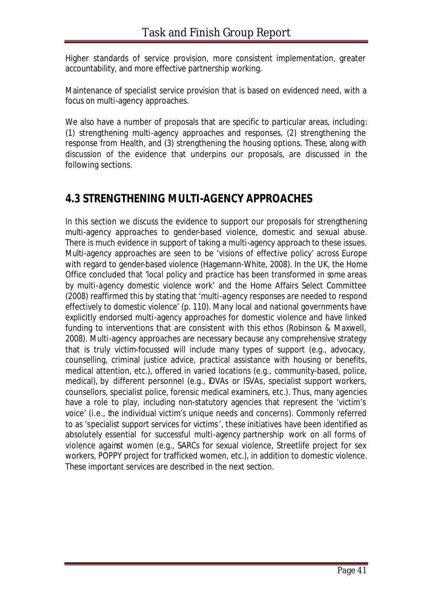Higher standards of service provision, more consistent implementation, greater accountability, and more effective partnership working.

Maintenance of specialist service provision that is based on evidenced need, with a focus on multi-agency approaches.

We also have a number of proposals that are specific to particular areas, including: (1) strengthening multi-agency approaches and responses, (2) strengthening the response from Health, and (3) strengthening the housing options. These, along with discussion of the evidence that underpins our proposals, are discussed in the following sections.

## **4.3 STRENGTHENING MULTI-AGENCY APPROACHES**

In this section we discuss the evidence to support our proposals for strengthening multi-agency approaches to gender-based violence, domestic and sexual abuse. There is much evidence in support of taking a multi-agency approach to these issues. Multi-agency approaches are seen to be 'visions of effective policy' across Europe with regard to gender-based violence (Hagemann-White, 2008). In the UK, the Home Office concluded that '*local policy and practice has been transformed in some areas by multi-agency domestic violence work*' and the Home Affairs Select Committee (2008) reaffirmed this by stating that '*multi-agency responses are needed to respond effectively to domestic violence*' (p. 110). Many local and national governments have explicitly endorsed multi-agency approaches for domestic violence and have linked funding to interventions that are consistent with this ethos (Robinson & Maxwell, 2008). Multi-agency approaches are necessary because any comprehensive strategy that is truly victim-focussed will include many types of support (e.g., advocacy, counselling, criminal justice advice, practical assistance with housing or benefits, medical attention, etc.), offered in varied locations (e.g., community-based, police, medical), by different personnel (e.g., IDVAs or ISVAs, specialist support workers, counsellors, specialist police, forensic medical examiners, etc.). Thus, many agencies have a role to play, including non-statutory agencies that represent the 'victim's voice' (i.e., the individual victim's unique needs and concerns). Commonly referred to as 'specialist support services for victims', these initiatives have been identified as absolutely essential for successful multi-agency partnership work on all forms of violence against women (e.g., SARCs for sexual violence, Streetlife project for sex workers, POPPY project for trafficked women, etc.), in addition to domestic violence. These important services are described in the next section.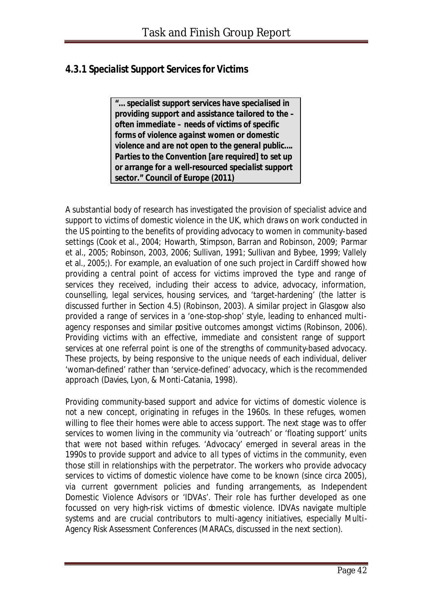### *4.3.1 Specialist Support Services for Victims*

*"… specialist support services have specialised in providing support and assistance tailored to the – often immediate – needs of victims of specific forms of violence against women or domestic violence and are not open to the general public…. Parties to the Convention [are required] to set up or arrange for a well-resourced specialist support sector."* **Council of Europe (2011)**

A substantial body of research has investigated the provision of specialist advice and support to victims of domestic violence in the UK, which draws on work conducted in the US pointing to the benefits of providing advocacy to women in community-based settings (Cook et al., 2004; Howarth, Stimpson, Barran and Robinson, 2009; Parmar et al., 2005; Robinson, 2003, 2006; Sullivan, 1991; Sullivan and Bybee, 1999; Vallely et al., 2005;). For example, an evaluation of one such project in Cardiff showed how providing a central point of access for victims improved the type and range of services they received, including their access to advice, advocacy, information, counselling, legal services, housing services, and 'target-hardening' (the latter is discussed further in Section 4.5) (Robinson, 2003). A similar project in Glasgow also provided a range of services in a 'one-stop-shop' style, leading to enhanced multiagency responses and similar positive outcomes amongst victims (Robinson, 2006). Providing victims with an effective, immediate and consistent range of support services at one referral point is one of the strengths of community-based advocacy. These projects, by being responsive to the unique needs of each individual, deliver 'woman-defined' rather than 'service-defined' advocacy, which is the recommended approach (Davies, Lyon, & Monti-Catania, 1998).

Providing community-based support and advice for victims of domestic violence is not a new concept, originating in refuges in the 1960s. In these refuges, women willing to flee their homes were able to access support. The next stage was to offer services to women living in the community via 'outreach' or 'floating support' units that were *not* based within refuges. 'Advocacy' emerged in several areas in the 1990s to provide support and advice to *all* types of victims in the community, even those still in relationships with the perpetrator. The workers who provide advocacy services to victims of domestic violence have come to be known (since circa 2005), via current government policies and funding arrangements, as Independent Domestic Violence Advisors or 'IDVAs'. Their role has further developed as one focussed on very high-risk victims of domestic violence. IDVAs navigate multiple systems and are crucial contributors to multi-agency initiatives, especially Multi-Agency Risk Assessment Conferences (MARACs, discussed in the next section).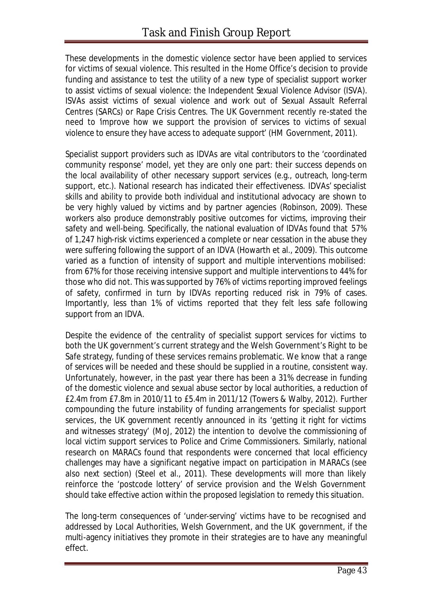These developments in the domestic violence sector have been applied to services for victims of sexual violence. This resulted in the Home Office's decision to provide funding and assistance to test the utility of a new type of specialist support worker to assist victims of sexual violence: the Independent Sexual Violence Advisor (ISVA). ISVAs assist victims of sexual violence and work out of Sexual Assault Referral Centres (SARCs) or Rape Crisis Centres. The UK Government recently re-stated the need to '*improve how we support the provision of services to victims of sexual violence to ensure they have access to adequate support*' (HM Government, 2011).

Specialist support providers such as IDVAs are vital contributors to the 'coordinated community response' model, yet they are only one part: their success depends on the local availability of other necessary support services (e.g., outreach, long-term support, etc.). National research has indicated their effectiveness. IDVAs' specialist skills and ability to provide both individual and institutional advocacy are shown to be very highly valued by victims and by partner agencies (Robinson, 2009). These workers also produce demonstrably positive outcomes for victims, improving their safety and well-being. Specifically, the national evaluation of IDVAs found that 57% of 1,247 high-risk victims experienced a complete or near cessation in the abuse they were suffering following the support of an IDVA (Howarth et al., 2009). This outcome varied as a function of intensity of support and multiple interventions mobilised: from 67% for those receiving intensive support and multiple interventions to 44% for those who did not. This wassupported by 76% of victims reporting improved feelings of safety, confirmed in turn by IDVAs reporting reduced risk in 79% of cases. Importantly, less than 1% of victims reported that they felt less safe following support from an IDVA.

Despite the evidence of the centrality of specialist support services for victims to both the UK government's current strategy and the Welsh Government's *Right to be Safe* strategy, funding of these services remains problematic. We know that a range of services will be needed and these should be supplied in a routine, consistent way. Unfortunately, however, in the past year there has been a 31% decrease in funding of the domestic violence and sexual abuse sector by local authorities, a reduction of £2.4m from £7.8m in 2010/11 to £5.4m in 2011/12 (Towers & Walby, 2012). Further compounding the future instability of funding arrangements for specialist support services, the UK government recently announced in its '*getting it right for victims and witnesses strategy*' (MoJ, 2012) the intention to devolve the commissioning of local victim support services to Police and Crime Commissioners. Similarly, national research on MARACs found that respondents were concerned that local efficiency challenges may have a significant negative impact on participation in MARACs (see also next section) (Steel et al., 2011). These developments will more than likely reinforce the 'postcode lottery' of service provision and the Welsh Government should take effective action within the proposed legislation to remedy this situation.

The long-term consequences of 'under-serving' victims have to be recognised and addressed by Local Authorities, Welsh Government, and the UK government, if the multi-agency initiatives they promote in their strategies are to have any meaningful effect.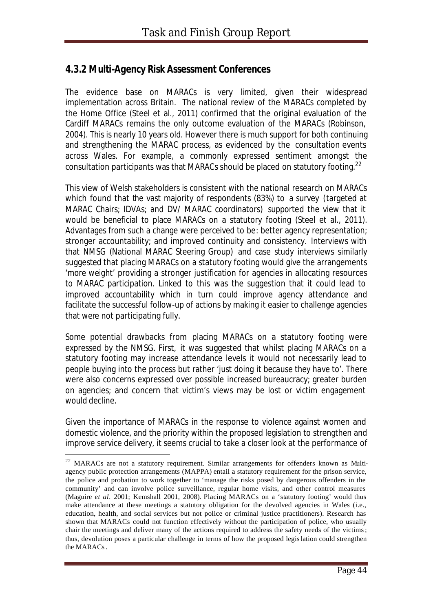### *4.3.2 Multi-Agency Risk Assessment Conferences*

The evidence base on MARACs is very limited, given their widespread implementation across Britain. The national review of the MARACs completed by the Home Office (Steel et al., 2011) confirmed that the original evaluation of the Cardiff MARACs remains the only outcome evaluation of the MARACs (Robinson, 2004). This is nearly 10 years old. However there is much support for both continuing and strengthening the MARAC process, as evidenced by the consultation events across Wales. For example, a commonly expressed sentiment amongst the consultation participants was that MARACs should be placed on statutory footing.<sup>22</sup>

This view of Welsh stakeholders is consistent with the national research on MARACs which found that the vast majority of respondents (83%) to a survey (targeted at MARAC Chairs; IDVAs; and DV/ MARAC coordinators) supported the view that it would be beneficial to place MARACs on a statutory footing (Steel et al., 2011). Advantages from such a change were perceived to be: better agency representation; stronger accountability; and improved continuity and consistency. Interviews with that NMSG (National MARAC Steering Group) and case study interviews similarly suggested that placing MARACs on a statutory footing would give the arrangements '*more weight*' providing a stronger justification for agencies in allocating resources to MARAC participation. Linked to this was the suggestion that it could lead to improved accountability which in turn could improve agency attendance and facilitate the successful follow-up of actions by making it easier to challenge agencies that were not participating fully.

Some potential drawbacks from placing MARACs on a statutory footing were expressed by the NMSG. First, it was suggested that whilst placing MARACs on a statutory footing may increase attendance levels it would not necessarily lead to people buying into the process but rather '*just doing it because they have to*'. There were also concerns expressed over possible increased bureaucracy; greater burden on agencies; and concern that victim's views may be lost or victim engagement would decline.

Given the importance of MARACs in the response to violence against women and domestic violence, and the priority within the proposed legislation to strengthen and improve service delivery, it seems crucial to take a closer look at the performance of

l

<sup>&</sup>lt;sup>22</sup> MARACs are not a statutory requirement. Similar arrangements for offenders known as Multiagency public protection arrangements (MAPPA) entail a statutory requirement for the prison service, the police and probation to work together to 'manage the risks posed by dangerous offenders in the community' and can involve police surveillance, regular home visits, and other control measures (Maguire *et al*. 2001; Kemshall 2001, 2008). Placing MARACs on a 'statutory footing' would thus make attendance at these meetings a statutory obligation for the devolved agencies in Wales (i.e., education, health, and social services but not police or criminal justice practitioners). Research has shown that MARACs could not function effectively without the participation of police, who usually chair the meetings and deliver many of the actions required to address the safety needs of the victims; thus, devolution poses a particular challenge in terms of how the proposed legislation could strengthen the MARACs.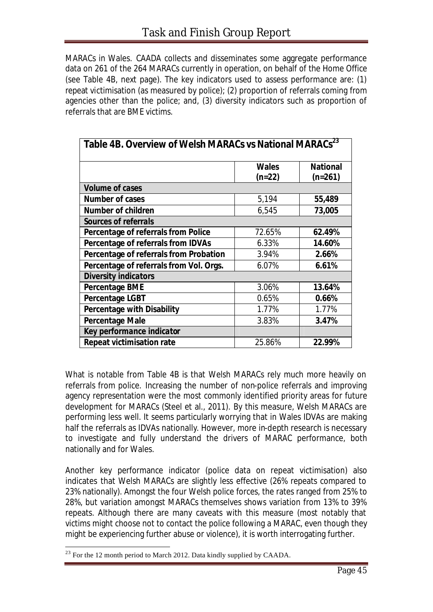MARACs in Wales. CAADA collects and disseminates some aggregate performance data on 261 of the 264 MARACs currently in operation, on behalf of the Home Office (see Table 4B, next page). The key indicators used to assess performance are: (1) repeat victimisation (as measured by police); (2) proportion of referrals coming from agencies other than the police; and, (3) diversity indicators such as proportion of referrals that are BME victims.

| Table 4B. Overview of Welsh MARACs vs National MARACs <sup>23</sup> |              |                 |
|---------------------------------------------------------------------|--------------|-----------------|
|                                                                     | <b>Wales</b> | <b>National</b> |
|                                                                     | $(n=22)$     | $(n=261)$       |
| <b>Volume of cases</b>                                              |              |                 |
| <b>Number of cases</b>                                              | 5,194        | 55,489          |
| <b>Number of children</b>                                           | 6,545        | 73,005          |
| <b>Sources of referrals</b>                                         |              |                 |
| Percentage of referrals from Police                                 | 72.65%       | 62.49%          |
| Percentage of referrals from IDVAs                                  | 6.33%        | 14.60%          |
| Percentage of referrals from Probation                              | 3.94%        | 2.66%           |
| Percentage of referrals from Vol. Orgs.                             | 6.07%        | 6.61%           |
| <b>Diversity indicators</b>                                         |              |                 |
| <b>Percentage BME</b>                                               | 3.06%        | 13.64%          |
| <b>Percentage LGBT</b>                                              | 0.65%        | 0.66%           |
| <b>Percentage with Disability</b>                                   | 1.77%        | 1.77%           |
| <b>Percentage Male</b>                                              | 3.83%        | 3.47%           |
| Key performance indicator                                           |              |                 |
| <b>Repeat victimisation rate</b>                                    | 25.86%       | 22.99%          |

What is notable from Table 4B is that Welsh MARACs rely much more heavily on referrals from police. Increasing the number of non-police referrals and improving agency representation were the most commonly identified priority areas for future development for MARACs (Steel et al., 2011). By this measure, Welsh MARACs are performing less well. It seems particularly worrying that in Wales IDVAs are making half the referrals as IDVAs nationally. However, more in-depth research is necessary to investigate and fully understand the drivers of MARAC performance, both nationally and for Wales.

Another key performance indicator (police data on repeat victimisation) also indicates that Welsh MARACs are slightly less effective (26% repeats compared to 23% nationally). Amongst the four Welsh police forces, the rates ranged from 25% to 28%, but variation amongst MARACs themselves shows variation from 13% to 39% repeats. Although there are many caveats with this measure (most notably that victims might choose not to contact the police following a MARAC, even though they might be experiencing further abuse or violence), it is worth interrogating further.

l

 $^{23}$  For the 12 month period to March 2012. Data kindly supplied by CAADA.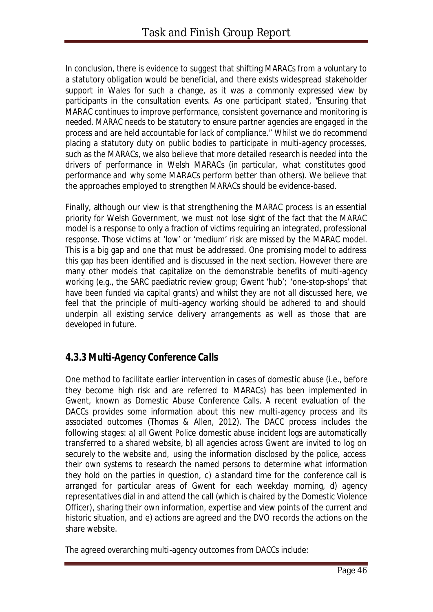In conclusion, there is evidence to suggest that shifting MARACs from a voluntary to a statutory obligation would be beneficial, and there exists widespread stakeholder support in Wales for such a change, as it was a commonly expressed view by participants in the consultation events. As one participant stated, "*Ensuring that MARAC continues to improve performance, consistent governance and monitoring is needed. MARAC needs to be statutory to ensure partner agencies are engaged in the process and are held accountable for lack of compliance."* Whilst we do recommend placing a statutory duty on public bodies to participate in multi-agency processes, such as the MARACs, we also believe that more detailed research is needed into the drivers of performance in Welsh MARACs (in particular, *what* constitutes good performance and *why* some MARACs perform better than others). We believe that the approaches employed to strengthen MARACs should be evidence-based.

Finally, although our view is that strengthening the MARAC process is an essential priority for Welsh Government, we must not lose sight of the fact that the MARAC model is a response to only a fraction of victims requiring an integrated, professional response. Those victims at 'low' or 'medium' risk are missed by the MARAC model. This is a big gap and one that must be addressed. One promising model to address this gap has been identified and is discussed in the next section. However there are many other models that capitalize on the demonstrable benefits of multi-agency working (e.g., the SARC paediatric review group; Gwent 'hub'; 'one-stop-shops' that have been funded via capital grants) and whilst they are not all discussed here, we feel that the principle of multi-agency working should be adhered to and should underpin all existing service delivery arrangements as well as those that are developed in future.

#### *4.3.3 Multi-Agency Conference Calls*

One method to facilitate earlier intervention in cases of domestic abuse (i.e., before they become high risk and are referred to MARACs) has been implemented in Gwent, known as Domestic Abuse Conference Calls. A recent evaluation of the DACCs provides some information about this new multi-agency process and its associated outcomes (Thomas & Allen, 2012). The DACC process includes the following stages: a) all Gwent Police domestic abuse incident logs are automatically transferred to a shared website, b) all agencies across Gwent are invited to log on securely to the website and, using the information disclosed by the police, access their own systems to research the named persons to determine what information they hold on the parties in question, c) a standard time for the conference call is arranged for particular areas of Gwent for each weekday morning, d) agency representatives dial in and attend the call (which is chaired by the Domestic Violence Officer), sharing their own information, expertise and view points of the current and historic situation, and e) actions are agreed and the DVO records the actions on the share website.

The agreed overarching multi-agency outcomes from DACCs include: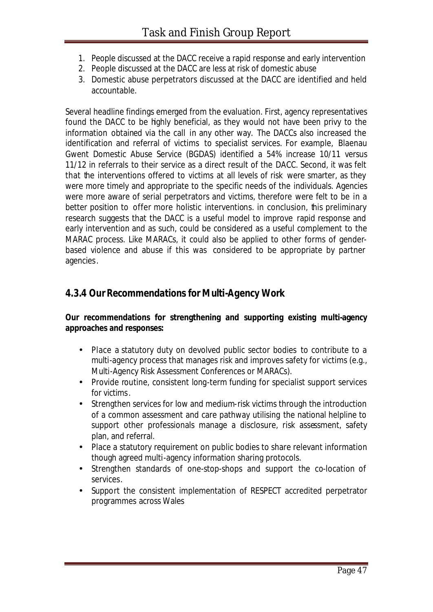- 1. People discussed at the DACC receive a rapid response and early intervention
- 2. People discussed at the DACC are less at risk of domestic abuse
- 3. Domestic abuse perpetrators discussed at the DACC are identified and held accountable.

Several headline findings emerged from the evaluation. First, agency representatives found the DACC to be highly beneficial, as they would not have been privy to the information obtained via the call in any other way. The DACCs also increased the identification and referral of victims to specialist services. For example, Blaenau Gwent Domestic Abuse Service (BGDAS) identified a 54% increase 10/11 versus 11/12 in referrals to their service as a direct result of the DACC. Second, it was felt that the interventions offered to victims at all levels of risk were smarter, as they were more timely and appropriate to the specific needs of the individuals. Agencies were more aware of serial perpetrators and victims, therefore were felt to be in a better position to offer more holistic interventions. in conclusion, this preliminary research suggests that the DACC is a useful model to improve rapid response and early intervention and as such, could be considered as a useful complement to the MARAC process. Like MARACs, it could also be applied to other forms of genderbased violence and abuse if this was considered to be appropriate by partner agencies.

### *4.3.4 Our Recommendations for Multi-Agency Work*

#### **Our recommendations for strengthening and supporting existing multi-agency approaches and responses:**

- Place a statutory duty on devolved public sector bodies to contribute to a multi-agency process that manages risk and improves safety for victims (e.g., Multi-Agency Risk Assessment Conferences or MARACs).
- Provide routine, consistent long-term funding for specialist support services for victims.
- Strengthen services for low and medium-risk victims through the introduction of a common assessment and care pathway utilising the national helpline to support other professionals manage a disclosure, risk assessment, safety plan, and referral.
- Place a statutory requirement on public bodies to share relevant information though agreed multi-agency information sharing protocols.
- Strengthen standards of one-stop-shops and support the co-location of services.
- Support the consistent implementation of RESPECT accredited perpetrator programmes across Wales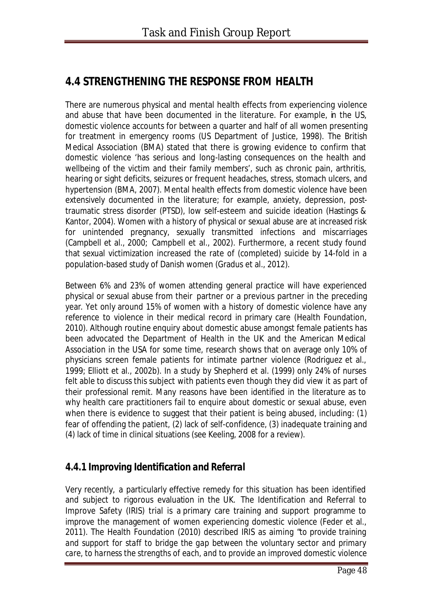## **4.4 STRENGTHENING THE RESPONSE FROM HEALTH**

There are numerous physical and mental health effects from experiencing violence and abuse that have been documented in the literature. For example, in the US, domestic violence accounts for between a quarter and half of all women presenting for treatment in emergency rooms (US Department of Justice, 1998). The British Medical Association (BMA) stated that there is growing evidence to confirm that domestic violence 'has serious and long-lasting consequences on the health and wellbeing of the victim and their family members', such as chronic pain, arthritis, hearing or sight deficits, seizures or frequent headaches, stress, stomach ulcers, and hypertension (BMA, 2007). Mental health effects from domestic violence have been extensively documented in the literature; for example, anxiety, depression, posttraumatic stress disorder (PTSD), low self-esteem and suicide ideation (Hastings & Kantor, 2004). Women with a history of physical or sexual abuse are at increased risk for unintended pregnancy, sexually transmitted infections and miscarriages (Campbell et al., 2000; Campbell et al., 2002). Furthermore, a recent study found that sexual victimization increased the rate of (completed) suicide by 14-fold in a population-based study of Danish women (Gradus et al., 2012).

Between 6% and 23% of women attending general practice will have experienced physical or sexual abuse from their partner or a previous partner in the preceding year. Yet only around 15% of women with a history of domestic violence have any reference to violence in their medical record in primary care (Health Foundation, 2010). Although routine enquiry about domestic abuse amongst female patients has been advocated the Department of Health in the UK and the American Medical Association in the USA for some time, research shows that on average only 10% of physicians screen female patients for intimate partner violence (Rodriguez et al., 1999; Elliott et al., 2002b). In a study by Shepherd et al. (1999) only 24% of nurses felt able to discuss this subject with patients even though they did view it as part of their professional remit. Many reasons have been identified in the literature as to why health care practitioners fail to enquire about domestic or sexual abuse, even when there is evidence to suggest that their patient is being abused, including: (1) fear of offending the patient, (2) lack of self-confidence, (3) inadequate training and (4) lack of time in clinical situations (see Keeling, 2008 for a review).

### *4.4.1 Improving Identification and Referral*

Very recently, a particularly effective remedy for this situation has been identified and subject to rigorous evaluation in the UK. The Identification and Referral to Improve Safety (IRIS) trial is a primary care training and support programme to improve the management of women experiencing domestic violence (Feder et al., 2011). The Health Foundation (2010) described IRIS as aiming "*to provide training and support for staff to bridge the gap between the voluntary sector and primary care, to harness the strengths of each, and to provide an improved domestic violence*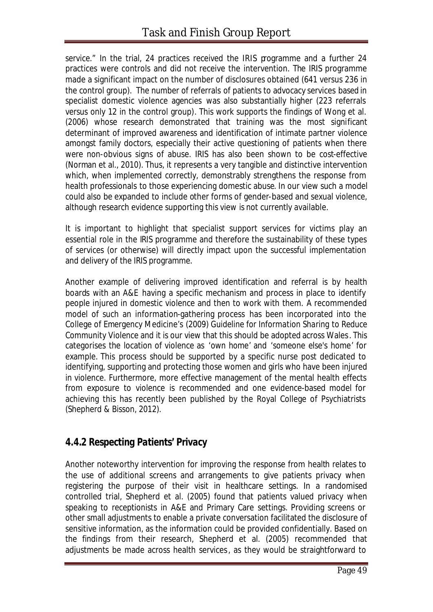*service*." In the trial, 24 practices received the IRIS programme and a further 24 practices were controls and did not receive the intervention. The IRIS programme made a significant impact on the number of disclosures obtained (641 versus 236 in the control group). The number of referrals of patients to advocacy services based in specialist domestic violence agencies was also substantially higher (223 referrals versus only 12 in the control group). This work supports the findings of Wong et al. (2006) whose research demonstrated that training was the most significant determinant of improved awareness and identification of intimate partner violence amongst family doctors, especially their active questioning of patients when there were non-obvious signs of abuse. IRIS has also been shown to be cost-effective (Norman et al., 2010). Thus, it represents a very tangible and distinctive intervention which, when implemented correctly, demonstrably strengthens the response from health professionals to those experiencing domestic abuse. In our view such a model could also be expanded to include other forms of gender-based and sexual violence, although research evidence supporting this view is not currently available.

It is important to highlight that specialist support services for victims play an essential role in the IRIS programme and therefore the sustainability of these types of services (or otherwise) will directly impact upon the successful implementation and delivery of the IRIS programme.

Another example of delivering improved identification and referral is by health boards with an A&E having a specific mechanism and process in place to identify people injured in domestic violence and then to work with them. A recommended model of such an information-gathering process has been incorporated into the College of Emergency Medicine's (2009) *Guideline for Information Sharing to Reduce Community Violence* and it is our view that this should be adopted across Wales. This categorises the location of violence as 'own home' and 'someone else's home' for example. This process should be supported by a specific nurse post dedicated to identifying, supporting and protecting those women and girls who have been injured in violence. Furthermore, more effective management of the mental health effects from exposure to violence is recommended and one evidence-based model for achieving this has recently been published by the Royal College of Psychiatrists (Shepherd & Bisson, 2012).

### *4.4.2 Respecting Patients' Privacy*

Another noteworthy intervention for improving the response from health relates to the use of additional screens and arrangements to give patients privacy when registering the purpose of their visit in healthcare settings. In a randomised controlled trial, Shepherd et al. (2005) found that patients valued privacy when speaking to receptionists in A&E and Primary Care settings. Providing screens or other small adjustments to enable a private conversation facilitated the disclosure of sensitive information, as the information could be provided confidentially. Based on the findings from their research, Shepherd et al. (2005) recommended that adjustments be made across health services, as they would be straightforward to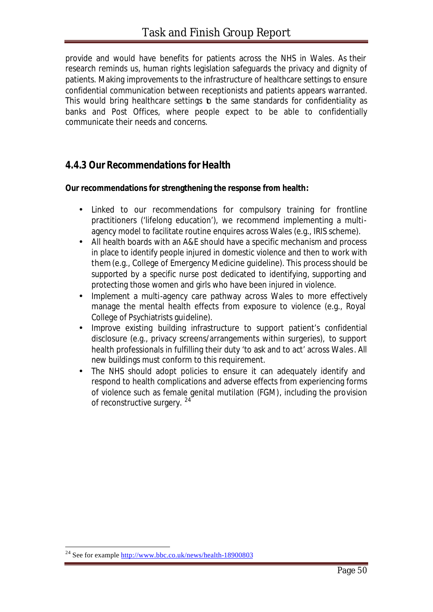provide and would have benefits for patients across the NHS in Wales. As their research reminds us, human rights legislation safeguards the privacy and dignity of patients. Making improvements to the infrastructure of healthcare settings to ensure confidential communication between receptionists and patients appears warranted. This would bring healthcare settings b the same standards for confidentiality as banks and Post Offices, where people expect to be able to confidentially communicate their needs and concerns.

#### *4.4.3 Our Recommendations for Health*

#### **Our recommendations for strengthening the response from health:**

- Linked to our recommendations for compulsory training for frontline practitioners ('lifelong education'), we recommend implementing a multiagency model to facilitate routine enquires across Wales (e.g., IRIS scheme).
- All health boards with an A&E should have a specific mechanism and process in place to identify people injured in domestic violence and then to work with them (e.g., College of Emergency Medicine guideline). This process should be supported by a specific nurse post dedicated to identifying, supporting and protecting those women and girls who have been injured in violence.
- Implement a multi-agency care pathway across Wales to more effectively manage the mental health effects from exposure to violence (e.g., Royal College of Psychiatrists guideline).
- Improve existing building infrastructure to support patient's confidential disclosure (e.g., privacy screens/arrangements within surgeries), to support health professionals in fulfilling their duty 'to ask and to act' across Wales. All new buildings must conform to this requirement.
- The NHS should adopt policies to ensure it can adequately identify and respond to health complications and adverse effects from experiencing forms of violence such as female genital mutilation (FGM), including the provision of reconstructive surgery. <sup>24</sup>

l

<sup>&</sup>lt;sup>24</sup> See for example http://www.bbc.co.uk/news/health-18900803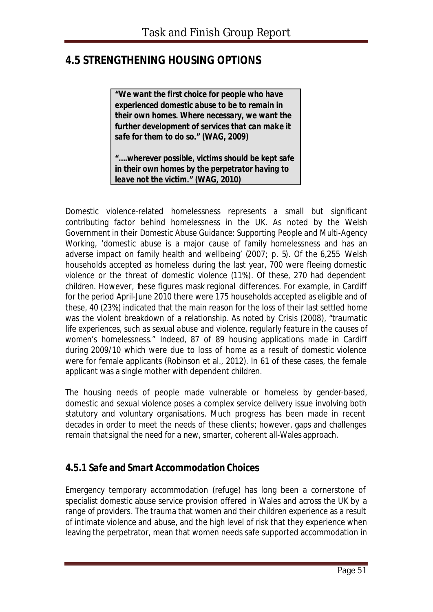## **4.5 STRENGTHENING HOUSING OPTIONS**

*"We want the first choice for people who have experienced domestic abuse to be to remain in their own homes. Where necessary, we want the further development of services that can make it safe for them to do so."* **(WAG, 2009)**

*"….wherever possible, victims should be kept safe in their own homes by the perpetrator having to leave not the victim."* **(WAG, 2010)**

Domestic violence-related homelessness represents a small but significant contributing factor behind homelessness in the UK. As noted by the Welsh Government in their *Domestic Abuse Guidance: Supporting People and Multi-Agency Working,* 'domestic abuse is a major cause of family homelessness and has an adverse impact on family health and wellbeing' (2007; p. 5). Of the 6,255 Welsh households accepted as homeless during the last year, 700 were fleeing domestic violence or the threat of domestic violence (11%). Of these, 270 had dependent children. However, these figures mask regional differences. For example, in Cardiff for the period April-June 2010 there were 175 households accepted as eligible and of these, 40 (23%) indicated that the main reason for the loss of their last settled home was the violent breakdown of a relationship. As noted by Crisis (2008), "*traumatic life experiences, such as sexual abuse and violence, regularly feature in the causes of women's homelessness*." Indeed, 87 of 89 housing applications made in Cardiff during 2009/10 which were due to loss of home as a result of domestic violence were for female applicants (Robinson et al., 2012). In 61 of these cases, the female applicant was a single mother with dependent children.

The housing needs of people made vulnerable or homeless by gender-based, domestic and sexual violence poses a complex service delivery issue involving both statutory and voluntary organisations. Much progress has been made in recent decades in order to meet the needs of these clients; however, gaps and challenges remain that signal the need for a new, smarter, coherent all-Wales approach.

### *4.5.1 Safe and Smart Accommodation Choices*

Emergency temporary accommodation (refuge) has long been a cornerstone of specialist domestic abuse service provision offered in Wales and across the UK by a range of providers. The trauma that women and their children experience as a result of intimate violence and abuse, and the high level of risk that they experience when leaving the perpetrator, mean that women needs safe supported accommodation in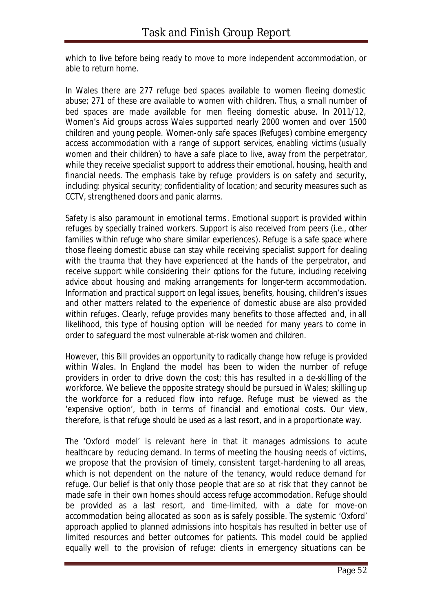which to live before being ready to move to more independent accommodation, or able to return home.

In Wales there are 277 refuge bed spaces available to women fleeing domestic abuse; 271 of these are available to women with children. Thus, a small number of bed spaces are made available for men fleeing domestic abuse. In 2011/12, Women's Aid groups across Wales supported nearly 2000 women and over 1500 children and young people. Women-only safe spaces (Refuges) combine emergency access accommodation with a range of support services, enabling victims (usually women and their children) to have a safe place to live, away from the perpetrator, while they receive specialist support to address their emotional, housing, health and financial needs. The emphasis take by refuge providers is on safety and security, including: physical security; confidentiality of location; and security measures such as CCTV, strengthened doors and panic alarms.

Safety is also paramount in emotional terms. Emotional support is provided within refuges by specially trained workers. Support is also received from peers (i.e., other families within refuge who share similar experiences). Refuge is a safe space where those fleeing domestic abuse can stay while receiving specialist support for dealing with the trauma that they have experienced at the hands of the perpetrator, and receive support while considering their options for the future, including receiving advice about housing and making arrangements for longer-term accommodation. Information and practical support on legal issues, benefits, housing, children's issues and other matters related to the experience of domestic abuse are also provided within refuges. Clearly, refuge provides many benefits to those affected and, in all likelihood, this type of housing option will be needed for many years to come in order to safeguard the most vulnerable at-risk women and children.

However, this Bill provides an opportunity to radically change how refuge is provided within Wales. In England the model has been to widen the number of refuge providers in order to drive down the cost; this has resulted in a de-skilling of the workforce. We believe the opposite strategy should be pursued in Wales; skilling up the workforce for a reduced flow into refuge. Refuge must be viewed as the 'expensive option', both in terms of financial and emotional costs. Our view, therefore, is that refuge should be used as a last resort, and in a proportionate way.

The 'Oxford model' is relevant here in that it manages admissions to acute healthcare by reducing demand. In terms of meeting the housing needs of victims, we propose that the provision of timely, consistent target-hardening to all areas, which is not dependent on the nature of the tenancy, would reduce demand for refuge. Our belief is that only those people that are so at risk that they cannot be made safe in their own homes should access refuge accommodation. Refuge should be provided as a last resort, and time-limited, with a date for move-on accommodation being allocated as soon as is safely possible. The systemic 'Oxford' approach applied to planned admissions into hospitals has resulted in better use of limited resources and better outcomes for patients. This model could be applied equally well to the provision of refuge: clients in emergency situations can be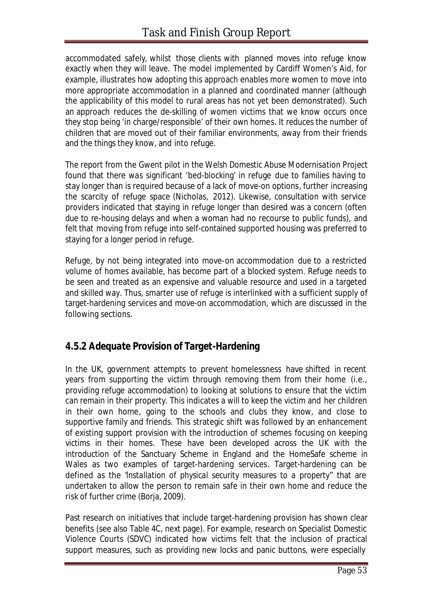accommodated safely, whilst those clients with planned moves into refuge know exactly when they will leave. The model implemented by Cardiff Women's Aid, for example, illustrates how adopting this approach enables more women to move into more appropriate accommodation in a planned and coordinated manner (although the applicability of this model to rural areas has not yet been demonstrated). Such an approach reduces the de-skilling of women victims that we know occurs once they stop being 'in charge/responsible' of their own homes. It reduces the number of children that are moved out of their familiar environments, away from their friends and the things they know, and into refuge.

The report from the Gwent pilot in the *Welsh Domestic Abuse Modernisation Project* found that there was significant 'bed-blocking' in refuge due to families having to stay longer than is required because of a lack of move-on options, further increasing the scarcity of refuge space (Nicholas, 2012). Likewise, consultation with service providers indicated that staying in refuge longer than desired was a concern (often due to re-housing delays and when a woman had no recourse to public funds), and felt that moving from refuge into self-contained supported housing was preferred to staying for a longer period in refuge.

Refuge, by not being integrated into move-on accommodation due to a restricted volume of homes available, has become part of a blocked system. Refuge needs to be seen and treated as an expensive and valuable resource and used in a targeted and skilled way. Thus, smarter use of refuge is interlinked with a sufficient supply of target-hardening services and move-on accommodation, which are discussed in the following sections.

### *4.5.2 Adequate Provision of Target-Hardening*

In the UK, government attempts to prevent homelessness have shifted in recent years from supporting the victim through removing them from their home (i.e., providing refuge accommodation) to looking at solutions to ensure that the victim can remain in their property. This indicates a will to keep the victim and her children in their own home, going to the schools and clubs they know, and close to supportive family and friends. This strategic shift was followed by an enhancement of existing support provision with the introduction of schemes focusing on keeping victims in their homes. These have been developed across the UK with the introduction of the Sanctuary Scheme in England and the HomeSafe scheme in Wales as two examples of target-hardening services. Target-hardening can be defined as the "*installation of physical security measures to a property*" that are undertaken to allow the person to remain safe in their own home and reduce the risk of further crime (Borja, 2009).

Past research on initiatives that include target-hardening provision has shown clear benefits (see also Table 4C, next page). For example, research on Specialist Domestic Violence Courts (SDVC) indicated how victims felt that the inclusion of practical support measures, such as providing new locks and panic buttons, were especially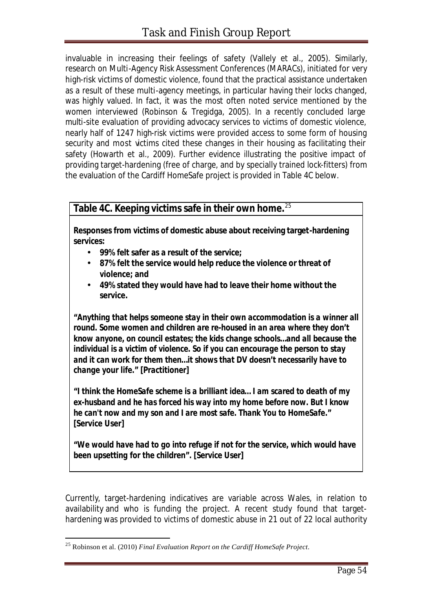invaluable in increasing their feelings of safety (Vallely et al., 2005). Similarly, research on Multi-Agency Risk Assessment Conferences (MARACs), initiated for very high-risk victims of domestic violence, found that the practical assistance undertaken as a result of these multi-agency meetings, in particular having their locks changed, was highly valued. In fact, it was the most often noted service mentioned by the women interviewed (Robinson & Tregidga, 2005). In a recently concluded large multi-site evaluation of providing advocacy services to victims of domestic violence, nearly half of 1247 high-risk victims were provided access to some form of housing security and most victims cited these changes in their housing as facilitating their safety (Howarth et al., 2009). Further evidence illustrating the positive impact of providing target-hardening (free of charge, and by specially trained lock-fitters) from the evaluation of the Cardiff HomeSafe project is provided in Table 4C below.

#### **Table 4C. Keeping victims safe in their own home.**<sup>25</sup>

**Responses from victims of domestic abuse about receiving target-hardening services:**

- **99% felt safer as a result of the service;**
- **87% felt the service would help reduce the violence or threat of violence; and**
- **49% stated they would have had to leave their home without the service.**

*"Anything that helps someone stay in their own accommodation is a winner all round. Some women and children are re-housed in an area where they don't know anyone, on council estates; the kids change schools…and all because the individual is a victim of violence. So if you can encourage the person to stay and it can work for them then…it shows that DV doesn't necessarily have to change your life." [Practitioner]*

*"I think the HomeSafe scheme is a brilliant idea… I am scared to death of my ex-husband and he has forced his way into my home before now. But I know he can't now and my son and I are most safe. Thank You to HomeSafe." [Service User]*

*"We would have had to go into refuge if not for the service, which would have been upsetting for the children". [Service User]*

Currently, target-hardening indicatives are variable across Wales, in relation to availability and who is funding the project. A recent study found that targethardening was provided to victims of domestic abuse in 21 out of 22 local authority

l

<sup>25</sup> Robinson et al. (2010) *Final Evaluation Report on the Cardiff HomeSafe Project*.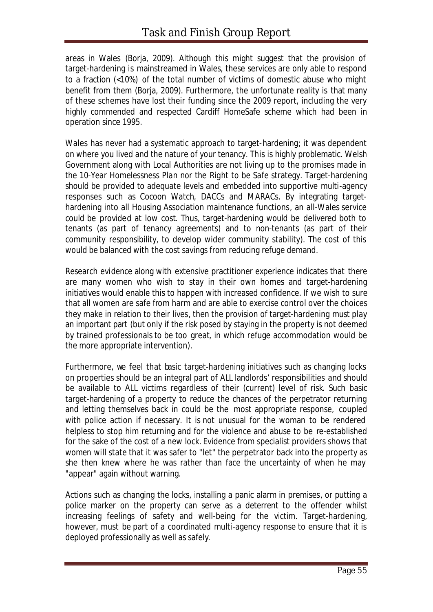areas in Wales (Borja, 2009). Although this might suggest that the provision of target-hardening is mainstreamed in Wales, these services are only able to respond to a fraction (<10%) of the total number of victims of domestic abuse who might benefit from them (Borja, 2009). Furthermore, the unfortunate reality is that many of these schemes have lost their funding since the 2009 report, including the very highly commended and respected Cardiff HomeSafe scheme which had been in operation since 1995.

Wales has never had a systematic approach to target-hardening; it was dependent on where you lived and the nature of your tenancy. This is highly problematic. Welsh Government along with Local Authorities are not living up to the promises made in the *10-Year Homelessness Plan* nor the *Right to be Safe* strategy. Target-hardening should be provided to adequate levels and embedded into supportive multi-agency responses such as Cocoon Watch, DACCs and MARACs. By integrating targethardening into all Housing Association maintenance functions, an all-Wales service could be provided at low cost. Thus, target-hardening would be delivered both to tenants (as part of tenancy agreements) and to non-tenants (as part of their community responsibility, to develop wider community stability). The cost of this would be balanced with the cost savings from reducing refuge demand.

Research evidence along with extensive practitioner experience indicates that there are many women who wish to stay in their own homes and target-hardening initiatives would enable this to happen with increased confidence. If we wish to sure that all women are safe from harm and are able to exercise control over the choices they make in relation to their lives, then the provision of target-hardening must play an important part (but only if the risk posed by staying in the property is not deemed by trained professionals to be too great, in which refuge accommodation would be the more appropriate intervention).

Furthermore, we feel that basic target-hardening initiatives such as changing locks on properties should be an integral part of ALL landlords' responsibilities and should be available to ALL victims regardless of their (current) level of risk. Such basic target-hardening of a property to reduce the chances of the perpetrator returning and letting themselves back in could be the most appropriate response, coupled with police action if necessary. It is not unusual for the woman to be rendered helpless to stop him returning and for the violence and abuse to be re-established for the sake of the cost of a new lock. Evidence from specialist providers shows that women will state that it was safer to "let" the perpetrator back into the property as she then knew where he was rather than face the uncertainty of when he may "appear" again without warning.

Actions such as changing the locks, installing a panic alarm in premises, or putting a police marker on the property can serve as a deterrent to the offender whilst increasing feelings of safety and well-being for the victim. Target-hardening, however, *must* be part of a coordinated multi-agency response to ensure that it is deployed professionally as well as safely.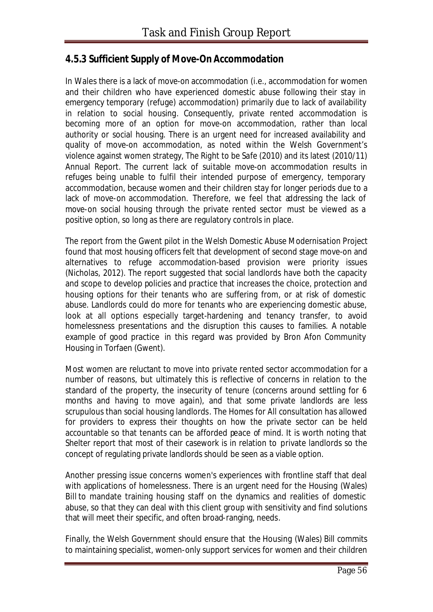#### *4.5.3 Sufficient Supply of Move-On Accommodation*

In Wales there is a lack of move-on accommodation (i.e., accommodation for women and their children who have experienced domestic abuse following their stay in emergency temporary (refuge) accommodation) primarily due to lack of availability in relation to social housing. Consequently, private rented accommodation is becoming more of an option for move-on accommodation, rather than local authority or social housing. There is an urgent need for increased availability and quality of move-on accommodation, as noted within the Welsh Government's violence against women strategy, *The Right to be Safe* (2010) and its latest (2010/11) Annual Report. The current lack of suitable move-on accommodation results in refuges being unable to fulfil their intended purpose of emergency, temporary accommodation, because women and their children stay for longer periods due to a lack of move-on accommodation. Therefore, we feel that addressing the lack of move-on social housing through the private rented sector must be viewed as a positive option, so long as there are regulatory controls in place.

The report from the Gwent pilot in the *Welsh Domestic Abuse Modernisation Project* found that most housing officers felt that development of second stage move-on and alternatives to refuge accommodation-based provision were priority issues (Nicholas, 2012). The report suggested that social landlords have both the capacity and scope to develop policies and practice that increases the choice, protection and housing options for their tenants who are suffering from, or at risk of domestic abuse. Landlords could do more for tenants who are experiencing domestic abuse, look at all options especially target-hardening and tenancy transfer, to avoid homelessness presentations and the disruption this causes to families. A notable example of good practice in this regard was provided by Bron Afon Community Housing in Torfaen (Gwent).

Most women are reluctant to move into private rented sector accommodation for a number of reasons, but ultimately this is reflective of concerns in relation to the standard of the property, the insecurity of tenure (concerns around settling for 6 months and having to move again), and that some private landlords are less scrupulous than social housing landlords. The *Homes for All* consultation has allowed for providers to express their thoughts on how the private sector can be held accountable so that tenants can be afforded peace of mind. It is worth noting that Shelter report that most of their casework is in relation to private landlords so the concept of regulating private landlords should be seen as a viable option.

Another pressing issue concerns women's experiences with frontline staff that deal with applications of homelessness. There is an urgent need for the Housing (Wales) Bill to mandate training housing staff on the dynamics and realities of domestic abuse, so that they can deal with this client group with sensitivity and find solutions that will meet their specific, and often broad-ranging, needs.

Finally, the Welsh Government should ensure that the Housing (Wales) Bill commits to maintaining specialist, women-only support services for women and their children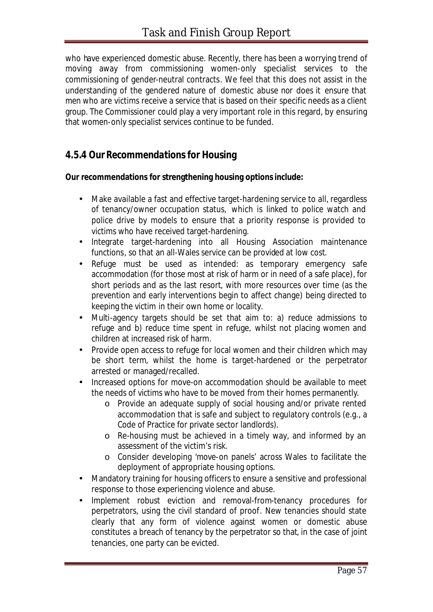who have experienced domestic abuse. Recently, there has been a worrying trend of moving away from commissioning women-only specialist services to the commissioning of gender-neutral contracts. We feel that this does not assist in the understanding of the gendered nature of domestic abuse nor does it ensure that men who are victims receive a service that is based on their specific needs as a client group. The Commissioner could play a very important role in this regard, by ensuring that women-only specialist services continue to be funded.

#### *4.5.4 Our Recommendations for Housing*

#### **Our recommendations for strengthening housing options include:**

- Make available a fast and effective target-hardening service to all, regardless of tenancy/owner occupation status, which is linked to police watch and police drive by models to ensure that a priority response is provided to victims who have received target-hardening.
- Integrate target-hardening into all Housing Association maintenance functions, so that an all-Wales service can be provided at low cost.
- Refuge must be used as intended: as temporary emergency safe accommodation (for those most at risk of harm or in need of a safe place), for short periods and as the last resort, with more resources over time (as the prevention and early interventions begin to affect change) being directed to keeping the victim in their own home or locality.
- Multi-agency targets should be set that aim to: a) reduce admissions to refuge and b) reduce time spent in refuge, whilst not placing women and children at increased risk of harm.
- Provide open access to refuge for local women and their children which may be short term, whilst the home is target-hardened or the perpetrator arrested or managed/recalled.
- Increased options for move-on accommodation should be available to meet the needs of victims who have to be moved from their homes permanently.
	- o Provide an adequate supply of social housing and/or private rented accommodation that is safe and subject to regulatory controls (e.g., a Code of Practice for private sector landlords).
	- o Re-housing must be achieved in a timely way, and informed by an assessment of the victim's risk.
	- o Consider developing 'move-on panels' across Wales to facilitate the deployment of appropriate housing options.
- Mandatory training for housing officers to ensure a sensitive and professional response to those experiencing violence and abuse.
- Implement robust eviction and removal-from-tenancy procedures for perpetrators, using the civil standard of proof. New tenancies should state clearly that any form of violence against women or domestic abuse constitutes a breach of tenancy by the perpetrator so that, in the case of joint tenancies, one party can be evicted.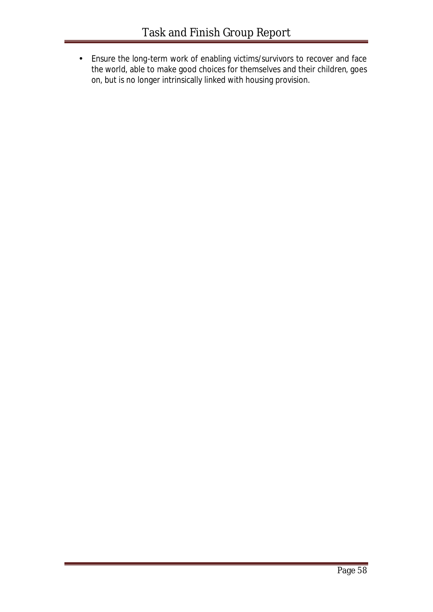• Ensure the long-term work of enabling victims/survivors to recover and face the world, able to make good choices for themselves and their children, goes on, but is no longer intrinsically linked with housing provision.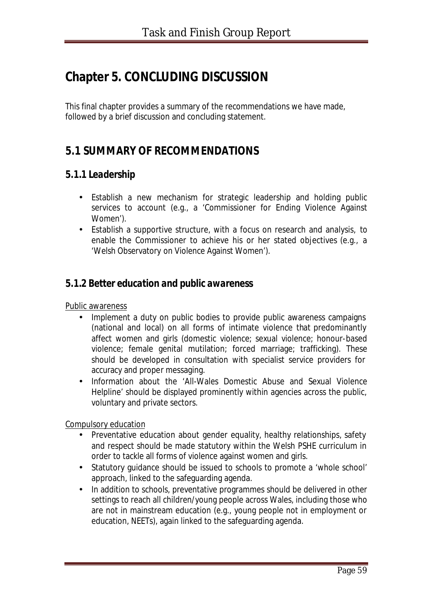# **Chapter 5. CONCLUDING DISCUSSION**

This final chapter provides a summary of the recommendations we have made, followed by a brief discussion and concluding statement.

## **5.1 SUMMARY OF RECOMMENDATIONS**

#### *5.1.1 Leadership*

- Establish a new mechanism for strategic leadership and holding public services to account (e.g., a 'Commissioner for Ending Violence Against Women').
- Establish a supportive structure, with a focus on research and analysis, to enable the Commissioner to achieve his or her stated objectives (e.g., a 'Welsh Observatory on Violence Against Women').

#### *5.1.2 Better education and public awareness*

Public awareness

- Implement a duty on public bodies to provide public awareness campaigns (national and local) on all forms of intimate violence that predominantly affect women and girls (domestic violence; sexual violence; honour-based violence; female genital mutilation; forced marriage; trafficking). These should be developed in consultation with specialist service providers for accuracy and proper messaging.
- Information about the 'All-Wales Domestic Abuse and Sexual Violence Helpline' should be displayed prominently within agencies across the public, voluntary and private sectors.

Compulsory education

- Preventative education about gender equality, healthy relationships, safety and respect should be made statutory within the Welsh PSHE curriculum in order to tackle all forms of violence against women and girls.
- Statutory guidance should be issued to schools to promote a 'whole school' approach, linked to the safeguarding agenda.
- In addition to schools, preventative programmes should be delivered in other settings to reach all children/young people across Wales, including those who are not in mainstream education (e.g., young people not in employment or education, NEETs), again linked to the safeguarding agenda.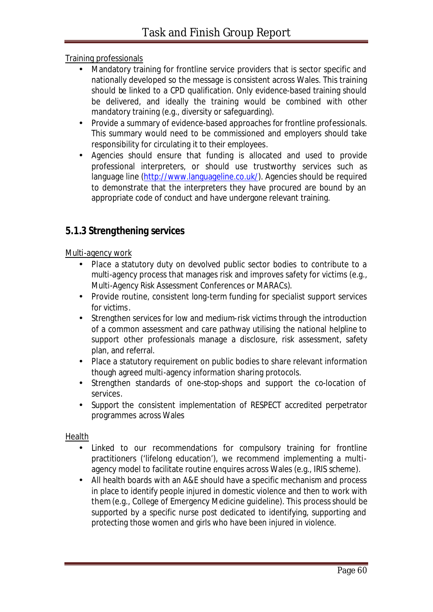#### Training professionals

- Mandatory training for frontline service providers that is sector specific and nationally developed so the message is consistent across Wales. This training should be linked to a CPD qualification. Only evidence-based training should be delivered, and ideally the training would be combined with other mandatory training (e.g., diversity or safeguarding).
- Provide a summary of evidence-based approaches for frontline professionals. This summary would need to be commissioned and employers should take responsibility for circulating it to their employees.
- Agencies should ensure that funding is allocated and used to provide professional interpreters, or should use trustworthy services such as language line (http://www.languageline.co.uk/). Agencies should be required to demonstrate that the interpreters they have procured are bound by an appropriate code of conduct and have undergone relevant training.

#### *5.1.3 Strengthening services*

#### Multi-agency work

- Place a statutory duty on devolved public sector bodies to contribute to a multi-agency process that manages risk and improves safety for victims (e.g., Multi-Agency Risk Assessment Conferences or MARACs).
- Provide routine, consistent long-term funding for specialist support services for victims.
- Strengthen services for low and medium-risk victims through the introduction of a common assessment and care pathway utilising the national helpline to support other professionals manage a disclosure, risk assessment, safety plan, and referral.
- Place a statutory requirement on public bodies to share relevant information though agreed multi-agency information sharing protocols.
- Strengthen standards of one-stop-shops and support the co-location of services.
- Support the consistent implementation of RESPECT accredited perpetrator programmes across Wales

#### Health

- Linked to our recommendations for compulsory training for frontline practitioners ('lifelong education'), we recommend implementing a multiagency model to facilitate routine enquires across Wales (e.g., IRIS scheme).
- All health boards with an A&E should have a specific mechanism and process in place to identify people injured in domestic violence and then to work with them (e.g., College of Emergency Medicine guideline). This process should be supported by a specific nurse post dedicated to identifying, supporting and protecting those women and girls who have been injured in violence.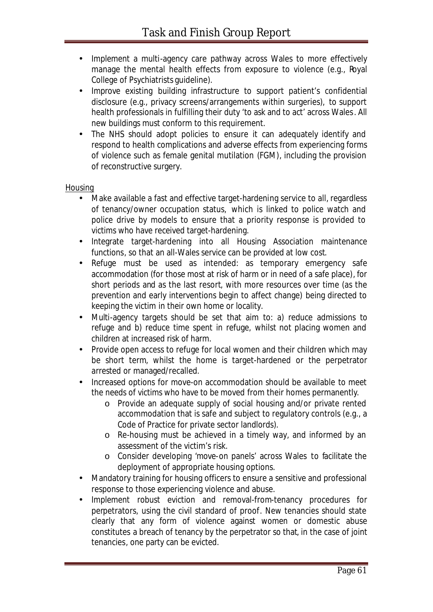- Implement a multi-agency care pathway across Wales to more effectively manage the mental health effects from exposure to violence (e.g., Royal College of Psychiatrists guideline).
- Improve existing building infrastructure to support patient's confidential disclosure (e.g., privacy screens/arrangements within surgeries), to support health professionals in fulfilling their duty 'to ask and to act' across Wales. All new buildings must conform to this requirement.
- The NHS should adopt policies to ensure it can adequately identify and respond to health complications and adverse effects from experiencing forms of violence such as female genital mutilation (FGM), including the provision of reconstructive surgery.

#### Housing

- Make available a fast and effective target-hardening service to all, regardless of tenancy/owner occupation status, which is linked to police watch and police drive by models to ensure that a priority response is provided to victims who have received target-hardening.
- Integrate target-hardening into all Housing Association maintenance functions, so that an all-Wales service can be provided at low cost.
- Refuge must be used as intended: as temporary emergency safe accommodation (for those most at risk of harm or in need of a safe place), for short periods and as the last resort, with more resources over time (as the prevention and early interventions begin to affect change) being directed to keeping the victim in their own home or locality.
- Multi-agency targets should be set that aim to: a) reduce admissions to refuge and b) reduce time spent in refuge, whilst not placing women and children at increased risk of harm.
- Provide open access to refuge for local women and their children which may be short term, whilst the home is target-hardened or the perpetrator arrested or managed/recalled.
- Increased options for move-on accommodation should be available to meet the needs of victims who have to be moved from their homes permanently.
	- o Provide an adequate supply of social housing and/or private rented accommodation that is safe and subject to regulatory controls (e.g., a Code of Practice for private sector landlords).
	- o Re-housing must be achieved in a timely way, and informed by an assessment of the victim's risk.
	- o Consider developing 'move-on panels' across Wales to facilitate the deployment of appropriate housing options.
- Mandatory training for housing officers to ensure a sensitive and professional response to those experiencing violence and abuse.
- Implement robust eviction and removal-from-tenancy procedures for perpetrators, using the civil standard of proof. New tenancies should state clearly that any form of violence against women or domestic abuse constitutes a breach of tenancy by the perpetrator so that, in the case of joint tenancies, one party can be evicted.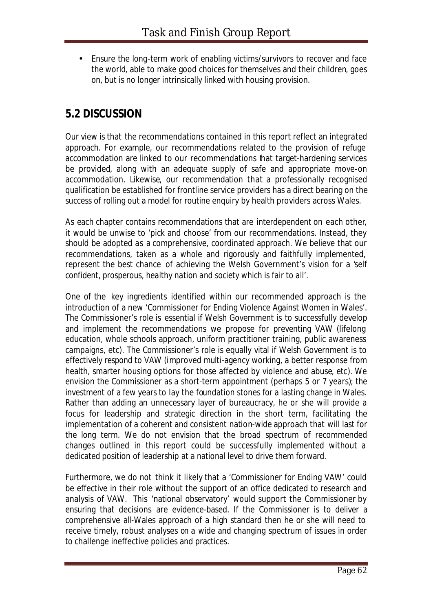• Ensure the long-term work of enabling victims/survivors to recover and face the world, able to make good choices for themselves and their children, goes on, but is no longer intrinsically linked with housing provision.

## **5.2 DISCUSSION**

Our view is that the recommendations contained in this report reflect an *integrated* approach. For example, our recommendations related to the provision of refuge accommodation are linked to our recommendations that target-hardening services be provided, along with an adequate supply of safe and appropriate move-on accommodation. Likewise, our recommendation that a professionally recognised qualification be established for frontline service providers has a direct bearing on the success of rolling out a model for routine enquiry by health providers across Wales.

As each chapter contains recommendations that are interdependent on each other, it would be unwise to 'pick and choose' from our recommendations. Instead, they should be adopted as a comprehensive, coordinated approach. We believe that our recommendations, taken as a whole and rigorously and faithfully implemented, represent the best chance of achieving the Welsh Government's vision for a '*self confident, prosperous, healthy nation and society which is fair to all*'.

One of the key ingredients identified within our recommended approach is the introduction of a new 'Commissioner for Ending Violence Against Women in Wales'. The Commissioner's role is essential if Welsh Government is to successfully develop and implement the recommendations we propose for *preventing* VAW (lifelong education, whole schools approach, uniform practitioner training, public awareness campaigns, etc). The Commissioner's role is equally vital if Welsh Government is to effectively *respond* to VAW (improved multi-agency working, a better response from health, smarter housing options for those affected by violence and abuse, etc). We envision the Commissioner as a short-term appointment (perhaps 5 or 7 years); the investment of a few years to lay the foundation stones for a lasting change in Wales. Rather than adding an unnecessary layer of bureaucracy, he or she will provide a focus for leadership and strategic direction in the short term, facilitating the implementation of a coherent and consistent nation-wide approach that will last for the long term. We do not envision that the broad spectrum of recommended changes outlined in this report could be successfully implemented without a dedicated position of leadership at a national level to drive them forward.

Furthermore, we do not think it likely that a 'Commissioner for Ending VAW' could be effective in their role without the support of an office dedicated to research and analysis of VAW. This 'national observatory' would support the Commissioner by ensuring that decisions are evidence-based. If the Commissioner is to deliver a comprehensive all-Wales approach of a high standard then he or she will need to receive timely, robust analyses on a wide and changing spectrum of issues in order to challenge ineffective policies and practices.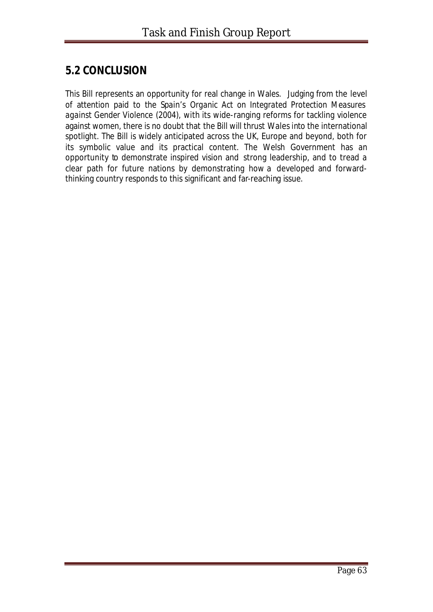## **5.2 CONCLUSION**

This Bill represents an opportunity for real change in Wales. Judging from the level of attention paid to the Spain's *Organic Act on Integrated Protection Measures against Gender Violence* (2004), with its wide-ranging reforms for tackling violence against women, there is no doubt that the Bill will thrust Wales into the international spotlight. The Bill is widely anticipated across the UK, Europe and beyond, both for its symbolic value and its practical content. The Welsh Government has an opportunity to demonstrate inspired vision and strong leadership, and to tread a clear path for future nations by demonstrating how a developed and forwardthinking country responds to this significant and far-reaching issue.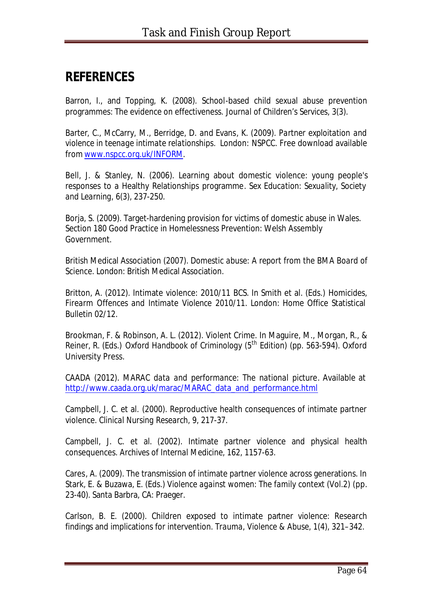# **REFERENCES**

Barron, I., and Topping, K. (2008). School-based child sexual abuse prevention programmes: The evidence on effectiveness. *Journal of Children's Services, 3(3)*.

Barter, C., McCarry, M., Berridge, D. and Evans, K. (2009). *Partner exploitation and violence in teenage intimate relationships.* London: NSPCC. Free download available from www.nspcc.org.uk/INFORM.

Bell, J. & Stanley, N. (2006). Learning about domestic violence: young people's responses to a Healthy Relationships programme*. Sex Education: Sexuality, Society and Learning, 6(3),* 237-250.

Borja, S. (2009). Target-hardening provision for victims of domestic abuse in Wales. Section 180 Good Practice in Homelessness Prevention: Welsh Assembly Government.

British Medical Association (2007). *Domestic abuse: A report from the BMA Board of Science*. London: British Medical Association.

Britton, A. (2012). Intimate violence: 2010/11 BCS. In Smith et al. (Eds.) *Homicides, Firearm Offences and Intimate Violence 2010/11*. London: Home Office Statistical Bulletin 02/12.

Brookman, F. & Robinson, A. L. (2012). Violent Crime. In Maguire, M., Morgan, R., & Reiner, R. (Eds.) *Oxford Handbook of Criminology (5th Edition)* (pp. 563-594). Oxford University Press.

CAADA (2012). *MARAC data and performance: The national picture*. Available at http://www.caada.org.uk/marac/MARAC\_data\_and\_performance.html

Campbell, J. C. et al. (2000). Reproductive health consequences of intimate partner violence. *Clinical Nursing Research, 9,* 217-37.

Campbell, J. C. et al. (2002). Intimate partner violence and physical health consequences. *Archives of Internal Medicine, 162*, 1157-63.

Cares, A. (2009). The transmission of intimate partner violence across generations. In Stark, E. & Buzawa, E. (Eds.) *Violence against women: The family context (Vol.2)* (pp. 23-40). Santa Barbra, CA: Praeger.

Carlson, B. E. (2000). Children exposed to intimate partner violence: Research findings and implications for intervention. *Trauma, Violence & Abuse, 1(4)*, 321–342.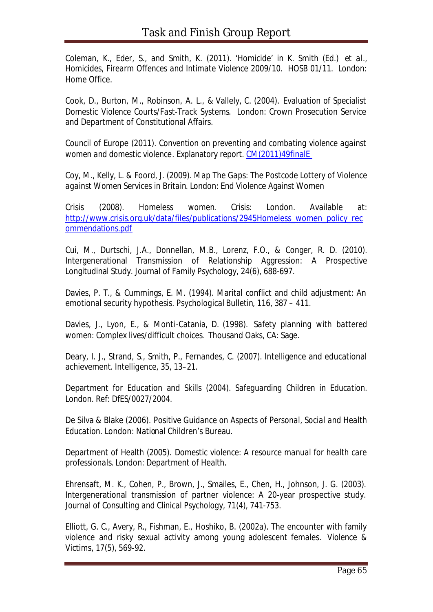Coleman, K., Eder, S., and Smith, K. (2011). 'Homicide' in K. Smith (Ed.) *et al*., *Homicides, Firearm Offences and Intimate Violence 2009/10*. HOSB 01/11. London: Home Office.

Cook, D., Burton, M., Robinson, A. L., & Vallely, C. (2004). *Evaluation of Specialist Domestic Violence Courts/Fast-Track Systems*. London: Crown Prosecution Service and Department of Constitutional Affairs.

Council of Europe (2011). *Convention on preventing and combating violence against women and domestic violence*. Explanatory report. CM(2011)49finalE

Coy, M., Kelly, L. & Foord, J. (2009). *Map The Gaps: The Postcode Lottery of Violence against Women Services in Britain*. London: End Violence Against Women

Crisis (2008). *Homeless women*. Crisis: London. Available at: http://www.crisis.org.uk/data/files/publications/2945Homeless\_women\_policy\_rec ommendations.pdf

Cui, M., Durtschi, J.A., Donnellan, M.B., Lorenz, F.O., & Conger, R. D. (2010). Intergenerational Transmission of Relationship Aggression: A Prospective Longitudinal Study. *Journal of Family Psychology, 24(6)*, 688-697.

Davies, P. T., & Cummings, E. M. (1994). Marital conflict and child adjustment: An emotional security hypothesis. *Psychological Bulletin, 116,* 387 – 411*.*

Davies, J., Lyon, E., & Monti-Catania, D. (1998). *Safety planning with battered women: Complex lives/difficult choices*. Thousand Oaks, CA: Sage.

Deary, I. J., Strand, S., Smith, P., Fernandes, C. (2007). Intelligence and educational achievement. *Intelligence, 35*, 13–21.

Department for Education and Skills (2004). *Safeguarding Children in Education*. London. Ref: DfES/0027/2004.

De Silva & Blake (2006). *Positive Guidance on Aspects of Personal, Social and Health Education*. London: National Children's Bureau.

Department of Health (2005). *Domestic violence: A resource manual for health care professionals*. London: Department of Health.

Ehrensaft, M. K., Cohen, P., Brown, J., Smailes, E., Chen, H., Johnson, J. G. (2003). Intergenerational transmission of partner violence: A 20-year prospective study. *Journal of Consulting and Clinical Psychology, 71(4)*, 741-753.

Elliott, G. C., Avery, R., Fishman, E., Hoshiko, B. (2002a). The encounter with family violence and risky sexual activity among young adolescent females. *Violence & Victims, 17(5)*, 569-92.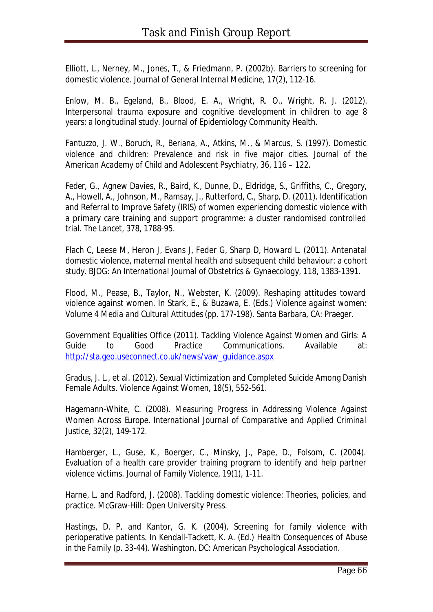Elliott, L., Nerney, M., Jones, T., & Friedmann, P. (2002b). Barriers to screening for domestic violence. *Journal of General Internal Medicine, 17(2)*, 112-16.

Enlow, M. B., Egeland, B., Blood, E. A., Wright, R. O., Wright, R. J. (2012). Interpersonal trauma exposure and cognitive development in children to age 8 years: a longitudinal study. Journal of Epidemiology Community Health.

Fantuzzo, J. W., Boruch, R., Beriana, A., Atkins, M., & Marcus, S. (1997). Domestic violence and children: Prevalence and risk in five major cities. *Journal of the American Academy of Child and Adolescent Psychiatry, 36,* 116 – 122.

Feder, G., Agnew Davies, R., Baird, K., Dunne, D., Eldridge, S., Griffiths, C., Gregory, A., Howell, A., Johnson, M., Ramsay, J., Rutterford, C., Sharp, D. (2011). Identification and Referral to Improve Safety (IRIS) of women experiencing domestic violence with a primary care training and support programme: a cluster randomised controlled trial. *The Lancet, 378*, 1788-95.

Flach C, Leese M, Heron J, Evans J, Feder G, Sharp D, Howard L. (2011). Antenatal domestic violence, maternal mental health and subsequent child behaviour: a cohort study. *BJOG: An International Journal of Obstetrics & Gynaecology, 118*, 1383-1391.

Flood, M., Pease, B., Taylor, N., Webster, K. (2009). Reshaping attitudes toward violence against women. In Stark, E., & Buzawa, E. (Eds.) *Violence against women: Volume 4 Media and Cultural Attitudes* (pp. 177-198). Santa Barbara, CA: Praeger.

Government Equalities Office (2011). *Tackling Violence Against Women and Girls: A Guide to Good Practice Communications.* Available at: http://sta.geo.useconnect.co.uk/news/vaw\_guidance.aspx

Gradus, J. L., et al. (2012). Sexual Victimization and Completed Suicide Among Danish Female Adults. *Violence Against Women, 18(5)*, 552-561.

Hagemann-White, C. (2008). Measuring Progress in Addressing Violence Against Women Across Europe. *International Journal of Comparative and Applied Criminal Justice, 32(2)*, 149-172.

Hamberger, L., Guse, K., Boerger, C., Minsky, J., Pape, D., Folsom, C. (2004). Evaluation of a health care provider training program to identify and help partner violence victims. *Journal of Family Violence, 19(1)*, 1-11.

Harne, L. and Radford, J. (2008). Tackling domestic violence: Theories, policies, and practice. McGraw-Hill: Open University Press.

Hastings, D. P. and Kantor, G. K. (2004). Screening for family violence with perioperative patients. In Kendall-Tackett, K. A. (Ed.) *Health Consequences of Abuse in the Family* (p. 33-44). Washington, DC: American Psychological Association.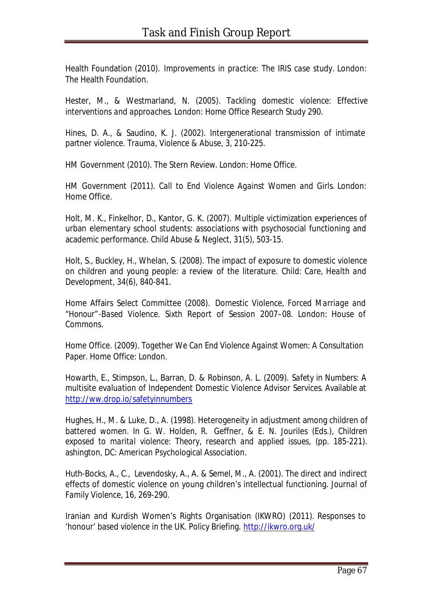Health Foundation (2010). *Improvements in practice: The IRIS case study*. London: The Health Foundation.

Hester, M., & Westmarland, N. (2005). *Tackling domestic violence: Effective interventions and approaches*. London: Home Office Research Study 290.

Hines, D. A., & Saudino, K. J. (2002). Intergenerational transmission of intimate partner violence. *Trauma, Violence & Abuse, 3*, 210-225.

HM Government (2010). *The Stern Review*. London: Home Office.

HM Government (2011). *Call to End Violence Against Women and Girls*. London: Home Office.

Holt, M. K., Finkelhor, D., Kantor, G. K. (2007). Multiple victimization experiences of urban elementary school students: associations with psychosocial functioning and academic performance. *Child Abuse & Neglect, 31(5)*, 503-15.

Holt, S., Buckley, H., Whelan, S. (2008). The impact of exposure to domestic violence on children and young people: a review of the literature. *Child: Care, Health and Development, 34(6)*, 840-841.

Home Affairs Select Committee (2008). *Domestic Violence, Forced Marriage and "Honour"-Based Violence*. Sixth Report of Session 2007–08. London: House of Commons.

Home Office. (2009). *Together We Can End Violence Against Women: A Consultation Paper.* Home Office: London.

Howarth, E., Stimpson, L., Barran, D. & Robinson, A. L. (2009). *Safety in Numbers: A multisite evaluation of Independent Domestic Violence Advisor Services*. Available at http://ww.drop.io/safetyinnumbers

Hughes, H., M. & Luke, D., A. (1998). Heterogeneity in adjustment among children of battered women. In G. W. Holden, R. Geffner, & E. N. Jouriles (Eds.), *Children exposed to marital violence: Theory, research and applied issues,* (pp. 185-221). ashington, DC: American Psychological Association.

Huth-Bocks, A., C., Levendosky, A., A. & Semel, M., A. (2001). The direct and indirect effects of domestic violence on young children's intellectual functioning. *Journal of Family Violence, 16,* 269-290.

Iranian and Kurdish Women's Rights Organisation (IKWRO) (2011). Responses to 'honour' based violence in the UK. Policy Briefing. http://ikwro.org.uk/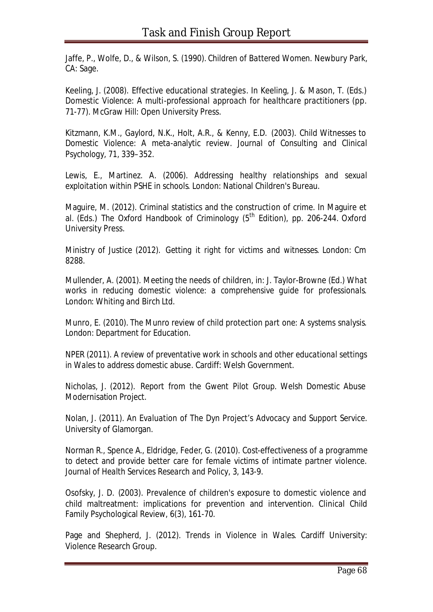Jaffe, P., Wolfe, D., & Wilson, S. (1990). *Children of Battered Women.* Newbury Park, CA: Sage.

Keeling, J. (2008). Effective educational strategies. In Keeling, J. & Mason, T. (Eds.) *Domestic Violence: A multi-professional approach for healthcare practitioners* (pp. 71-77). McGraw Hill: Open University Press.

Kitzmann, K.M., Gaylord, N.K., Holt, A.R., & Kenny, E.D. (2003). Child Witnesses to Domestic Violence: A meta-analytic review. *Journal of Consulting and Clinical Psychology, 71*, 339–352.

Lewis, E., Martinez. A. (2006). *Addressing healthy relationships and sexual exploitation within PSHE in schools*. London: National Children's Bureau.

Maguire, M. (2012). Criminal statistics and the construction of crime. In Maguire et al. (Eds.) *The Oxford Handbook of Criminology* (5<sup>th</sup> Edition), pp. 206-244. Oxford University Press.

Ministry of Justice (2012). *Getting it right for victims and witnesses*. London: Cm 8288.

Mullender, A. (2001). Meeting the needs of children, in: J. Taylor-Browne (Ed.) *What works in reducing domestic violence: a comprehensive guide for professionals.* London: Whiting and Birch Ltd.

Munro, E. (2010). *The Munro review of child protection part one: A systems snalysis*. London: Department for Education.

NPER (2011). *A review of preventative work in schools and other educational settings in Wales to address domestic abuse*. Cardiff: Welsh Government.

Nicholas, J. (2012). *Report from the Gwent Pilot Group*. Welsh Domestic Abuse Modernisation Project.

Nolan, J. (2011). *An Evaluation of The Dyn Project's Advocacy and Support Service*. University of Glamorgan.

Norman R., Spence A., Eldridge, Feder, G. (2010). Cost-effectiveness of a programme to detect and provide better care for female victims of intimate partner violence. *Journal of Health Services Research and Policy,* 3, 143-9.

Osofsky, J. D. (2003). Prevalence of children's exposure to domestic violence and child maltreatment: implications for prevention and intervention. Clinical Child Family Psychological Review, 6(3), 161-70.

Page and Shepherd, J. (2012). *Trends in Violence in Wales*. Cardiff University: Violence Research Group.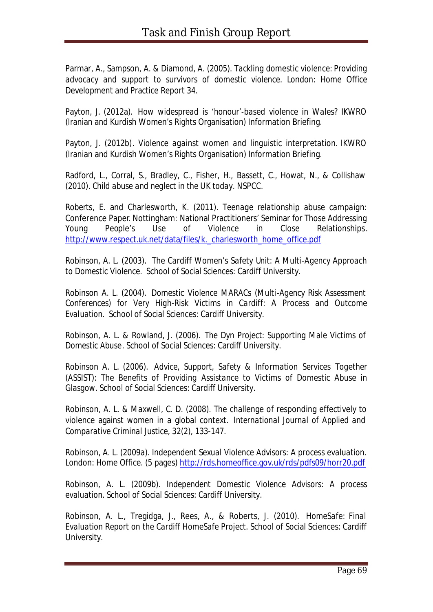Parmar, A., Sampson, A. & Diamond, A. (2005). *Tackling domestic violence: Providing advocacy and support to survivors of domestic violence*. London: Home Office Development and Practice Report 34.

Payton, J. (2012a). *How widespread is 'honour'-based violence in Wales?* IKWRO (Iranian and Kurdish Women's Rights Organisation) Information Briefing.

Payton, J. (2012b). *Violence against women and linguistic interpretation.* IKWRO (Iranian and Kurdish Women's Rights Organisation) Information Briefing.

Radford, L., Corral, S., Bradley, C., Fisher, H., Bassett, C., Howat, N., & Collishaw (2010). *Child abuse and neglect in the UK today*. NSPCC.

Roberts, E. and Charlesworth, K. (2011). *Teenage relationship abuse campaign:*  Conference Paper. Nottingham: National Practitioners' Seminar for Those Addressing Young People's Use of Violence in Close Relationships. http://www.respect.uk.net/data/files/k. charlesworth\_home\_office.pdf

Robinson, A. L. (2003). *The Cardiff Women's Safety Unit: A Multi-Agency Approach to Domestic Violence*. School of Social Sciences: Cardiff University.

Robinson A. L. (2004). *Domestic Violence MARACs (Multi-Agency Risk Assessment Conferences) for Very High-Risk Victims in Cardiff: A Process and Outcome Evaluation*. School of Social Sciences: Cardiff University.

Robinson, A. L. & Rowland, J. (2006). *The Dyn Project: Supporting Male Victims of Domestic Abuse*. School of Social Sciences: Cardiff University.

Robinson A. L. (2006). *Advice, Support, Safety & Information Services Together (ASSIST): The Benefits of Providing Assistance to Victims of Domestic Abuse in Glasgow*. School of Social Sciences: Cardiff University.

Robinson, A. L. & Maxwell, C. D. (2008). The challenge of responding effectively to violence against women in a global context. *International Journal of Applied and Comparative Criminal Justice, 32(2),* 133-147.

Robinson, A. L. (2009a). *Independent Sexual Violence Advisors: A process evaluation*. London: Home Office. (5 pages) http://rds.homeoffice.gov.uk/rds/pdfs09/horr20.pdf

Robinson, A. L. (2009b). *Independent Domestic Violence Advisors: A process evaluation*. School of Social Sciences: Cardiff University.

Robinson, A. L., Tregidga, J., Rees, A., & Roberts, J. (2010). *HomeSafe: Final Evaluation Report on the Cardiff HomeSafe Projec*t. School of Social Sciences: Cardiff University.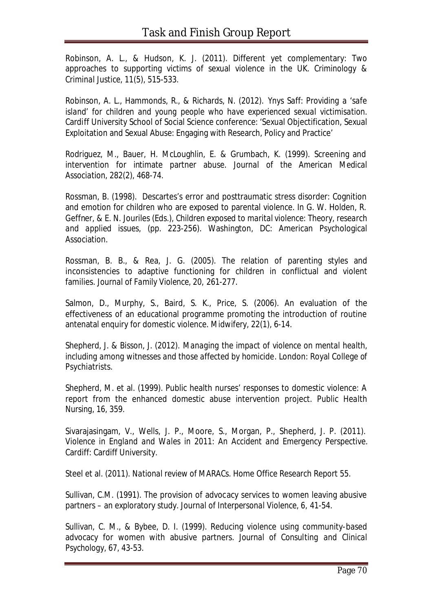Robinson, A. L., & Hudson, K. J. (2011). Different yet complementary: Two approaches to supporting victims of sexual violence in the UK. *Criminology & Criminal Justice, 11(5),* 515-533.

Robinson, A. L., Hammonds, R., & Richards, N. (2012). *Ynys Saff: Providing a 'safe island' for children and young people who have experienced sexual victimisation*. Cardiff University School of Social Science conference: 'Sexual Objectification, Sexual Exploitation and Sexual Abuse: Engaging with Research, Policy and Practice'

Rodriguez, M., Bauer, H. McLoughlin, E. & Grumbach, K. (1999). Screening and intervention for intimate partner abuse. *Journal of the American Medical Association, 282(2)*, 468-74.

Rossman, B. (1998). Descartes's error and posttraumatic stress disorder: Cognition and emotion for children who are exposed to parental violence. In G. W. Holden, R. Geffner, & E. N. Jouriles (Eds.), *Children exposed to marital violence: Theory, research and applied issues,* (pp. 223-256). Washington, DC: American Psychological Association.

Rossman, B. B., & Rea, J. G. (2005). The relation of parenting styles and inconsistencies to adaptive functioning for children in conflictual and violent families. *Journal of Family Violence, 20,* 261-277.

Salmon, D., Murphy, S., Baird, S. K., Price, S. (2006). An evaluation of the effectiveness of an educational programme promoting the introduction of routine antenatal enquiry for domestic violence. *Midwifery, 22(1)*, 6-14.

Shepherd, J. & Bisson, J. (2012). *Managing the impact of violence on mental health, including among witnesses and those affected by homicide*. London: Royal College of Psychiatrists.

Shepherd, M. et al. (1999). Public health nurses' responses to domestic violence: A report from the enhanced domestic abuse intervention project. *Public Health Nursing, 16*, 359.

Sivarajasingam, V., Wells, J. P., Moore, S., Morgan, P., Shepherd, J. P. (2011). *Violence in England and Wales in 2011: An Accident and Emergency Perspective*. Cardiff: Cardiff University.

Steel et al. (2011). *National review of MARACs*. Home Office Research Report 55.

Sullivan, C.M. (1991). The provision of advocacy services to women leaving abusive partners – an exploratory study. *Journal of Interpersonal Violence, 6,* 41-54.

Sullivan, C. M., & Bybee, D. I. (1999). Reducing violence using community-based advocacy for women with abusive partners. *Journal of Consulting and Clinical Psychology, 67,* 43-53.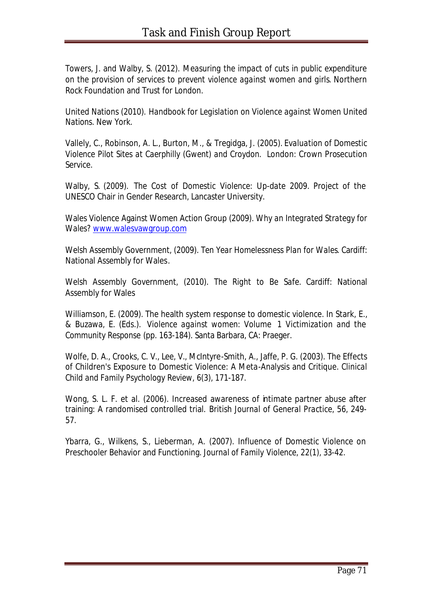Towers, J. and Walby, S. (2012). *Measuring the impact of cuts in public expenditure on the provision of services to prevent violence against women and girls*. Northern Rock Foundation and Trust for London.

United Nations (2010). *Handbook for Legislation on Violence against Women United Nations*. New York.

Vallely, C., Robinson, A. L., Burton, M., & Tregidga, J. (2005). *Evaluation of Domestic Violence Pilot Sites at Caerphilly (Gwent) and Croydon*. London: Crown Prosecution Service.

Walby, S. (2009). *The Cost of Domestic Violence: Up-date 2009*. Project of the UNESCO Chair in Gender Research, Lancaster University.

Wales Violence Against Women Action Group (2009). *Why an Integrated Strategy for Wales?* www.walesvawgroup.com

Welsh Assembly Government, (2009). *Ten Year Homelessness Plan for Wales.* Cardiff: National Assembly for Wales.

Welsh Assembly Government, (2010). *The Right to Be Safe.* Cardiff: National Assembly for Wales

Williamson, E. (2009). The health system response to domestic violence. In Stark, E., & Buzawa, E. (Eds.). *Violence against women: Volume 1 Victimization and the Community Response* (pp. 163-184). Santa Barbara, CA: Praeger.

Wolfe, D. A., Crooks, C. V., Lee, V., McIntyre-Smith, A., Jaffe, P. G. (2003). The Effects of Children's Exposure to Domestic Violence: A Meta-Analysis and Critique. *Clinical Child and Family Psychology Review, 6(3)*, 171-187.

Wong, S. L. F. et al. (2006). Increased awareness of intimate partner abuse after training: A randomised controlled trial. *British Journal of General Practice, 56*, 249- 57.

Ybarra, G., Wilkens, S., Lieberman, A. (2007). Influence of Domestic Violence on Preschooler Behavior and Functioning. *Journal of Family Violence, 22(1)*, 33-42.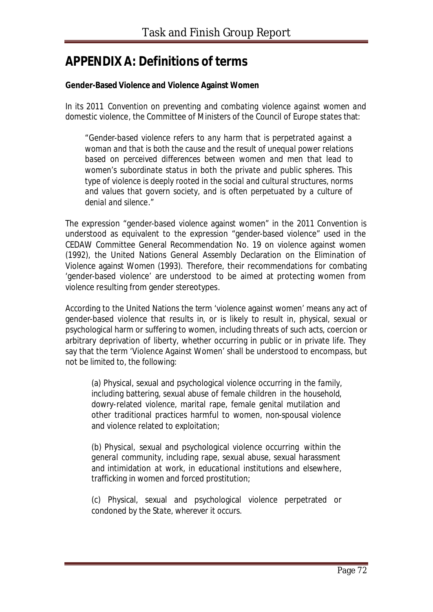# **APPENDIX A: Definitions of terms**

#### **Gender-Based Violence and Violence Against Women**

In its 2011 *Convention on preventing and combating violence against women and domestic violence*, the Committee of Ministers of the Council of Europe states that:

"*Gender-based violence refers to any harm that is perpetrated against a woman and that is both the cause and the result of unequal power relations based on perceived differences between women and men that lead to women's subordinate status in both the private and public spheres. This type of violence is deeply rooted in the social and cultural structures, norms and values that govern society, and is often perpetuated by a culture of denial and silence*."

The expression "gender-based violence against women" in the 2011 Convention is understood as equivalent to the expression "gender-based violence" used in the CEDAW Committee General Recommendation No. 19 on violence against women (1992), the United Nations General Assembly Declaration on the Elimination of Violence against Women (1993). Therefore, their recommendations for combating 'gender-based violence' are understood to be aimed at protecting women from violence resulting from gender stereotypes.

According to the United Nations the term 'violence against women' means any act of gender-based violence that results in, or is likely to result in, physical, sexual or psychological harm or suffering to women, including threats of such acts, coercion or arbitrary deprivation of liberty, whether occurring in public or in private life. They say that the term 'Violence Against Women' shall be understood to encompass, but not be limited to, the following:

(a) Physical, sexual and psychological violence occurring *in the family*, including battering, sexual abuse of female children *in the household*, dowry-related violence, marital rape, female genital mutilation and other traditional practices harmful to women, non-spousal violence and violence related to exploitation;

(b) Physical, sexual and psychological violence occurring *within the general community*, including rape, sexual abuse, sexual harassment and intimidation *at work, in educational institutions and elsewhere*, trafficking in women and forced prostitution;

(c) Physical, sexual and psychological violence perpetrated or condoned *by the State, wherever it occurs*.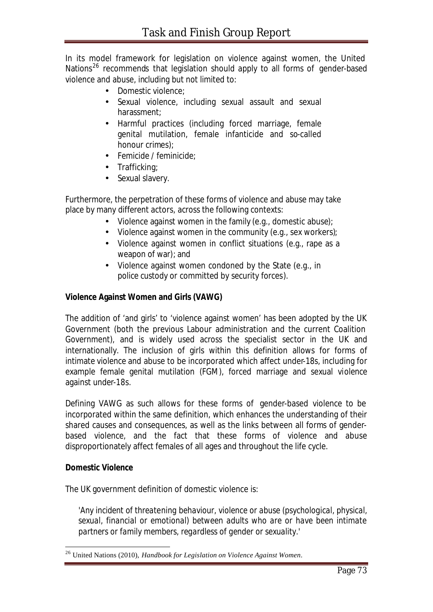In its model framework for legislation on violence against women, the United Nations<sup>26</sup> recommends that legislation should apply to all forms of gender-based violence and abuse, including but not limited to:

- Domestic violence;
- Sexual violence, including sexual assault and sexual harassment;
- Harmful practices (including forced marriage, female genital mutilation, female infanticide and so-called honour crimes);
- Femicide / feminicide:
- Trafficking;
- Sexual slavery.

Furthermore, the perpetration of these forms of violence and abuse may take place by many different actors, across the following contexts:

- Violence against women in the family (e.g., domestic abuse);
- Violence against women in the community (e.g., sex workers);
- Violence against women in conflict situations (e.g., rape as a weapon of war); and
- Violence against women condoned by the State (e.g., in police custody or committed by security forces).

#### **Violence Against Women and Girls (VAWG)**

The addition of 'and girls' to 'violence against women' has been adopted by the UK Government (both the previous Labour administration and the current Coalition Government), and is widely used across the specialist sector in the UK and internationally. The inclusion of girls within this definition allows for forms of intimate violence and abuse to be incorporated which affect under-18s, including for example female genital mutilation (FGM), forced marriage and sexual violence against under-18s.

Defining VAWG as such allows for these forms of gender-based violence to be incorporated within the same definition, which enhances the understanding of their shared causes and consequences, as well as the links between all forms of genderbased violence, and the fact that these forms of violence and abuse disproportionately affect females of all ages and throughout the life cycle.

#### **Domestic Violence**

l

The UK government definition of domestic violence is:

*'Any incident of threatening behaviour, violence or abuse (psychological, physical, sexual, financial or emotional) between adults who are or have been intimate partners or family members, regardless of gender or sexuality.'* 

<sup>26</sup> United Nations (2010), *Handbook for Legislation on Violence Against Women*.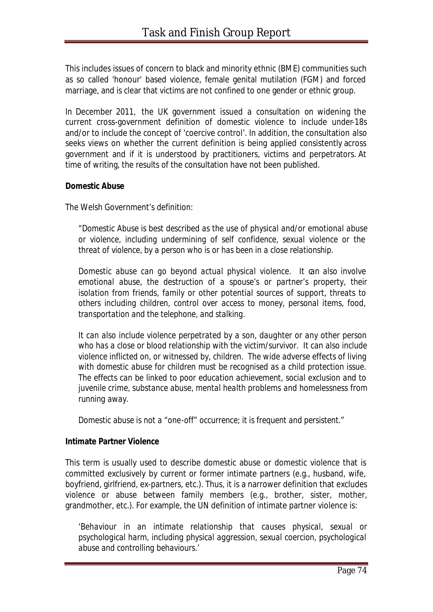This includes issues of concern to black and minority ethnic (BME) communities such as so called 'honour' based violence, female genital mutilation (FGM) and forced marriage, and is clear that victims are not confined to one gender or ethnic group.

In December 2011, the UK government issued a consultation on widening the current cross-government definition of domestic violence to include under-18s and/or to include the concept of 'coercive control'. In addition, the consultation also seeks views on whether the current definition is being applied consistently across government and if it is understood by practitioners, victims and perpetrators. At time of writing, the results of the consultation have not been published.

#### **Domestic Abuse**

The Welsh Government's definition:

*"Domestic Abuse is best described as the use of physical and/or emotional abuse or violence, including undermining of self confidence, sexual violence or the threat of violence, by a person who is or has been in a close relationship.*

*Domestic abuse can go beyond actual physical violence. It can also involve emotional abuse, the destruction of a spouse's or partner's property, their isolation from friends, family or other potential sources of support, threats to others including children, control over access to money, personal items, food, transportation and the telephone, and stalking.*

*It can also include violence perpetrated by a son, daughter or any other person who has a close or blood relationship with the victim/survivor. It can also include violence inflicted on, or witnessed by, children. The wide adverse effects of living with domestic abuse for children must be recognised as a child protection issue. The effects can be linked to poor education achievement, social exclusion and to juvenile crime, substance abuse, mental health problems and homelessness from running away.*

*Domestic abuse is not a "one-off" occurrence; it is frequent and persistent."*

# **Intimate Partner Violence**

This term is usually used to describe domestic abuse or domestic violence that is committed exclusively by current or former intimate partners (e.g., husband, wife, boyfriend, girlfriend, ex-partners, etc.). Thus, it is a narrower definition that excludes violence or abuse between family members (e.g., brother, sister, mother, grandmother, etc.). For example, the UN definition of intimate partner violence is:

*'Behaviour in an intimate relationship that causes physical, sexual or psychological harm, including physical aggression, sexual coercion, psychological abuse and controlling behaviours.'*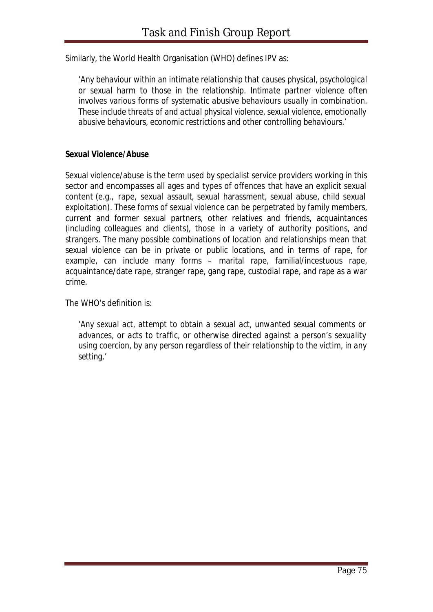Similarly, the World Health Organisation (WHO) defines IPV as:

*'Any behaviour within an intimate relationship that causes physical, psychological or sexual harm to those in the relationship. Intimate partner violence often involves various forms of systematic abusive behaviours usually in combination. These include threats of and actual physical violence, sexual violence, emotionally abusive behaviours, economic restrictions and other controlling behaviours.'*

#### **Sexual Violence/Abuse**

Sexual violence/abuse is the term used by specialist service providers working in this sector and encompasses all ages and types of offences that have an explicit sexual content (e.g., rape, sexual assault, sexual harassment, sexual abuse, child sexual exploitation). These forms of sexual violence can be perpetrated by family members, current and former sexual partners, other relatives and friends, acquaintances (including colleagues and clients), those in a variety of authority positions, and strangers. The many possible combinations of location and relationships mean that sexual violence can be in private or public locations, and in terms of rape, for example, can include many forms – marital rape, familial/incestuous rape, acquaintance/date rape, stranger rape, gang rape, custodial rape, and rape as a war crime.

The WHO's definition is:

*'Any sexual act, attempt to obtain a sexual act, unwanted sexual comments or advances, or acts to traffic, or otherwise directed against a person's sexuality using coercion, by any person regardless of their relationship to the victim, in any setting.'*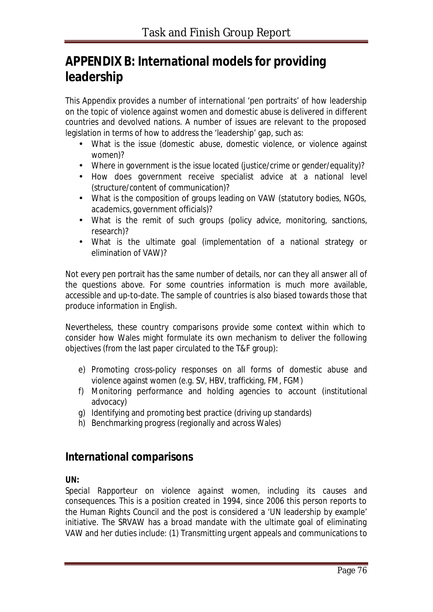# **APPENDIX B: International models for providing leadership**

This Appendix provides a number of international 'pen portraits' of how leadership on the topic of violence against women and domestic abuse is delivered in different countries and devolved nations. A number of issues are relevant to the proposed legislation in terms of how to address the 'leadership' gap, such as:

- What is the issue (domestic abuse, domestic violence, or violence against women)?
- Where in government is the issue located (justice/crime or gender/equality)?
- How does government receive specialist advice at a national level (structure/content of communication)?
- What is the composition of groups leading on VAW (statutory bodies, NGOs, academics, government officials)?
- What is the remit of such groups (policy advice, monitoring, sanctions, research)?
- What is the ultimate goal (implementation of a national strategy or elimination of VAW)?

Not every pen portrait has the same number of details, nor can they all answer all of the questions above. For some countries information is much more available, accessible and up-to-date. The sample of countries is also biased towards those that produce information in English.

Nevertheless, these country comparisons provide some context within which to consider how Wales might formulate its own mechanism to deliver the following objectives (from the last paper circulated to the T&F group):

- e) Promoting cross-policy responses on all forms of domestic abuse and violence against women (e.g. SV, HBV, trafficking, FM, FGM)
- f) Monitoring performance and holding agencies to account (institutional advocacy)
- g) Identifying and promoting best practice (driving up standards)
- h) Benchmarking progress (regionally and across Wales)

# **International comparisons**

# **UN:**

*Special Rapporteur on violence against women, including its causes and consequences*. This is a position created in 1994, since 2006 this person reports to the Human Rights Council and the post is considered a 'UN leadership by example' initiative. The SRVAW has a broad mandate with the ultimate goal of eliminating VAW and her duties include: (1) Transmitting urgent appeals and communications to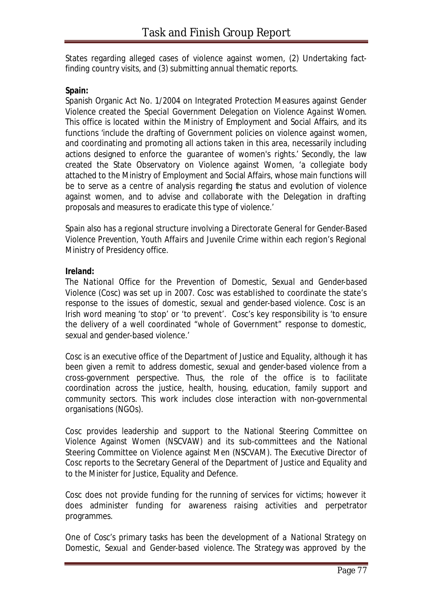States regarding alleged cases of violence against women, (2) Undertaking factfinding country visits, and (3) submitting annual thematic reports.

### **Spain:**

Spanish Organic Act No. 1/2004 on Integrated Protection Measures against Gender Violence created the *Special Government Delegation on Violence Against Women*. This office is located within the Ministry of Employment and Social Affairs, and its functions 'include the drafting of Government policies on violence against women, and coordinating and promoting all actions taken in this area, necessarily including actions designed to enforce the guarantee of women's rights.' Secondly, the law created the State Observatory on Violence against Women, 'a collegiate body attached to the Ministry of Employment and Social Affairs, whose main functions will be to serve as a centre of analysis regarding the status and evolution of violence against women, and to advise and collaborate with the Delegation in drafting proposals and measures to eradicate this type of violence.'

Spain also has a regional structure involving a *Directorate General for Gender-Based Violence Prevention, Youth Affairs and Juvenile Crime* within each region's Regional Ministry of Presidency office.

#### **Ireland:**

The *National Office for the Prevention of Domestic, Sexual and Gender-based Violence* (Cosc) was set up in 2007. Cosc was established to coordinate the state's response to the issues of domestic, sexual and gender-based violence. Cosc is an Irish word meaning 'to stop' or 'to prevent'. Cosc's key responsibility is 'to ensure the delivery of a well coordinated "whole of Government" response to domestic, sexual and gender-based violence.'

Cosc is an executive office of the Department of Justice and Equality, although it has been given a remit to address domestic, sexual and gender-based violence from a cross-government perspective. Thus, the role of the office is to facilitate coordination across the justice, health, housing, education, family support and community sectors. This work includes close interaction with non-governmental organisations (NGOs).

Cosc provides leadership and support to the National Steering Committee on Violence Against Women (NSCVAW) and its sub-committees and the National Steering Committee on Violence against Men (NSCVAM). The Executive Director of Cosc reports to the Secretary General of the Department of Justice and Equality and to the Minister for Justice, Equality and Defence.

Cosc does not provide funding for the running of services for victims; however it does administer funding for awareness raising activities and perpetrator programmes.

One of Cosc's primary tasks has been the development of a *National Strategy on Domestic, Sexual and Gender-based violence.* The Strategy was approved by the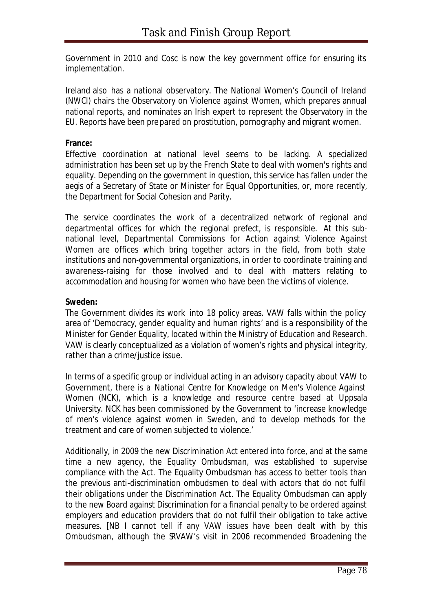Government in 2010 and Cosc is now the key government office for ensuring its implementation.

Ireland also has a national observatory. The National Women's Council of Ireland (NWCI) chairs the Observatory on Violence against Women, which prepares annual national reports, and nominates an Irish expert to represent the Observatory in the EU. Reports have been prepared on prostitution, pornography and migrant women.

#### **France:**

Effective coordination at national level seems to be lacking. A specialized administration has been set up by the French State to deal with women's rights and equality. Depending on the government in question, this service has fallen under the aegis of a Secretary of State or Minister for Equal Opportunities, or, more recently, the Department for Social Cohesion and Parity.

The service coordinates the work of a decentralized network of regional and departmental offices for which the regional prefect, is responsible. At this subnational level, *Departmental Commissions for Action against Violence Against Women* are offices which bring together actors in the field, from both state institutions and non-governmental organizations, in order to coordinate training and awareness-raising for those involved and to deal with matters relating to accommodation and housing for women who have been the victims of violence.

### **Sweden:**

The Government divides its work into 18 policy areas. VAW falls within the policy area of 'Democracy, gender equality and human rights' and is a responsibility of the Minister for Gender Equality, located within the Ministry of Education and Research. VAW is clearly conceptualized as a violation of women's rights and physical integrity, rather than a crime/justice issue.

In terms of a specific group or individual acting in an advisory capacity about VAW to Government, there is a *National Centre for Knowledge on Men's Violence Against Women* (NCK), which is a knowledge and resource centre based at Uppsala University. NCK has been commissioned by the Government to 'increase knowledge of men's violence against women in Sweden, and to develop methods for the treatment and care of women subjected to violence.'

Additionally, in 2009 the new Discrimination Act entered into force, and at the same time a new agency, the *Equality Ombudsman*, was established to supervise compliance with the Act. The Equality Ombudsman has access to better tools than the previous anti-discrimination ombudsmen to deal with actors that do not fulfil their obligations under the Discrimination Act. The Equality Ombudsman can apply to the new Board against Discrimination for a financial penalty to be ordered against employers and education providers that do not fulfil their obligation to take active measures. [NB I cannot tell if any VAW issues have been dealt with by this Ombudsman, although the SRVAW's visit in 2006 recommended Broadening the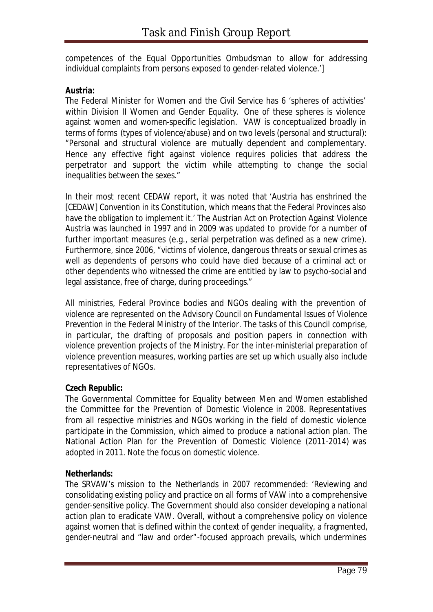competences of the Equal Opportunities Ombudsman to allow for addressing individual complaints from persons exposed to gender-related violence.']

### **Austria:**

The Federal Minister for Women and the Civil Service has 6 'spheres of activities' within Division II Women and Gender Equality. One of these spheres is violence against women and women-specific legislation. VAW is conceptualized broadly in terms of forms (types of violence/abuse) and on two levels (personal and structural): "Personal and structural violence are mutually dependent and complementary. Hence any effective fight against violence requires policies that address the perpetrator and support the victim while attempting to change the social inequalities between the sexes."

In their most recent CEDAW report, it was noted that 'Austria has enshrined the [CEDAW] Convention in its Constitution, which means that the Federal Provinces also have the obligation to implement it.' The Austrian Act on Protection Against Violence Austria was launched in 1997 and in 2009 was updated to provide for a number of further important measures (e.g., serial perpetration was defined as a new crime). Furthermore, since 2006, "victims of violence, dangerous threats or sexual crimes as well as dependents of persons who could have died because of a criminal act or other dependents who witnessed the crime are entitled by law to psycho-social and legal assistance, free of charge, during proceedings."

All ministries, Federal Province bodies and NGOs dealing with the prevention of violence are represented on the *Advisory Council on Fundamental Issues of Violence Prevention* in the Federal Ministry of the Interior. The tasks of this Council comprise, in particular, the drafting of proposals and position papers in connection with violence prevention projects of the Ministry. For the inter-ministerial preparation of violence prevention measures, working parties are set up which usually also include representatives of NGOs.

# **Czech Republic:**

The Governmental Committee for Equality between Men and Women established the *Committee for the Prevention of Domestic Violence* in 2008. Representatives from all respective ministries and NGOs working in the field of domestic violence participate in the Commission, which aimed to produce a national action plan. The National Action Plan for the Prevention of Domestic Violence (2011-2014) was adopted in 2011. Note the focus on domestic violence.

#### **Netherlands:**

The SRVAW's mission to the Netherlands in 2007 recommended: 'Reviewing and consolidating existing policy and practice on all forms of VAW into a comprehensive gender-sensitive policy. The Government should also consider developing a national action plan to eradicate VAW. Overall, without a comprehensive policy on violence against women that is defined within the context of gender inequality, a fragmented, gender-neutral and "law and order"-focused approach prevails, which undermines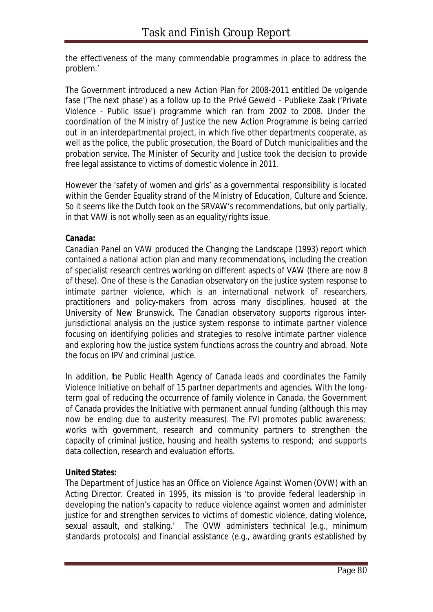the effectiveness of the many commendable programmes in place to address the problem.'

The Government introduced a new Action Plan for 2008-2011 entitled De volgende fase ('The next phase') as a follow up to the Privé Geweld - Publieke Zaak ('Private Violence - Public Issue') programme which ran from 2002 to 2008. Under the coordination of the Ministry of Justice the new Action Programme is being carried out in an interdepartmental project, in which five other departments cooperate, as well as the police, the public prosecution, the Board of Dutch municipalities and the probation service. The Minister of Security and Justice took the decision to provide free legal assistance to victims of domestic violence in 2011.

However the 'safety of women and girls' as a governmental responsibility is located within the Gender Equality strand of the Ministry of Education, Culture and Science. So it seems like the Dutch took on the SRVAW's recommendations, but only partially, in that VAW is not wholly seen as an equality/rights issue.

#### **Canada:**

*Canadian Panel on VAW* produced the Changing the Landscape (1993) report which contained a national action plan and many recommendations, including the creation of specialist research centres working on different aspects of VAW (there are now 8 of these). One of these is the *Canadian observatory on the justice system response to intimate partner violence*, which is an international network of researchers, practitioners and policy-makers from across many disciplines, housed at the University of New Brunswick. The Canadian observatory supports rigorous interjurisdictional analysis on the justice system response to intimate partner violence focusing on identifying policies and strategies to resolve intimate partner violence and exploring how the justice system functions across the country and abroad. Note the focus on IPV and criminal justice.

In addition, the Public Health Agency of Canada leads and coordinates the Family Violence Initiative on behalf of 15 partner departments and agencies. With the longterm goal of reducing the occurrence of family violence in Canada, the Government of Canada provides the Initiative with permanent annual funding (although this may now be ending due to austerity measures). The FVI promotes public awareness; works with government, research and community partners to strengthen the capacity of criminal justice, housing and health systems to respond; and supports data collection, research and evaluation efforts.

# **United States:**

The Department of Justice has an *Office on Violence Against Women* (OVW) with an Acting Director. Created in 1995, its mission is 'to provide federal leadership in developing the nation's capacity to reduce violence against women and administer justice for and strengthen services to victims of domestic violence, dating violence, sexual assault, and stalking.' The OVW administers technical (e.g., minimum standards protocols) and financial assistance (e.g., awarding grants established by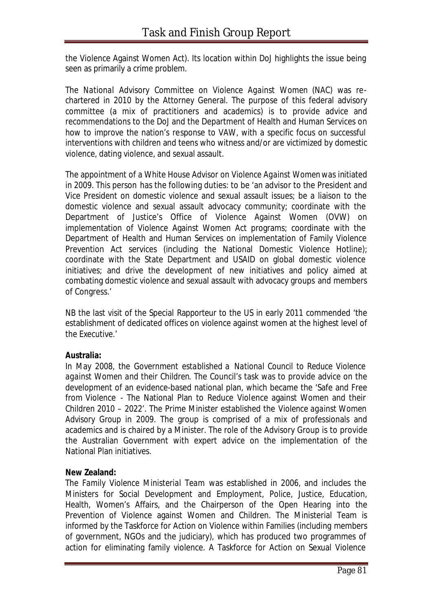the Violence Against Women Act). Its location within DoJ highlights the issue being seen as primarily a crime problem.

The *National Advisory Committee on Violence Against Women* (NAC) was rechartered in 2010 by the Attorney General. The purpose of this federal advisory committee (a mix of practitioners and academics) is to provide advice and recommendations to the DoJ and the Department of Health and Human Services on how to improve the nation's response to VAW, with a specific focus on successful interventions with children and teens who witness and/or are victimized by domestic violence, dating violence, and sexual assault.

The appointment of a *White House Advisor on Violence Against Women* was initiated in 2009. This person has the following duties: to be 'an advisor to the President and Vice President on domestic violence and sexual assault issues; be a liaison to the domestic violence and sexual assault advocacy community; coordinate with the Department of Justice's Office of Violence Against Women (OVW) on implementation of Violence Against Women Act programs; coordinate with the Department of Health and Human Services on implementation of Family Violence Prevention Act services (including the National Domestic Violence Hotline); coordinate with the State Department and USAID on global domestic violence initiatives; and drive the development of new initiatives and policy aimed at combating domestic violence and sexual assault with advocacy groups and members of Congress.'

NB the last visit of the Special Rapporteur to the US in early 2011 commended 'the establishment of dedicated offices on violence against women at the highest level of the Executive.'

# **Australia:**

In May 2008, the Government established a *National Council to Reduce Violence against Women and their Children*. The Council's task was to provide advice on the development of an evidence-based national plan, which became the 'Safe and Free from Violence - The National Plan to Reduce Violence against Women and their Children 2010 – 2022'. The Prime Minister established the *Violence against Women Advisory Group* in 2009. The group is comprised of a mix of professionals and academics and is chaired by a Minister. The role of the Advisory Group is to provide the Australian Government with expert advice on the implementation of the National Plan initiatives.

# **New Zealand:**

The *Family Violence Ministerial Team* was established in 2006, and includes the Ministers for Social Development and Employment, Police, Justice, Education, Health, Women's Affairs, and the Chairperson of the Open Hearing into the Prevention of Violence against Women and Children. The Ministerial Team is informed by the Taskforce for Action on Violence within Families (including members of government, NGOs and the judiciary), which has produced two programmes of action for eliminating family violence. A Taskforce for Action on Sexual Violence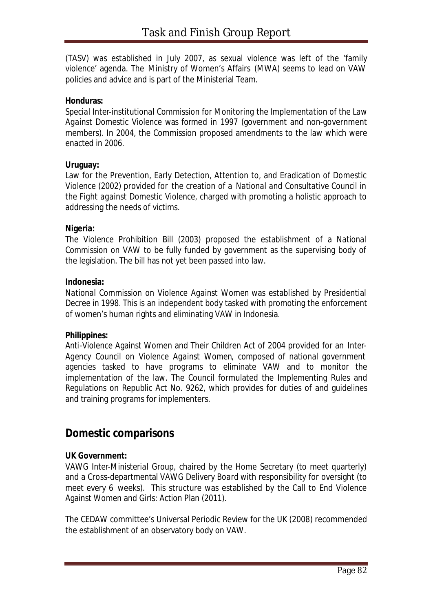(TASV) was established in July 2007, as sexual violence was left of the 'family violence' agenda. The Ministry of Women's Affairs (MWA) seems to lead on VAW policies and advice and is part of the Ministerial Team.

#### **Honduras:**

*Special Inter-institutional Commission for Monitoring the Implementation of the Law Against Domestic Violence* was formed in 1997 (government and non-government members). In 2004, the Commission proposed amendments to the law which were enacted in 2006.

#### **Uruguay:**

Law for the Prevention, Early Detection, Attention to, and Eradication of Domestic Violence (2002) provided for the creation of a *National and Consultative Council in the Fight against Domestic Violence*, charged with promoting a holistic approach to addressing the needs of victims.

#### **Nigeria:**

The Violence Prohibition Bill (2003) proposed the establishment of a *National Commission on VAW* to be fully funded by government as the supervising body of the legislation. The bill has not yet been passed into law.

#### **Indonesia:**

*National Commission on Violence Against Women* was established by Presidential Decree in 1998. This is an independent body tasked with promoting the enforcement of women's human rights and eliminating VAW in Indonesia.

#### **Philippines:**

Anti-Violence Against Women and Their Children Act of 2004 provided for an *Inter-Agency Council on Violence Against Women*, composed of national government agencies tasked to have programs to eliminate VAW and to monitor the implementation of the law. The Council formulated the Implementing Rules and Regulations on Republic Act No. 9262, which provides for duties of and guidelines and training programs for implementers.

# **Domestic comparisons**

# **UK Government:**

*VAWG Inter-Ministerial Group*, chaired by the Home Secretary (to meet quarterly) and a Cross-departmental *VAWG Delivery Board* with responsibility for oversight (to meet every 6 weeks). This structure was established by the Call to End Violence Against Women and Girls: Action Plan (2011).

The CEDAW committee's Universal Periodic Review for the UK (2008) recommended the establishment of an observatory body on VAW.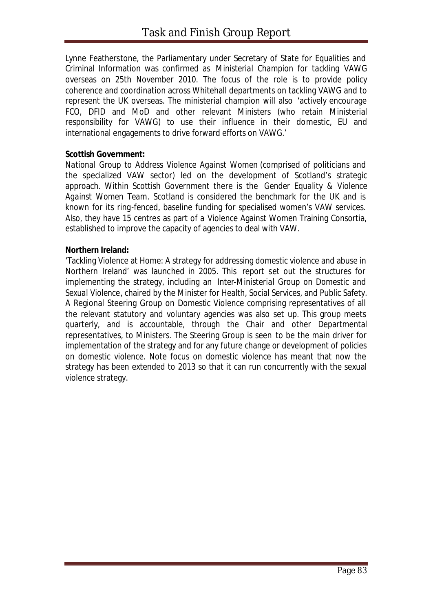Lynne Featherstone, the Parliamentary under Secretary of State for Equalities and Criminal Information was confirmed as *Ministerial Champion for tackling VAWG* overseas on 25th November 2010. The focus of the role is to provide policy coherence and coordination across Whitehall departments on tackling VAWG and to represent the UK overseas. The ministerial champion will also 'actively encourage FCO, DFID and MoD and other relevant Ministers (who retain Ministerial responsibility for VAWG) to use their influence in their domestic, EU and international engagements to drive forward efforts on VAWG.'

#### **Scottish Government:**

*National Group to Address Violence Against Women* (comprised of politicians and the specialized VAW sector) led on the development of Scotland's strategic approach. Within Scottish Government there is the *Gender Equality & Violence Against Women Team*. Scotland is considered the benchmark for the UK and is known for its ring-fenced, baseline funding for specialised women's VAW services. Also, they have 15 centres as part of a Violence Against Women Training Consortia, established to improve the capacity of agencies to deal with VAW.

#### **Northern Ireland:**

'Tackling Violence at Home: A strategy for addressing domestic violence and abuse in Northern Ireland' was launched in 2005. This report set out the structures for implementing the strategy, including an *Inter-Ministerial Group on Domestic and Sexual Violence*, chaired by the Minister for Health, Social Services, and Public Safety. A Regional Steering Group on Domestic Violence comprising representatives of all the relevant statutory and voluntary agencies was also set up. This group meets quarterly, and is accountable, through the Chair and other Departmental representatives, to Ministers. The Steering Group is seen to be the main driver for implementation of the strategy and for any future change or development of policies on domestic violence. Note focus on domestic violence has meant that now the strategy has been extended to 2013 so that it can run concurrently with the sexual violence strategy.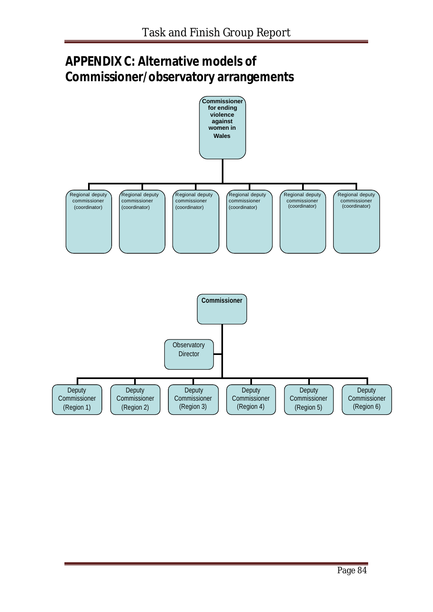# **APPENDIX C: Alternative models of Commissioner/observatory arrangements**

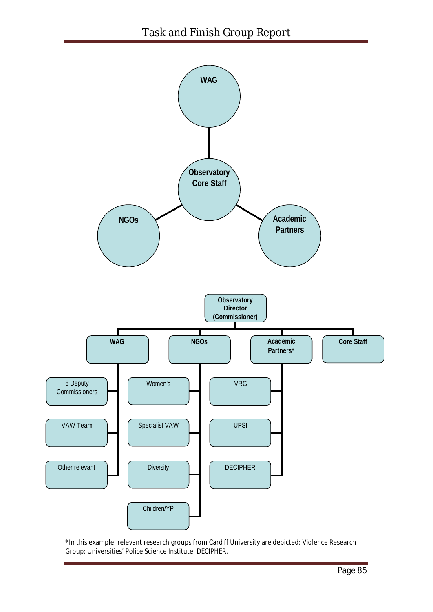

\*In this example, relevant research groups from Cardiff University are depicted: Violence Research Group; Universities' Police Science Institute; DECIPHER.